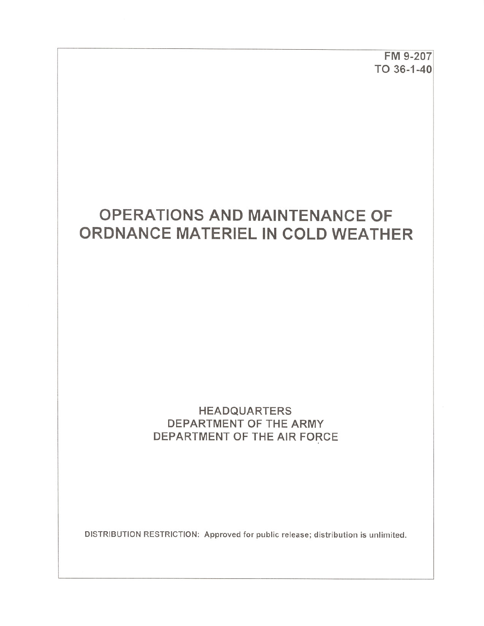FM 9-207 TO 36-1-40

# **OPERATIONS AND MAINTENANCE OF** ORDNANCE MATERIEL IN COLD WEATHER

# **HEADQUARTERS** DEPARTMENT OF THE ARMY DEPARTMENT OF THE AIR FORCE

DISTRIBUTION RESTRICTION: Approved for public release; distribution is unlimited.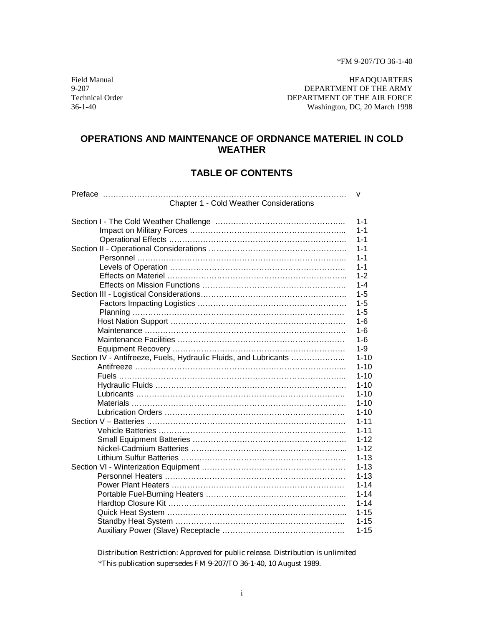\*FM 9-207/TO 36-1-40

Field Manual HEADQUARTERS<br>9-207 DEPARTMENT OF THE ARMY 9-207 DEPARTMENT OF THE ARMY DEPARTMENT OF THE ARMY DEPARTMENT OF THE ARMY DEPARTMENT OF THE AIR FORCE 36-1-40 Washington, DC, 20 March 1998

#### **OPERATIONS AND MAINTENANCE OF ORDNANCE MATERIEL IN COLD WEATHER**

#### **TABLE OF CONTENTS**

| Chapter 1 - Cold Weather Considerations |  |
|-----------------------------------------|--|

|                                                                  | $1 - 1$  |
|------------------------------------------------------------------|----------|
|                                                                  | $1 - 1$  |
|                                                                  | $1 - 1$  |
|                                                                  | $1 - 1$  |
|                                                                  | $1 - 1$  |
|                                                                  | $1 - 1$  |
|                                                                  | $1 - 2$  |
|                                                                  | $1 - 4$  |
|                                                                  | $1 - 5$  |
|                                                                  | $1 - 5$  |
|                                                                  | $1 - 5$  |
|                                                                  | $1 - 6$  |
|                                                                  | $1 - 6$  |
|                                                                  | $1 - 6$  |
|                                                                  | $1 - 9$  |
| Section IV - Antifreeze, Fuels, Hydraulic Fluids, and Lubricants | $1 - 10$ |
|                                                                  | $1 - 10$ |
|                                                                  | $1 - 10$ |
|                                                                  | $1 - 10$ |
|                                                                  | $1 - 10$ |
|                                                                  | $1 - 10$ |
|                                                                  | $1 - 10$ |
|                                                                  | $1 - 11$ |
|                                                                  | $1 - 11$ |
|                                                                  | $1 - 12$ |
|                                                                  | $1 - 12$ |
|                                                                  | $1 - 13$ |
|                                                                  | $1 - 13$ |
|                                                                  | $1 - 13$ |
|                                                                  | $1 - 14$ |
|                                                                  | $1 - 14$ |
|                                                                  | $1 - 14$ |
|                                                                  | $1 - 15$ |
|                                                                  | $1 - 15$ |
|                                                                  | $1 - 15$ |
|                                                                  |          |

Distribution Restriction: Approved for public release. Distribution is unlimited \*This publication supersedes FM 9-207/TO 36-1-40, 10 August 1989.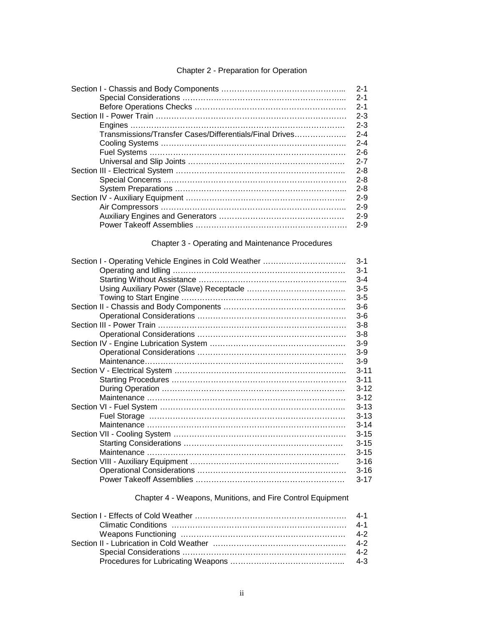#### Chapter 2 - Preparation for Operation

|                                                         | $2 - 1$ |
|---------------------------------------------------------|---------|
|                                                         | $2 - 1$ |
|                                                         | $2 - 1$ |
|                                                         | $2 - 3$ |
|                                                         | $2 - 3$ |
| Transmissions/Transfer Cases/Differentials/Final Drives | $2 - 4$ |
|                                                         | $2 - 4$ |
|                                                         | $2 - 6$ |
|                                                         | $2 - 7$ |
|                                                         | $2 - 8$ |
|                                                         | $2 - 8$ |
|                                                         | $2 - 8$ |
|                                                         | $2 - 9$ |
|                                                         | $2 - 9$ |
|                                                         | $2 - 9$ |
|                                                         | $2 - 9$ |

#### Chapter 3 - Operating and Maintenance Procedures

|  | $3 - 1$  |
|--|----------|
|  | $3 - 1$  |
|  | $3 - 4$  |
|  | $3-5$    |
|  | $3 - 5$  |
|  | $3-6$    |
|  | $3-6$    |
|  | $3 - 8$  |
|  | $3 - 8$  |
|  | $3-9$    |
|  | $3-9$    |
|  | $3-9$    |
|  | $3 - 11$ |
|  | $3 - 11$ |
|  | $3 - 12$ |
|  | $3 - 12$ |
|  | $3 - 13$ |
|  | $3 - 13$ |
|  | $3 - 14$ |
|  | $3 - 15$ |
|  | $3 - 15$ |
|  | $3 - 15$ |
|  | $3 - 16$ |
|  | $3 - 16$ |
|  | $3 - 17$ |

Chapter 4 - Weapons, Munitions, and Fire Control Equipment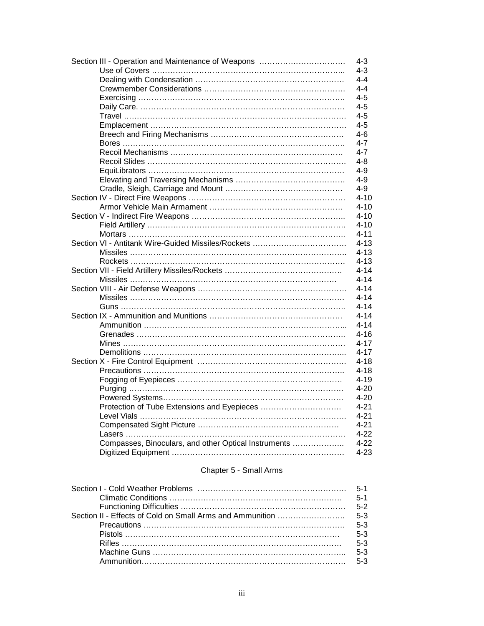| Section III - Operation and Maintenance of Weapons   | $4 - 3$  |
|------------------------------------------------------|----------|
|                                                      | $4 - 3$  |
|                                                      | $4 - 4$  |
|                                                      | $4 - 4$  |
|                                                      | $4 - 5$  |
|                                                      | $4 - 5$  |
|                                                      | $4 - 5$  |
|                                                      | $4 - 5$  |
|                                                      | 4-6      |
|                                                      | $4 - 7$  |
|                                                      |          |
|                                                      | 4-7      |
|                                                      | $4 - 8$  |
|                                                      | $4 - 9$  |
|                                                      | $4 - 9$  |
|                                                      | $4 - 9$  |
|                                                      | $4 - 10$ |
|                                                      | $4 - 10$ |
|                                                      | $4 - 10$ |
|                                                      | $4 - 10$ |
|                                                      | $4 - 11$ |
|                                                      | $4 - 13$ |
|                                                      | $4 - 13$ |
|                                                      | $4 - 13$ |
|                                                      | $4 - 14$ |
|                                                      |          |
|                                                      | $4 - 14$ |
|                                                      | $4 - 14$ |
|                                                      | $4 - 14$ |
|                                                      | $4 - 14$ |
|                                                      | $4 - 14$ |
|                                                      | $4 - 14$ |
|                                                      | $4 - 16$ |
|                                                      | $4 - 17$ |
|                                                      | $4 - 17$ |
|                                                      | $4 - 18$ |
|                                                      | $4 - 18$ |
|                                                      | $4 - 19$ |
|                                                      | $4 - 20$ |
|                                                      | $4 - 20$ |
|                                                      |          |
|                                                      | $4 - 21$ |
|                                                      | $4 - 21$ |
|                                                      | $4 - 21$ |
|                                                      | $4 - 22$ |
| Compasses, Binoculars, and other Optical Instruments | $4 - 22$ |
|                                                      | $4 - 23$ |

#### Chapter 5 - Small Arms

| $5-1$ |
|-------|
|       |
|       |
|       |
| $5-3$ |
| $5-3$ |
|       |
| $5-3$ |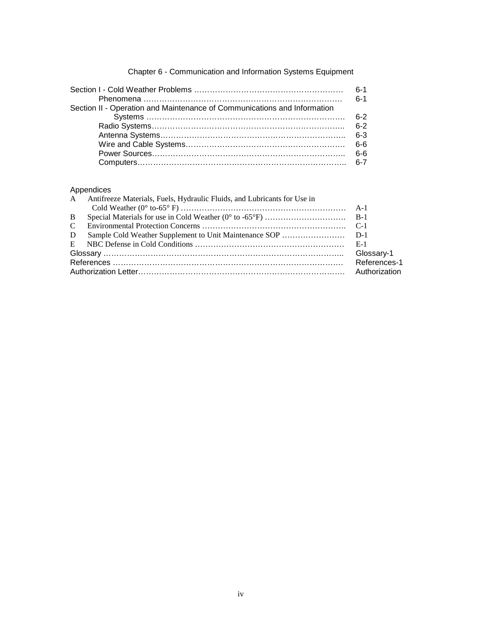|                                                                          | $6-1$<br>$6 - 1$ |
|--------------------------------------------------------------------------|------------------|
| Section II - Operation and Maintenance of Communications and Information |                  |
|                                                                          | հ-2              |
|                                                                          |                  |
|                                                                          |                  |
|                                                                          |                  |
|                                                                          | _ 6-6            |
|                                                                          |                  |

### Chapter 6 - Communication and Information Systems Equipment

#### Appendices

|  | Glossary-1                                                                 |
|--|----------------------------------------------------------------------------|
|  |                                                                            |
|  | Authorization                                                              |
|  | A Antifreeze Materials, Fuels, Hydraulic Fluids, and Lubricants for Use in |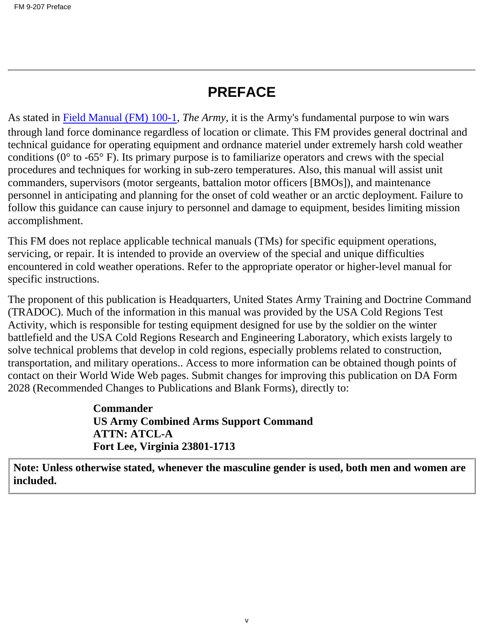# **PREFACE**

As stated in Field Manual (FM) 100-1, *The Army*, it is the Army's fundamental purpose to win wars through land force dominance regardless of location or climate. This FM provides general doctrinal and technical guidance for operating equipment and ordnance materiel under extremely harsh cold weather conditions ( $0^{\circ}$  to -65 $^{\circ}$  F). Its primary purpose is to familiarize operators and crews with the special procedures and techniques for working in sub-zero temperatures. Also, this manual will assist unit commanders, supervisors (motor sergeants, battalion motor officers [BMOs]), and maintenance personnel in anticipating and planning for the onset of cold weather or an arctic deployment. Failure to follow this guidance can cause injury to personnel and damage to equipment, besides limiting mission accomplishment.

This FM does not replace applicable technical manuals (TMs) for specific equipment operations, servicing, or repair. It is intended to provide an overview of the special and unique difficulties encountered in cold weather operations. Refer to the appropriate operator or higher-level manual for specific instructions.

The proponent of this publication is Headquarters, United States Army Training and Doctrine Command (TRADOC). Much of the information in this manual was provided by the USA Cold Regions Test Activity, which is responsible for testing equipment designed for use by the soldier on the winter battlefield and the USA Cold Regions Research and Engineering Laboratory, which exists largely to solve technical problems that develop in cold regions, especially problems related to construction, transportation, and military operations.. Access to more information can be obtained though points of contact on their World Wide Web pages. Submit changes for improving this publication on DA Form 2028 (Recommended Changes to Publications and Blank Forms), directly to:

> **Commander US Army Combined Arms Support Command ATTN: ATCL-A Fort Lee, Virginia 23801-1713**

**Note: Unless otherwise stated, whenever the masculine gender is used, both men and women are included.**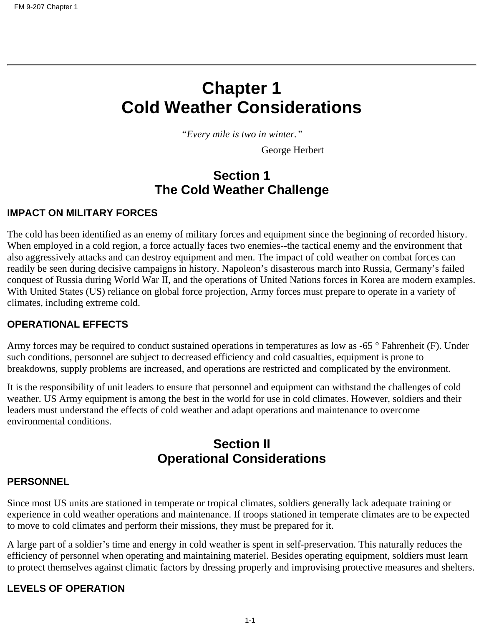# <span id="page-6-0"></span>**Chapter 1 Cold Weather Considerations**

*"Every mile is two in winter."*

George Herbert

# **Section 1 The Cold Weather Challenge**

#### **IMPACT ON MILITARY FORCES**

The cold has been identified as an enemy of military forces and equipment since the beginning of recorded history. When employed in a cold region, a force actually faces two enemies--the tactical enemy and the environment that also aggressively attacks and can destroy equipment and men. The impact of cold weather on combat forces can readily be seen during decisive campaigns in history. Napoleon's disasterous march into Russia, Germany's failed conquest of Russia during World War II, and the operations of United Nations forces in Korea are modern examples. With United States (US) reliance on global force projection, Army forces must prepare to operate in a variety of climates, including extreme cold.

#### **OPERATIONAL EFFECTS**

Army forces may be required to conduct sustained operations in temperatures as low as -65 ° Fahrenheit (F). Under such conditions, personnel are subject to decreased efficiency and cold casualties, equipment is prone to breakdowns, supply problems are increased, and operations are restricted and complicated by the environment.

It is the responsibility of unit leaders to ensure that personnel and equipment can withstand the challenges of cold weather. US Army equipment is among the best in the world for use in cold climates. However, soldiers and their leaders must understand the effects of cold weather and adapt operations and maintenance to overcome environmental conditions.

# **Section II Operational Considerations**

#### **PERSONNEL**

Since most US units are stationed in temperate or tropical climates, soldiers generally lack adequate training or experience in cold weather operations and maintenance. If troops stationed in temperate climates are to be expected to move to cold climates and perform their missions, they must be prepared for it.

A large part of a soldier's time and energy in cold weather is spent in self-preservation. This naturally reduces the efficiency of personnel when operating and maintaining materiel. Besides operating equipment, soldiers must learn to protect themselves against climatic factors by dressing properly and improvising protective measures and shelters.

#### **LEVELS OF OPERATION**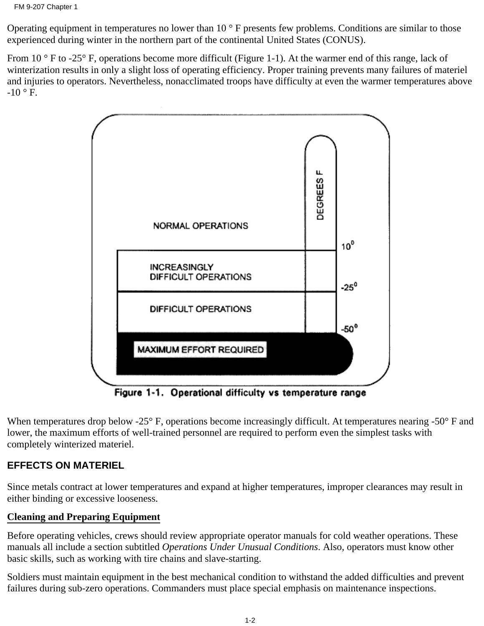Operating equipment in temperatures no lower than 10 ° F presents few problems. Conditions are similar to those experienced during winter in the northern part of the continental United States (CONUS).

From 10 ° F to -25° F, operations become more difficult (Figure 1-1). At the warmer end of this range, lack of winterization results in only a slight loss of operating efficiency. Proper training prevents many failures of materiel and injuries to operators. Nevertheless, nonacclimated troops have difficulty at even the warmer temperatures above  $-10$  ° F.



Figure 1-1. Operational difficulty vs temperature range

When temperatures drop below -25° F, operations become increasingly difficult. At temperatures nearing -50° F and lower, the maximum efforts of well-trained personnel are required to perform even the simplest tasks with completely winterized materiel.

# **EFFECTS ON MATERIEL**

Since metals contract at lower temperatures and expand at higher temperatures, improper clearances may result in either binding or excessive looseness.

# **Cleaning and Preparing Equipment**

Before operating vehicles, crews should review appropriate operator manuals for cold weather operations. These manuals all include a section subtitled *Operations Under Unusual Conditions*. Also, operators must know other basic skills, such as working with tire chains and slave-starting.

Soldiers must maintain equipment in the best mechanical condition to withstand the added difficulties and prevent failures during sub-zero operations. Commanders must place special emphasis on maintenance inspections.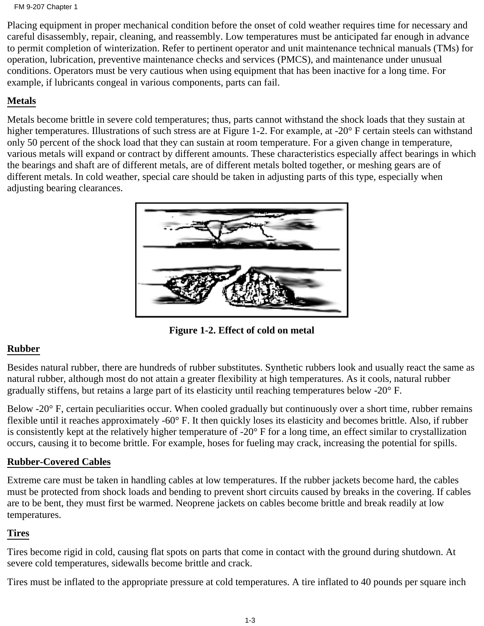FM 9-207 Chapter 1

Placing equipment in proper mechanical condition before the onset of cold weather requires time for necessary and careful disassembly, repair, cleaning, and reassembly. Low temperatures must be anticipated far enough in advance to permit completion of winterization. Refer to pertinent operator and unit maintenance technical manuals (TMs) for operation, lubrication, preventive maintenance checks and services (PMCS), and maintenance under unusual conditions. Operators must be very cautious when using equipment that has been inactive for a long time. For example, if lubricants congeal in various components, parts can fail.

# **Metals**

Metals become brittle in severe cold temperatures; thus, parts cannot withstand the shock loads that they sustain at higher temperatures. Illustrations of such stress are at Figure 1-2. For example, at -20° F certain steels can withstand only 50 percent of the shock load that they can sustain at room temperature. For a given change in temperature, various metals will expand or contract by different amounts. These characteristics especially affect bearings in which the bearings and shaft are of different metals, are of different metals bolted together, or meshing gears are of different metals. In cold weather, special care should be taken in adjusting parts of this type, especially when adjusting bearing clearances.



**Figure 1-2. Effect of cold on metal**

# **Rubber**

Besides natural rubber, there are hundreds of rubber substitutes. Synthetic rubbers look and usually react the same as natural rubber, although most do not attain a greater flexibility at high temperatures. As it cools, natural rubber gradually stiffens, but retains a large part of its elasticity until reaching temperatures below -20° F.

Below -20° F, certain peculiarities occur. When cooled gradually but continuously over a short time, rubber remains flexible until it reaches approximately -60° F. It then quickly loses its elasticity and becomes brittle. Also, if rubber is consistently kept at the relatively higher temperature of -20° F for a long time, an effect similar to crystallization occurs, causing it to become brittle. For example, hoses for fueling may crack, increasing the potential for spills.

## **Rubber-Covered Cables**

Extreme care must be taken in handling cables at low temperatures. If the rubber jackets become hard, the cables must be protected from shock loads and bending to prevent short circuits caused by breaks in the covering. If cables are to be bent, they must first be warmed. Neoprene jackets on cables become brittle and break readily at low temperatures.

## **Tires**

Tires become rigid in cold, causing flat spots on parts that come in contact with the ground during shutdown. At severe cold temperatures, sidewalls become brittle and crack.

Tires must be inflated to the appropriate pressure at cold temperatures. A tire inflated to 40 pounds per square inch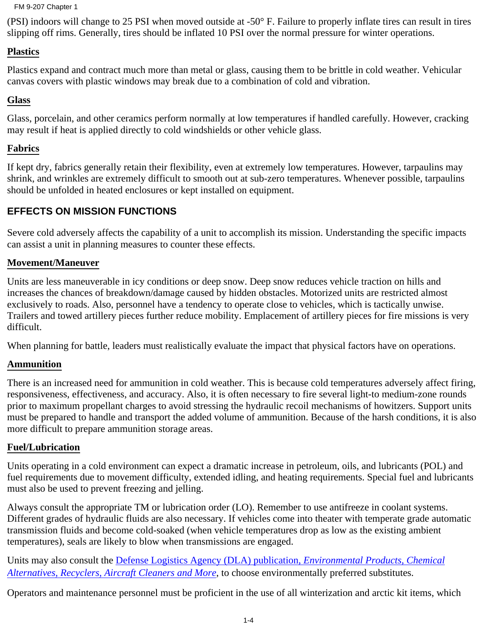#### FM 9-207 Chapter 1

(PSI) indoors will change to 25 PSI when moved outside at -50° F. Failure to properly inflate tires can result in tires slipping off rims. Generally, tires should be inflated 10 PSI over the normal pressure for winter operations.

#### **Plastics**

Plastics expand and contract much more than metal or glass, causing them to be brittle in cold weather. Vehicular canvas covers with plastic windows may break due to a combination of cold and vibration.

#### **Glass**

Glass, porcelain, and other ceramics perform normally at low temperatures if handled carefully. However, cracking may result if heat is applied directly to cold windshields or other vehicle glass.

#### **Fabrics**

If kept dry, fabrics generally retain their flexibility, even at extremely low temperatures. However, tarpaulins may shrink, and wrinkles are extremely difficult to smooth out at sub-zero temperatures. Whenever possible, tarpaulins should be unfolded in heated enclosures or kept installed on equipment.

## **EFFECTS ON MISSION FUNCTIONS**

Severe cold adversely affects the capability of a unit to accomplish its mission. Understanding the specific impacts can assist a unit in planning measures to counter these effects.

#### **Movement/Maneuver**

Units are less maneuverable in icy conditions or deep snow. Deep snow reduces vehicle traction on hills and increases the chances of breakdown/damage caused by hidden obstacles. Motorized units are restricted almost exclusively to roads. Also, personnel have a tendency to operate close to vehicles, which is tactically unwise. Trailers and towed artillery pieces further reduce mobility. Emplacement of artillery pieces for fire missions is very difficult.

When planning for battle, leaders must realistically evaluate the impact that physical factors have on operations.

#### **Ammunition**

There is an increased need for ammunition in cold weather. This is because cold temperatures adversely affect firing, responsiveness, effectiveness, and accuracy. Also, it is often necessary to fire several light-to medium-zone rounds prior to maximum propellant charges to avoid stressing the hydraulic recoil mechanisms of howitzers. Support units must be prepared to handle and transport the added volume of ammunition. Because of the harsh conditions, it is also more difficult to prepare ammunition storage areas.

#### **Fuel/Lubrication**

Units operating in a cold environment can expect a dramatic increase in petroleum, oils, and lubricants (POL) and fuel requirements due to movement difficulty, extended idling, and heating requirements. Special fuel and lubricants must also be used to prevent freezing and jelling.

Always consult the appropriate TM or lubrication order (LO). Remember to use antifreeze in coolant systems. Different grades of hydraulic fluids are also necessary. If vehicles come into theater with temperate grade automatic transmission fluids and become cold-soaked (when vehicle temperatures drop as low as the existing ambient temperatures), seals are likely to blow when transmissions are engaged.

Units may also consult the Defense Logistics Agency (DLA) publication, *Environmental Products, Chemical Alternatives, Recyclers, Aircraft Cleaners and More*, to choose environmentally preferred substitutes.

Operators and maintenance personnel must be proficient in the use of all winterization and arctic kit items, which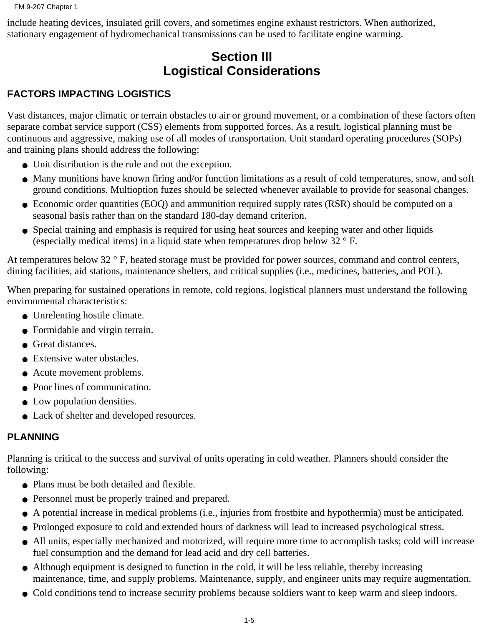include heating devices, insulated grill covers, and sometimes engine exhaust restrictors. When authorized, stationary engagement of hydromechanical transmissions can be used to facilitate engine warming.

# **Section III Logistical Considerations**

# **FACTORS IMPACTING LOGISTICS**

Vast distances, major climatic or terrain obstacles to air or ground movement, or a combination of these factors often separate combat service support (CSS) elements from supported forces. As a result, logistical planning must be continuous and aggressive, making use of all modes of transportation. Unit standard operating procedures (SOPs) and training plans should address the following:

- Unit distribution is the rule and not the exception.
- Many munitions have known firing and/or function limitations as a result of cold temperatures, snow, and soft ground conditions. Multioption fuzes should be selected whenever available to provide for seasonal changes.
- Economic order quantities (EOQ) and ammunition required supply rates (RSR) should be computed on a seasonal basis rather than on the standard 180-day demand criterion.
- Special training and emphasis is required for using heat sources and keeping water and other liquids (especially medical items) in a liquid state when temperatures drop below 32 ° F.

At temperatures below 32 ° F, heated storage must be provided for power sources, command and control centers, dining facilities, aid stations, maintenance shelters, and critical supplies (i.e., medicines, batteries, and POL).

When preparing for sustained operations in remote, cold regions, logistical planners must understand the following environmental characteristics:

- Unrelenting hostile climate.
- Formidable and virgin terrain.
- Great distances.
- Extensive water obstacles.
- Acute movement problems.
- Poor lines of communication.
- Low population densities.
- Lack of shelter and developed resources.

## **PLANNING**

Planning is critical to the success and survival of units operating in cold weather. Planners should consider the following:

- Plans must be both detailed and flexible.
- Personnel must be properly trained and prepared.
- A potential increase in medical problems (i.e., injuries from frostbite and hypothermia) must be anticipated.
- Prolonged exposure to cold and extended hours of darkness will lead to increased psychological stress.
- All units, especially mechanized and motorized, will require more time to accomplish tasks; cold will increase fuel consumption and the demand for lead acid and dry cell batteries.
- Although equipment is designed to function in the cold, it will be less reliable, thereby increasing maintenance, time, and supply problems. Maintenance, supply, and engineer units may require augmentation.
- Cold conditions tend to increase security problems because soldiers want to keep warm and sleep indoors.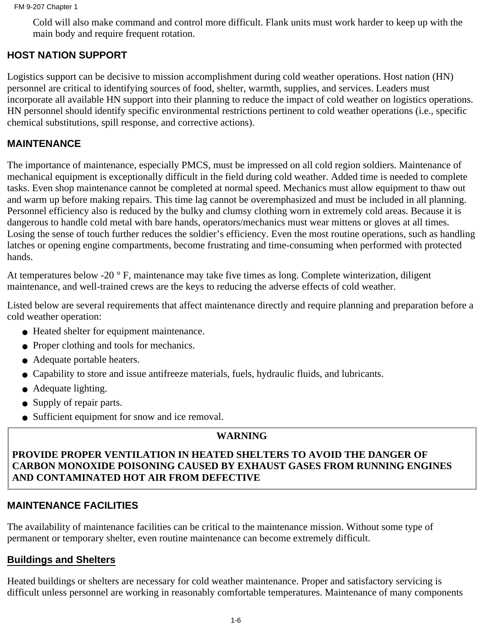Cold will also make command and control more difficult. Flank units must work harder to keep up with the main body and require frequent rotation.

# **HOST NATION SUPPORT**

Logistics support can be decisive to mission accomplishment during cold weather operations. Host nation (HN) personnel are critical to identifying sources of food, shelter, warmth, supplies, and services. Leaders must incorporate all available HN support into their planning to reduce the impact of cold weather on logistics operations. HN personnel should identify specific environmental restrictions pertinent to cold weather operations (i.e., specific chemical substitutions, spill response, and corrective actions).

#### **MAINTENANCE**

The importance of maintenance, especially PMCS, must be impressed on all cold region soldiers. Maintenance of mechanical equipment is exceptionally difficult in the field during cold weather. Added time is needed to complete tasks. Even shop maintenance cannot be completed at normal speed. Mechanics must allow equipment to thaw out and warm up before making repairs. This time lag cannot be overemphasized and must be included in all planning. Personnel efficiency also is reduced by the bulky and clumsy clothing worn in extremely cold areas. Because it is dangerous to handle cold metal with bare hands, operators/mechanics must wear mittens or gloves at all times. Losing the sense of touch further reduces the soldier's efficiency. Even the most routine operations, such as handling latches or opening engine compartments, become frustrating and time-consuming when performed with protected hands.

At temperatures below -20 ° F, maintenance may take five times as long. Complete winterization, diligent maintenance, and well-trained crews are the keys to reducing the adverse effects of cold weather.

Listed below are several requirements that affect maintenance directly and require planning and preparation before a cold weather operation:

- Heated shelter for equipment maintenance.
- Proper clothing and tools for mechanics.
- Adequate portable heaters.
- Capability to store and issue antifreeze materials, fuels, hydraulic fluids, and lubricants.
- Adequate lighting.
- Supply of repair parts.
- Sufficient equipment for snow and ice removal.

#### **WARNING**

#### **PROVIDE PROPER VENTILATION IN HEATED SHELTERS TO AVOID THE DANGER OF CARBON MONOXIDE POISONING CAUSED BY EXHAUST GASES FROM RUNNING ENGINES AND CONTAMINATED HOT AIR FROM DEFECTIVE**

#### **MAINTENANCE FACILITIES**

The availability of maintenance facilities can be critical to the maintenance mission. Without some type of permanent or temporary shelter, even routine maintenance can become extremely difficult.

#### **Buildings and Shelters**

Heated buildings or shelters are necessary for cold weather maintenance. Proper and satisfactory servicing is difficult unless personnel are working in reasonably comfortable temperatures. Maintenance of many components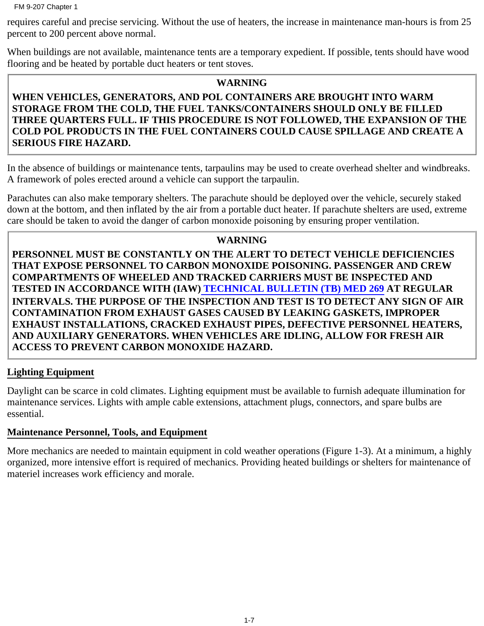FM 9-207 Chapter 1

requires careful and precise servicing. Without the use of heaters, the increase in maintenance man-hours is from 25 percent to 200 percent above normal.

When buildings are not available, maintenance tents are a temporary expedient. If possible, tents should have wood flooring and be heated by portable duct heaters or tent stoves.

#### **WARNING**

## **WHEN VEHICLES, GENERATORS, AND POL CONTAINERS ARE BROUGHT INTO WARM STORAGE FROM THE COLD, THE FUEL TANKS/CONTAINERS SHOULD ONLY BE FILLED THREE QUARTERS FULL. IF THIS PROCEDURE IS NOT FOLLOWED, THE EXPANSION OF THE COLD POL PRODUCTS IN THE FUEL CONTAINERS COULD CAUSE SPILLAGE AND CREATE A SERIOUS FIRE HAZARD.**

In the absence of buildings or maintenance tents, tarpaulins may be used to create overhead shelter and windbreaks. A framework of poles erected around a vehicle can support the tarpaulin.

Parachutes can also make temporary shelters. The parachute should be deployed over the vehicle, securely staked down at the bottom, and then inflated by the air from a portable duct heater. If parachute shelters are used, extreme care should be taken to avoid the danger of carbon monoxide poisoning by ensuring proper ventilation.

### **WARNING**

**PERSONNEL MUST BE CONSTANTLY ON THE ALERT TO DETECT VEHICLE DEFICIENCIES THAT EXPOSE PERSONNEL TO CARBON MONOXIDE POISONING. PASSENGER AND CREW COMPARTMENTS OF WHEELED AND TRACKED CARRIERS MUST BE INSPECTED AND TESTED IN ACCORDANCE WITH (IAW) TECHNICAL BULLETIN (TB) MED 269 AT REGULAR INTERVALS. THE PURPOSE OF THE INSPECTION AND TEST IS TO DETECT ANY SIGN OF AIR CONTAMINATION FROM EXHAUST GASES CAUSED BY LEAKING GASKETS, IMPROPER EXHAUST INSTALLATIONS, CRACKED EXHAUST PIPES, DEFECTIVE PERSONNEL HEATERS, AND AUXILIARY GENERATORS. WHEN VEHICLES ARE IDLING, ALLOW FOR FRESH AIR ACCESS TO PREVENT CARBON MONOXIDE HAZARD.**

## **Lighting Equipment**

Daylight can be scarce in cold climates. Lighting equipment must be available to furnish adequate illumination for maintenance services. Lights with ample cable extensions, attachment plugs, connectors, and spare bulbs are essential.

## **Maintenance Personnel, Tools, and Equipment**

More mechanics are needed to maintain equipment in cold weather operations (Figure 1-3). At a minimum, a highly organized, more intensive effort is required of mechanics. Providing heated buildings or shelters for maintenance of materiel increases work efficiency and morale.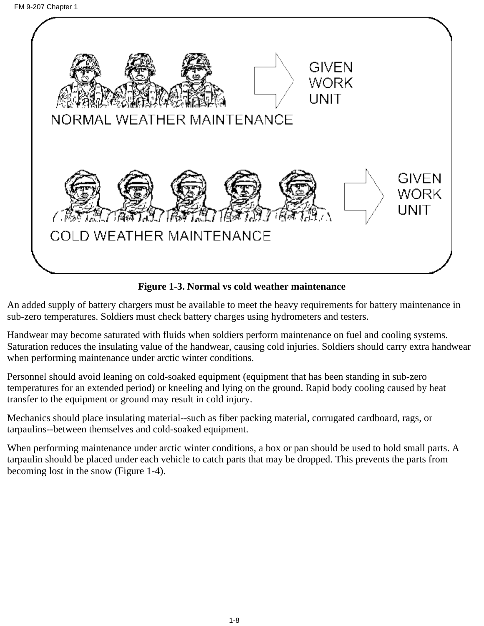

**Figure 1-3. Normal vs cold weather maintenance**

An added supply of battery chargers must be available to meet the heavy requirements for battery maintenance in sub-zero temperatures. Soldiers must check battery charges using hydrometers and testers.

Handwear may become saturated with fluids when soldiers perform maintenance on fuel and cooling systems. Saturation reduces the insulating value of the handwear, causing cold injuries. Soldiers should carry extra handwear when performing maintenance under arctic winter conditions.

Personnel should avoid leaning on cold-soaked equipment (equipment that has been standing in sub-zero temperatures for an extended period) or kneeling and lying on the ground. Rapid body cooling caused by heat transfer to the equipment or ground may result in cold injury.

Mechanics should place insulating material--such as fiber packing material, corrugated cardboard, rags, or tarpaulins--between themselves and cold-soaked equipment.

When performing maintenance under arctic winter conditions, a box or pan should be used to hold small parts. A tarpaulin should be placed under each vehicle to catch parts that may be dropped. This prevents the parts from becoming lost in the snow (Figure 1-4).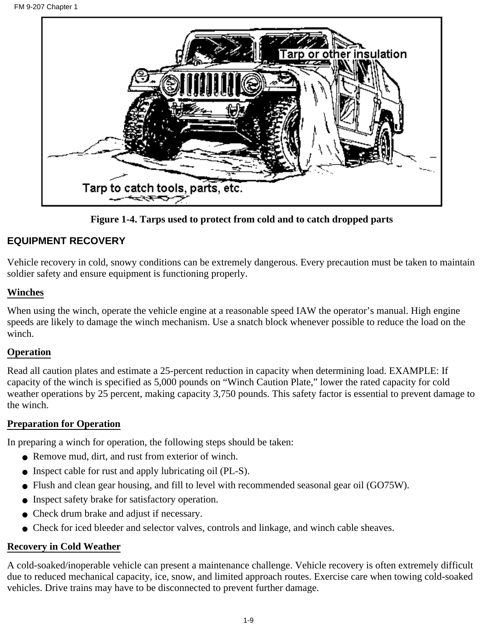

**Figure 1-4. Tarps used to protect from cold and to catch dropped parts**

## **EQUIPMENT RECOVERY**

Vehicle recovery in cold, snowy conditions can be extremely dangerous. Every precaution must be taken to maintain soldier safety and ensure equipment is functioning properly.

#### **Winches**

When using the winch, operate the vehicle engine at a reasonable speed IAW the operator's manual. High engine speeds are likely to damage the winch mechanism. Use a snatch block whenever possible to reduce the load on the winch.

#### **Operation**

Read all caution plates and estimate a 25-percent reduction in capacity when determining load. EXAMPLE: If capacity of the winch is specified as 5,000 pounds on "Winch Caution Plate," lower the rated capacity for cold weather operations by 25 percent, making capacity 3,750 pounds. This safety factor is essential to prevent damage to the winch.

## **Preparation for Operation**

In preparing a winch for operation, the following steps should be taken:

- Remove mud, dirt, and rust from exterior of winch.
- Inspect cable for rust and apply lubricating oil (PL-S).
- Flush and clean gear housing, and fill to level with recommended seasonal gear oil (GO75W).
- Inspect safety brake for satisfactory operation.
- Check drum brake and adjust if necessary.
- Check for iced bleeder and selector valves, controls and linkage, and winch cable sheaves.

# **Recovery in Cold Weather**

A cold-soaked/inoperable vehicle can present a maintenance challenge. Vehicle recovery is often extremely difficult due to reduced mechanical capacity, ice, snow, and limited approach routes. Exercise care when towing cold-soaked vehicles. Drive trains may have to be disconnected to prevent further damage.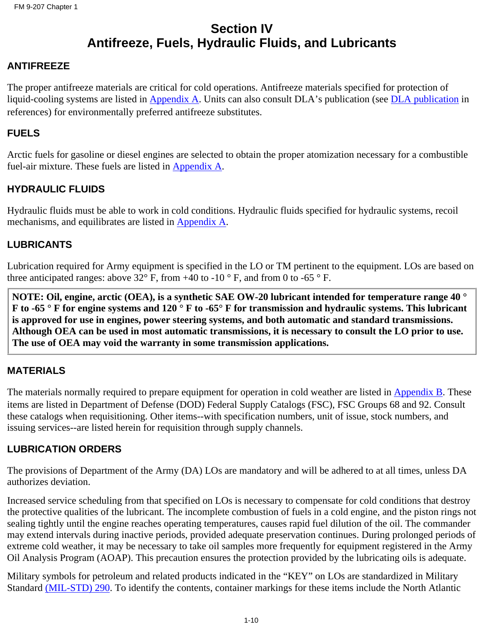# **Section IV Antifreeze, Fuels, Hydraulic Fluids, and Lubricants**

### **ANTIFREEZE**

The proper antifreeze materials are critical for cold operations. Antifreeze materials specified for protection of liquid-cooling systems are listed in [Appendix A.](#page-82-0) Units can also consult DLA's publication (see DLA publication in references) for environmentally preferred antifreeze substitutes.

#### **FUELS**

Arctic fuels for gasoline or diesel engines are selected to obtain the proper atomization necessary for a combustible fuel-air mixture. These fuels are listed in [Appendix A.](#page-82-0)

### **HYDRAULIC FLUIDS**

Hydraulic fluids must be able to work in cold conditions. Hydraulic fluids specified for hydraulic systems, recoil mechanisms, and equilibrates are listed in [Appendix A](#page-82-0).

### **LUBRICANTS**

Lubrication required for Army equipment is specified in the LO or TM pertinent to the equipment. LOs are based on three anticipated ranges: above 32 $\degree$  F, from +40 to -10  $\degree$  F, and from 0 to -65  $\degree$  F.

**NOTE: Oil, engine, arctic (OEA), is a synthetic SAE OW-20 lubricant intended for temperature range 40 ° F to -65 ° F for engine systems and 120 ° F to -65° F for transmission and hydraulic systems. This lubricant is approved for use in engines, power steering systems, and both automatic and standard transmissions. Although OEA can be used in most automatic transmissions, it is necessary to consult the LO prior to use. The use of OEA may void the warranty in some transmission applications.**

#### **MATERIALS**

The materials normally required to prepare equipment for operation in cold weather are listed in [Appendix B](#page-88-0). These items are listed in Department of Defense (DOD) Federal Supply Catalogs (FSC), FSC Groups 68 and 92. Consult these catalogs when requisitioning. Other items--with specification numbers, unit of issue, stock numbers, and issuing services--are listed herein for requisition through supply channels.

#### **LUBRICATION ORDERS**

The provisions of Department of the Army (DA) LOs are mandatory and will be adhered to at all times, unless DA authorizes deviation.

Increased service scheduling from that specified on LOs is necessary to compensate for cold conditions that destroy the protective qualities of the lubricant. The incomplete combustion of fuels in a cold engine, and the piston rings not sealing tightly until the engine reaches operating temperatures, causes rapid fuel dilution of the oil. The commander may extend intervals during inactive periods, provided adequate preservation continues. During prolonged periods of extreme cold weather, it may be necessary to take oil samples more frequently for equipment registered in the Army Oil Analysis Program (AOAP). This precaution ensures the protection provided by the lubricating oils is adequate.

Military symbols for petroleum and related products indicated in the "KEY" on LOs are standardized in Military Standard [\(MIL-STD\) 290](#page-108-0). To identify the contents, container markings for these items include the North Atlantic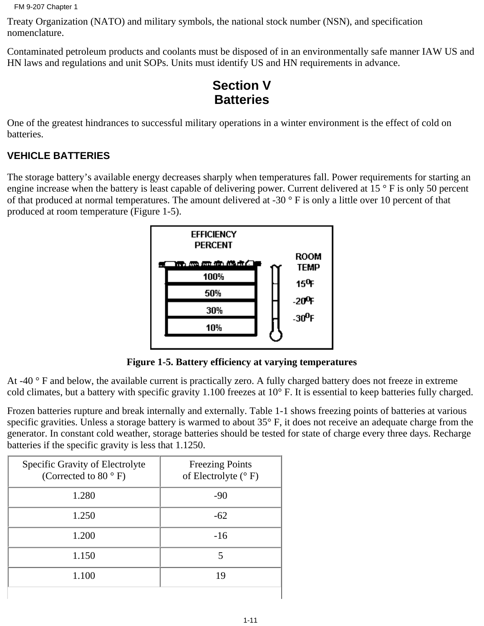```
FM 9-207 Chapter 1
```
Treaty Organization (NATO) and military symbols, the national stock number (NSN), and specification nomenclature.

Contaminated petroleum products and coolants must be disposed of in an environmentally safe manner IAW US and HN laws and regulations and unit SOPs. Units must identify US and HN requirements in advance.

# **Section V Batteries**

One of the greatest hindrances to successful military operations in a winter environment is the effect of cold on batteries.

# **VEHICLE BATTERIES**

The storage battery's available energy decreases sharply when temperatures fall. Power requirements for starting an engine increase when the battery is least capable of delivering power. Current delivered at 15 ° F is only 50 percent of that produced at normal temperatures. The amount delivered at -30  $\degree$  F is only a little over 10 percent of that produced at room temperature (Figure 1-5).



**Figure 1-5. Battery efficiency at varying temperatures**

At -40 ° F and below, the available current is practically zero. A fully charged battery does not freeze in extreme cold climates, but a battery with specific gravity 1.100 freezes at 10° F. It is essential to keep batteries fully charged.

Frozen batteries rupture and break internally and externally. Table 1-1 shows freezing points of batteries at various specific gravities. Unless a storage battery is warmed to about 35° F, it does not receive an adequate charge from the generator. In constant cold weather, storage batteries should be tested for state of charge every three days. Recharge batteries if the specific gravity is less that 1.1250.

| Specific Gravity of Electrolyte<br>(Corrected to 80 $\degree$ F) | <b>Freezing Points</b><br>of Electrolyte $(^{\circ}F)$ |
|------------------------------------------------------------------|--------------------------------------------------------|
| 1.280                                                            | $-90$                                                  |
| 1.250                                                            | $-62$                                                  |
| 1.200                                                            | $-16$                                                  |
| 1.150                                                            | 5                                                      |
| 1.100                                                            | 19                                                     |
|                                                                  |                                                        |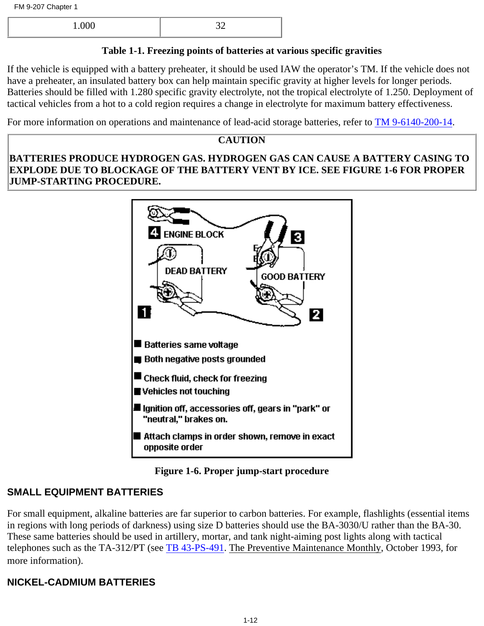| 00 <sup>0</sup><br>1.VVV | $\sim$ |
|--------------------------|--------|
|                          |        |

# **Table 1-1. Freezing points of batteries at various specific gravities**

If the vehicle is equipped with a battery preheater, it should be used IAW the operator's TM. If the vehicle does not have a preheater, an insulated battery box can help maintain specific gravity at higher levels for longer periods. Batteries should be filled with 1.280 specific gravity electrolyte, not the tropical electrolyte of 1.250. Deployment of tactical vehicles from a hot to a cold region requires a change in electrolyte for maximum battery effectiveness.

For more information on operations and maintenance of lead-acid storage batteries, refer to [TM 9-6140-200-14](http://www.adtdl.army.mil/cgi-bin/atdl.dll/fm/9-207/REF.htM#TM 9-6140-200-14).

# **CAUTION**

**BATTERIES PRODUCE HYDROGEN GAS. HYDROGEN GAS CAN CAUSE A BATTERY CASING TO EXPLODE DUE TO BLOCKAGE OF THE BATTERY VENT BY ICE. SEE FIGURE 1-6 FOR PROPER JUMP-STARTING PROCEDURE.**



# **Figure 1-6. Proper jump-start procedure**

# **SMALL EQUIPMENT BATTERIES**

For small equipment, alkaline batteries are far superior to carbon batteries. For example, flashlights (essential items in regions with long periods of darkness) using size D batteries should use the BA-3030/U rather than the BA-30. These same batteries should be used in artillery, mortar, and tank night-aiming post lights along with tactical telephones such as the TA-312/PT (see [TB 43-PS-491.](#page-108-0) The Preventive Maintenance Monthly, October 1993, for more information).

# **NICKEL-CADMIUM BATTERIES**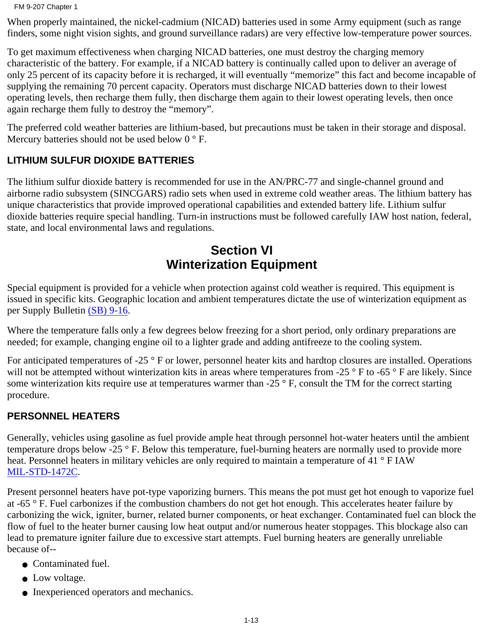FM 9-207 Chapter 1

When properly maintained, the nickel-cadmium (NICAD) batteries used in some Army equipment (such as range finders, some night vision sights, and ground surveillance radars) are very effective low-temperature power sources.

To get maximum effectiveness when charging NICAD batteries, one must destroy the charging memory characteristic of the battery. For example, if a NICAD battery is continually called upon to deliver an average of only 25 percent of its capacity before it is recharged, it will eventually "memorize" this fact and become incapable of supplying the remaining 70 percent capacity. Operators must discharge NICAD batteries down to their lowest operating levels, then recharge them fully, then discharge them again to their lowest operating levels, then once again recharge them fully to destroy the "memory".

The preferred cold weather batteries are lithium-based, but precautions must be taken in their storage and disposal. Mercury batteries should not be used below  $0^{\circ}$  F.

# **LITHIUM SULFUR DIOXIDE BATTERIES**

The lithium sulfur dioxide battery is recommended for use in the AN/PRC-77 and single-channel ground and airborne radio subsystem (SINCGARS) radio sets when used in extreme cold weather areas. The lithium battery has unique characteristics that provide improved operational capabilities and extended battery life. Lithium sulfur dioxide batteries require special handling. Turn-in instructions must be followed carefully IAW host nation, federal, state, and local environmental laws and regulations.

# **Section VI Winterization Equipment**

Special equipment is provided for a vehicle when protection against cold weather is required. This equipment is issued in specific kits. Geographic location and ambient temperatures dictate the use of winterization equipment as per Supply Bulletin [\(SB\) 9-16.](#page-108-0)

Where the temperature falls only a few degrees below freezing for a short period, only ordinary preparations are needed; for example, changing engine oil to a lighter grade and adding antifreeze to the cooling system.

For anticipated temperatures of -25 ° F or lower, personnel heater kits and hardtop closures are installed. Operations will not be attempted without winterization kits in areas where temperatures from -25 ° F to -65 ° F are likely. Since some winterization kits require use at temperatures warmer than  $-25^\circ$  F, consult the TM for the correct starting procedure.

# **PERSONNEL HEATERS**

Generally, vehicles using gasoline as fuel provide ample heat through personnel hot-water heaters until the ambient temperature drops below -25 ° F. Below this temperature, fuel-burning heaters are normally used to provide more heat. Personnel heaters in military vehicles are only required to maintain a temperature of 41 ° F IAW MIL-STD-1472C.

Present personnel heaters have pot-type vaporizing burners. This means the pot must get hot enough to vaporize fuel at -65 ° F. Fuel carbonizes if the combustion chambers do not get hot enough. This accelerates heater failure by carbonizing the wick, igniter, burner, related burner components, or heat exchanger. Contaminated fuel can block the flow of fuel to the heater burner causing low heat output and/or numerous heater stoppages. This blockage also can lead to premature igniter failure due to excessive start attempts. Fuel burning heaters are generally unreliable because of--

- Contaminated fuel.
- Low voltage.
- Inexperienced operators and mechanics.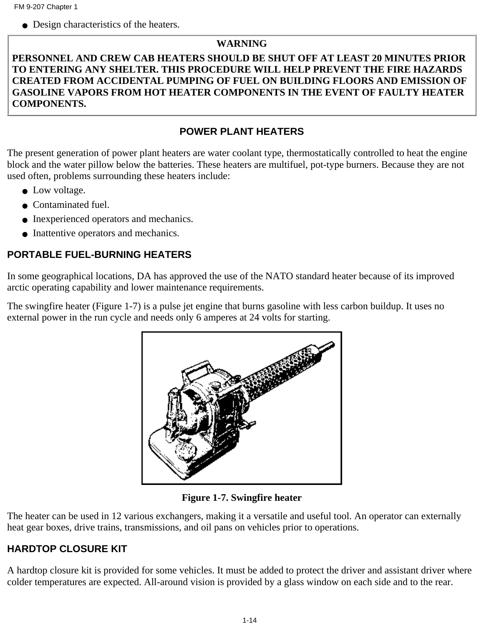• Design characteristics of the heaters.

#### **WARNING**

### **PERSONNEL AND CREW CAB HEATERS SHOULD BE SHUT OFF AT LEAST 20 MINUTES PRIOR TO ENTERING ANY SHELTER. THIS PROCEDURE WILL HELP PREVENT THE FIRE HAZARDS CREATED FROM ACCIDENTAL PUMPING OF FUEL ON BUILDING FLOORS AND EMISSION OF GASOLINE VAPORS FROM HOT HEATER COMPONENTS IN THE EVENT OF FAULTY HEATER COMPONENTS.**

## **POWER PLANT HEATERS**

The present generation of power plant heaters are water coolant type, thermostatically controlled to heat the engine block and the water pillow below the batteries. These heaters are multifuel, pot-type burners. Because they are not used often, problems surrounding these heaters include:

- Low voltage.
- Contaminated fuel.
- Inexperienced operators and mechanics.
- Inattentive operators and mechanics.

## **PORTABLE FUEL-BURNING HEATERS**

In some geographical locations, DA has approved the use of the NATO standard heater because of its improved arctic operating capability and lower maintenance requirements.

The swingfire heater (Figure 1-7) is a pulse jet engine that burns gasoline with less carbon buildup. It uses no external power in the run cycle and needs only 6 amperes at 24 volts for starting.



**Figure 1-7. Swingfire heater**

The heater can be used in 12 various exchangers, making it a versatile and useful tool. An operator can externally heat gear boxes, drive trains, transmissions, and oil pans on vehicles prior to operations.

# **HARDTOP CLOSURE KIT**

A hardtop closure kit is provided for some vehicles. It must be added to protect the driver and assistant driver where colder temperatures are expected. All-around vision is provided by a glass window on each side and to the rear.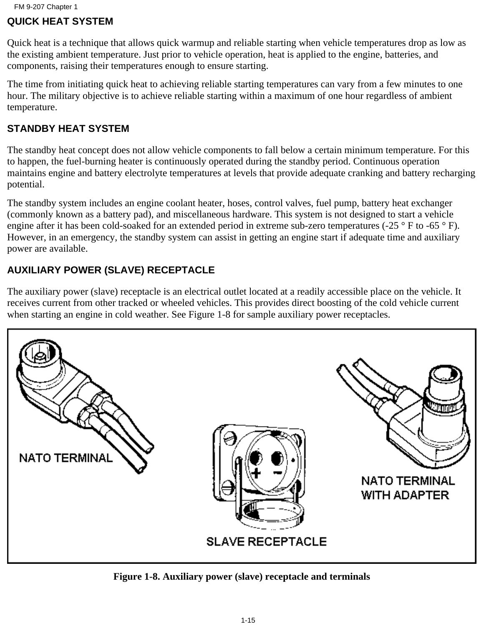### **QUICK HEAT SYSTEM**

Quick heat is a technique that allows quick warmup and reliable starting when vehicle temperatures drop as low as the existing ambient temperature. Just prior to vehicle operation, heat is applied to the engine, batteries, and components, raising their temperatures enough to ensure starting.

The time from initiating quick heat to achieving reliable starting temperatures can vary from a few minutes to one hour. The military objective is to achieve reliable starting within a maximum of one hour regardless of ambient temperature.

### **STANDBY HEAT SYSTEM**

The standby heat concept does not allow vehicle components to fall below a certain minimum temperature. For this to happen, the fuel-burning heater is continuously operated during the standby period. Continuous operation maintains engine and battery electrolyte temperatures at levels that provide adequate cranking and battery recharging potential.

The standby system includes an engine coolant heater, hoses, control valves, fuel pump, battery heat exchanger (commonly known as a battery pad), and miscellaneous hardware. This system is not designed to start a vehicle engine after it has been cold-soaked for an extended period in extreme sub-zero temperatures (-25 ° F to -65 ° F). However, in an emergency, the standby system can assist in getting an engine start if adequate time and auxiliary power are available.

## **AUXILIARY POWER (SLAVE) RECEPTACLE**

The auxiliary power (slave) receptacle is an electrical outlet located at a readily accessible place on the vehicle. It receives current from other tracked or wheeled vehicles. This provides direct boosting of the cold vehicle current when starting an engine in cold weather. See Figure 1-8 for sample auxiliary power receptacles.



**Figure 1-8. Auxiliary power (slave) receptacle and terminals**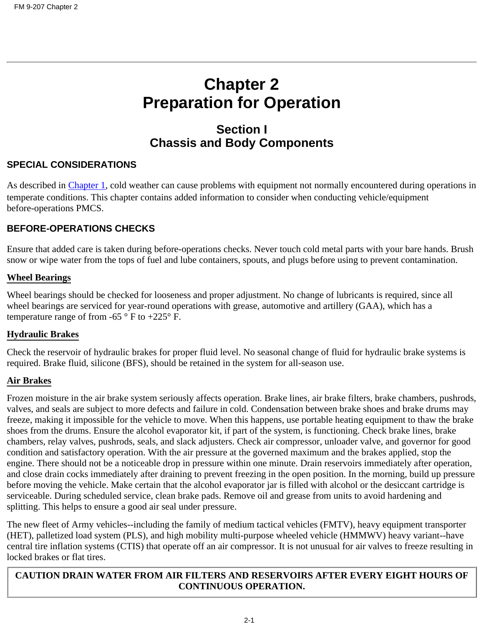# **Chapter 2 Preparation for Operation**

# **Section I Chassis and Body Components**

#### **SPECIAL CONSIDERATIONS**

As described in [Chapter 1](#page-6-0), cold weather can cause problems with equipment not normally encountered during operations in temperate conditions. This chapter contains added information to consider when conducting vehicle/equipment before-operations PMCS.

### **BEFORE-OPERATIONS CHECKS**

Ensure that added care is taken during before-operations checks. Never touch cold metal parts with your bare hands. Brush snow or wipe water from the tops of fuel and lube containers, spouts, and plugs before using to prevent contamination.

#### **Wheel Bearings**

Wheel bearings should be checked for looseness and proper adjustment. No change of lubricants is required, since all wheel bearings are serviced for year-round operations with grease, automotive and artillery (GAA), which has a temperature range of from -65  $\degree$  F to +225 $\degree$  F.

#### **Hydraulic Brakes**

Check the reservoir of hydraulic brakes for proper fluid level. No seasonal change of fluid for hydraulic brake systems is required. Brake fluid, silicone (BFS), should be retained in the system for all-season use.

#### **Air Brakes**

Frozen moisture in the air brake system seriously affects operation. Brake lines, air brake filters, brake chambers, pushrods, valves, and seals are subject to more defects and failure in cold. Condensation between brake shoes and brake drums may freeze, making it impossible for the vehicle to move. When this happens, use portable heating equipment to thaw the brake shoes from the drums. Ensure the alcohol evaporator kit, if part of the system, is functioning. Check brake lines, brake chambers, relay valves, pushrods, seals, and slack adjusters. Check air compressor, unloader valve, and governor for good condition and satisfactory operation. With the air pressure at the governed maximum and the brakes applied, stop the engine. There should not be a noticeable drop in pressure within one minute. Drain reservoirs immediately after operation, and close drain cocks immediately after draining to prevent freezing in the open position. In the morning, build up pressure before moving the vehicle. Make certain that the alcohol evaporator jar is filled with alcohol or the desiccant cartridge is serviceable. During scheduled service, clean brake pads. Remove oil and grease from units to avoid hardening and splitting. This helps to ensure a good air seal under pressure.

The new fleet of Army vehicles--including the family of medium tactical vehicles (FMTV), heavy equipment transporter (HET), palletized load system (PLS), and high mobility multi-purpose wheeled vehicle (HMMWV) heavy variant--have central tire inflation systems (CTIS) that operate off an air compressor. It is not unusual for air valves to freeze resulting in locked brakes or flat tires.

#### **CAUTION DRAIN WATER FROM AIR FILTERS AND RESERVOIRS AFTER EVERY EIGHT HOURS OF CONTINUOUS OPERATION.**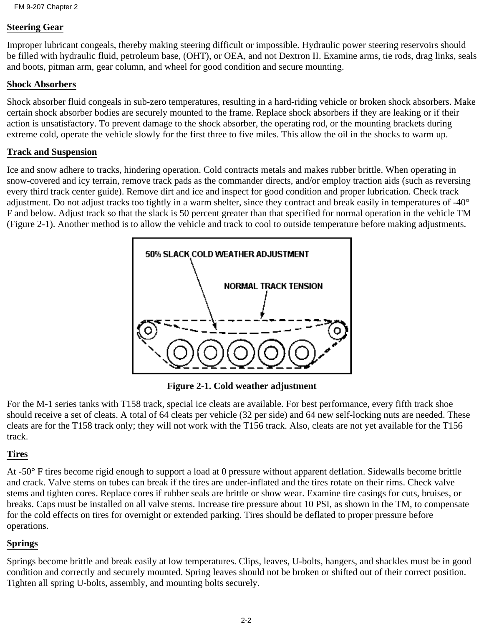#### **Steering Gear**

Improper lubricant congeals, thereby making steering difficult or impossible. Hydraulic power steering reservoirs should be filled with hydraulic fluid, petroleum base, (OHT), or OEA, and not Dextron II. Examine arms, tie rods, drag links, seals and boots, pitman arm, gear column, and wheel for good condition and secure mounting.

#### **Shock Absorbers**

Shock absorber fluid congeals in sub-zero temperatures, resulting in a hard-riding vehicle or broken shock absorbers. Make certain shock absorber bodies are securely mounted to the frame. Replace shock absorbers if they are leaking or if their action is unsatisfactory. To prevent damage to the shock absorber, the operating rod, or the mounting brackets during extreme cold, operate the vehicle slowly for the first three to five miles. This allow the oil in the shocks to warm up.

#### **Track and Suspension**

Ice and snow adhere to tracks, hindering operation. Cold contracts metals and makes rubber brittle. When operating in snow-covered and icy terrain, remove track pads as the commander directs, and/or employ traction aids (such as reversing every third track center guide). Remove dirt and ice and inspect for good condition and proper lubrication. Check track adjustment. Do not adjust tracks too tightly in a warm shelter, since they contract and break easily in temperatures of -40° F and below. Adjust track so that the slack is 50 percent greater than that specified for normal operation in the vehicle TM (Figure 2-1). Another method is to allow the vehicle and track to cool to outside temperature before making adjustments.



**Figure 2-1. Cold weather adjustment**

For the M-1 series tanks with T158 track, special ice cleats are available. For best performance, every fifth track shoe should receive a set of cleats. A total of 64 cleats per vehicle (32 per side) and 64 new self-locking nuts are needed. These cleats are for the T158 track only; they will not work with the T156 track. Also, cleats are not yet available for the T156 track.

#### **Tires**

At -50° F tires become rigid enough to support a load at 0 pressure without apparent deflation. Sidewalls become brittle and crack. Valve stems on tubes can break if the tires are under-inflated and the tires rotate on their rims. Check valve stems and tighten cores. Replace cores if rubber seals are brittle or show wear. Examine tire casings for cuts, bruises, or breaks. Caps must be installed on all valve stems. Increase tire pressure about 10 PSI, as shown in the TM, to compensate for the cold effects on tires for overnight or extended parking. Tires should be deflated to proper pressure before operations.

#### **Springs**

Springs become brittle and break easily at low temperatures. Clips, leaves, U-bolts, hangers, and shackles must be in good condition and correctly and securely mounted. Spring leaves should not be broken or shifted out of their correct position. Tighten all spring U-bolts, assembly, and mounting bolts securely.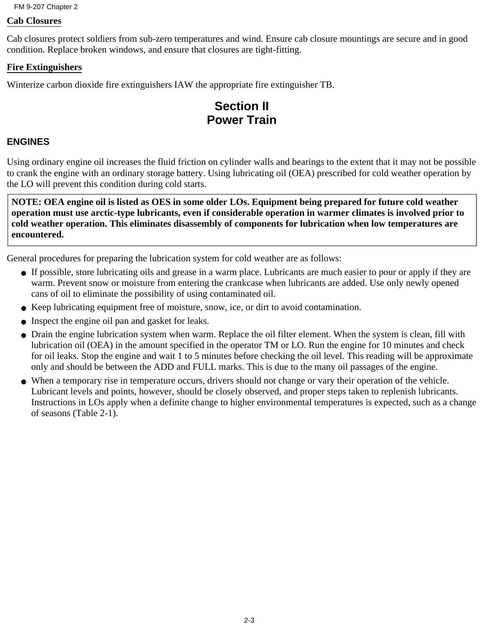FM 9-207 Chapter 2

#### **Cab Closures**

Cab closures protect soldiers from sub-zero temperatures and wind. Ensure cab closure mountings are secure and in good condition. Replace broken windows, and ensure that closures are tight-fitting.

#### **Fire Extinguishers**

Winterize carbon dioxide fire extinguishers IAW the appropriate fire extinguisher TB.

# **Section II Power Train**

#### **ENGINES**

Using ordinary engine oil increases the fluid friction on cylinder walls and bearings to the extent that it may not be possible to crank the engine with an ordinary storage battery. Using lubricating oil (OEA) prescribed for cold weather operation by the LO will prevent this condition during cold starts.

**NOTE: OEA engine oil is listed as OES in some older LOs. Equipment being prepared for future cold weather operation must use arctic-type lubricants, even if considerable operation in warmer climates is involved prior to cold weather operation. This eliminates disassembly of components for lubrication when low temperatures are encountered.**

General procedures for preparing the lubrication system for cold weather are as follows:

- If possible, store lubricating oils and grease in a warm place. Lubricants are much easier to pour or apply if they are warm. Prevent snow or moisture from entering the crankcase when lubricants are added. Use only newly opened cans of oil to eliminate the possibility of using contaminated oil.
- Keep lubricating equipment free of moisture, snow, ice, or dirt to avoid contamination.
- Inspect the engine oil pan and gasket for leaks.
- Drain the engine lubrication system when warm. Replace the oil filter element. When the system is clean, fill with lubrication oil (OEA) in the amount specified in the operator TM or LO. Run the engine for 10 minutes and check for oil leaks. Stop the engine and wait 1 to 5 minutes before checking the oil level. This reading will be approximate only and should be between the ADD and FULL marks. This is due to the many oil passages of the engine.
- When a temporary rise in temperature occurs, drivers should not change or vary their operation of the vehicle. Lubricant levels and points, however, should be closely observed, and proper steps taken to replenish lubricants. Instructions in LOs apply when a definite change to higher environmental temperatures is expected, such as a change of seasons (Table 2-1).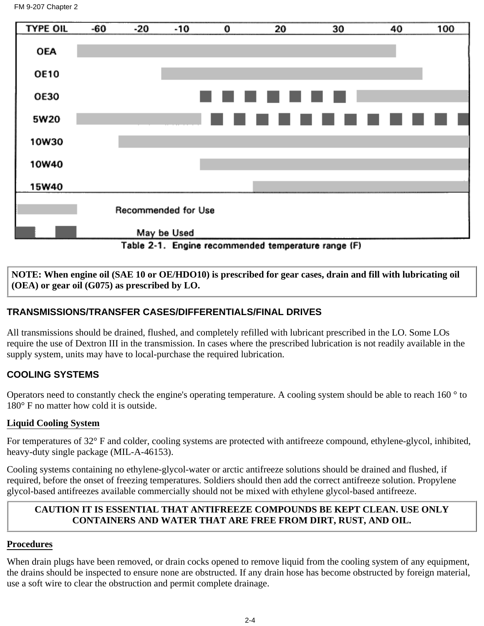

**NOTE: When engine oil (SAE 10 or OE/HDO10) is prescribed for gear cases, drain and fill with lubricating oil (OEA) or gear oil (G075) as prescribed by LO.**

## **TRANSMISSIONS/TRANSFER CASES/DIFFERENTIALS/FINAL DRIVES**

All transmissions should be drained, flushed, and completely refilled with lubricant prescribed in the LO. Some LOs require the use of Dextron III in the transmission. In cases where the prescribed lubrication is not readily available in the supply system, units may have to local-purchase the required lubrication.

## **COOLING SYSTEMS**

Operators need to constantly check the engine's operating temperature. A cooling system should be able to reach 160 ° to 180° F no matter how cold it is outside.

#### **Liquid Cooling System**

For temperatures of 32° F and colder, cooling systems are protected with antifreeze compound, ethylene-glycol, inhibited, heavy-duty single package (MIL-A-46153).

Cooling systems containing no ethylene-glycol-water or arctic antifreeze solutions should be drained and flushed, if required, before the onset of freezing temperatures. Soldiers should then add the correct antifreeze solution. Propylene glycol-based antifreezes available commercially should not be mixed with ethylene glycol-based antifreeze.

#### **CAUTION IT IS ESSENTIAL THAT ANTIFREEZE COMPOUNDS BE KEPT CLEAN. USE ONLY CONTAINERS AND WATER THAT ARE FREE FROM DIRT, RUST, AND OIL.**

#### **Procedures**

When drain plugs have been removed, or drain cocks opened to remove liquid from the cooling system of any equipment, the drains should be inspected to ensure none are obstructed. If any drain hose has become obstructed by foreign material, use a soft wire to clear the obstruction and permit complete drainage.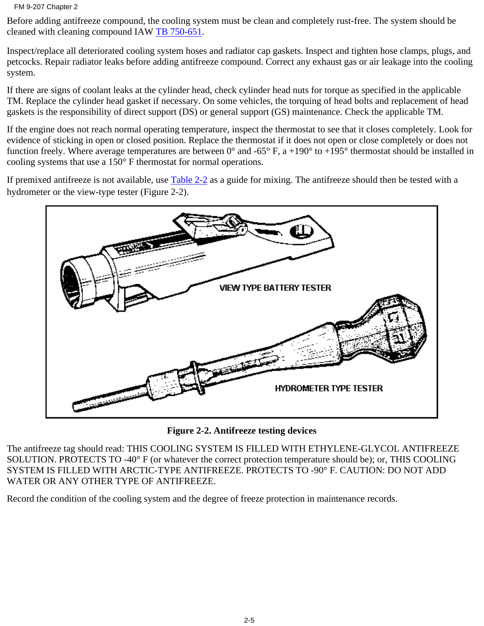FM 9-207 Chapter 2

Before adding antifreeze compound, the cooling system must be clean and completely rust-free. The system should be cleaned with cleaning compound IAW TB 750-651.

Inspect/replace all deteriorated cooling system hoses and radiator cap gaskets. Inspect and tighten hose clamps, plugs, and petcocks. Repair radiator leaks before adding antifreeze compound. Correct any exhaust gas or air leakage into the cooling system.

If there are signs of coolant leaks at the cylinder head, check cylinder head nuts for torque as specified in the applicable TM. Replace the cylinder head gasket if necessary. On some vehicles, the torquing of head bolts and replacement of head gaskets is the responsibility of direct support (DS) or general support (GS) maintenance. Check the applicable TM.

If the engine does not reach normal operating temperature, inspect the thermostat to see that it closes completely. Look for evidence of sticking in open or closed position. Replace the thermostat if it does not open or close completely or does not function freely. Where average temperatures are between  $0^{\circ}$  and -65° F, a +190° to +195° thermostat should be installed in cooling systems that use a 150° F thermostat for normal operations.

If premixed antifreeze is not available, use Table 2-2 as a guide for mixing. The antifreeze should then be tested with a hydrometer or the view-type tester (Figure 2-2).



**Figure 2-2. Antifreeze testing devices**

The antifreeze tag should read: THIS COOLING SYSTEM IS FILLED WITH ETHYLENE-GLYCOL ANTIFREEZE SOLUTION. PROTECTS TO -40° F (or whatever the correct protection temperature should be); or, THIS COOLING SYSTEM IS FILLED WITH ARCTIC-TYPE ANTIFREEZE. PROTECTS TO -90° F. CAUTION: DO NOT ADD WATER OR ANY OTHER TYPE OF ANTIFREEZE.

Record the condition of the cooling system and the degree of freeze protection in maintenance records.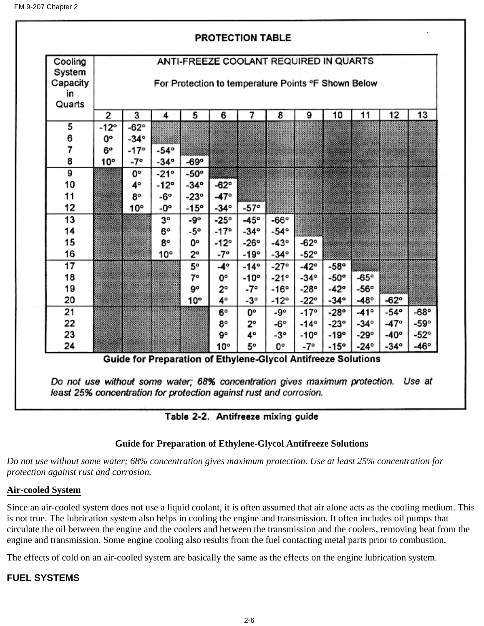

#### Table 2-2. Antifreeze mixing guide

#### **Guide for Preparation of Ethylene-Glycol Antifreeze Solutions**

*Do not use without some water; 68% concentration gives maximum protection. Use at least 25% concentration for protection against rust and corrosion.*

#### **Air-cooled System**

Since an air-cooled system does not use a liquid coolant, it is often assumed that air alone acts as the cooling medium. This is not true. The lubrication system also helps in cooling the engine and transmission. It often includes oil pumps that circulate the oil between the engine and the coolers and between the transmission and the coolers, removing heat from the engine and transmission. Some engine cooling also results from the fuel contacting metal parts prior to combustion.

The effects of cold on an air-cooled system are basically the same as the effects on the engine lubrication system.

#### **FUEL SYSTEMS**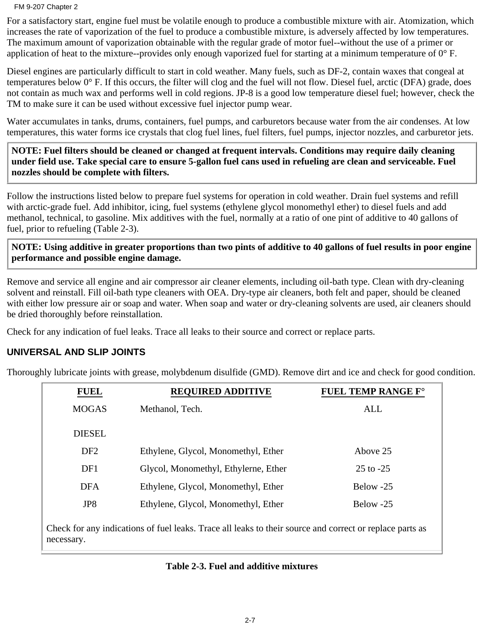#### FM 9-207 Chapter 2

For a satisfactory start, engine fuel must be volatile enough to produce a combustible mixture with air. Atomization, which increases the rate of vaporization of the fuel to produce a combustible mixture, is adversely affected by low temperatures. The maximum amount of vaporization obtainable with the regular grade of motor fuel--without the use of a primer or application of heat to the mixture--provides only enough vaporized fuel for starting at a minimum temperature of  $0^{\circ}$  F.

Diesel engines are particularly difficult to start in cold weather. Many fuels, such as DF-2, contain waxes that congeal at temperatures below 0° F. If this occurs, the filter will clog and the fuel will not flow. Diesel fuel, arctic (DFA) grade, does not contain as much wax and performs well in cold regions. JP-8 is a good low temperature diesel fuel; however, check the TM to make sure it can be used without excessive fuel injector pump wear.

Water accumulates in tanks, drums, containers, fuel pumps, and carburetors because water from the air condenses. At low temperatures, this water forms ice crystals that clog fuel lines, fuel filters, fuel pumps, injector nozzles, and carburetor jets.

**NOTE: Fuel filters should be cleaned or changed at frequent intervals. Conditions may require daily cleaning under field use. Take special care to ensure 5-gallon fuel cans used in refueling are clean and serviceable. Fuel nozzles should be complete with filters.**

Follow the instructions listed below to prepare fuel systems for operation in cold weather. Drain fuel systems and refill with arctic-grade fuel. Add inhibitor, icing, fuel systems (ethylene glycol monomethyl ether) to diesel fuels and add methanol, technical, to gasoline. Mix additives with the fuel, normally at a ratio of one pint of additive to 40 gallons of fuel, prior to refueling (Table 2-3).

**NOTE: Using additive in greater proportions than two pints of additive to 40 gallons of fuel results in poor engine performance and possible engine damage.**

Remove and service all engine and air compressor air cleaner elements, including oil-bath type. Clean with dry-cleaning solvent and reinstall. Fill oil-bath type cleaners with OEA. Dry-type air cleaners, both felt and paper, should be cleaned with either low pressure air or soap and water. When soap and water or dry-cleaning solvents are used, air cleaners should be dried thoroughly before reinstallation.

Check for any indication of fuel leaks. Trace all leaks to their source and correct or replace parts.

#### **UNIVERSAL AND SLIP JOINTS**

Thoroughly lubricate joints with grease, molybdenum disulfide (GMD). Remove dirt and ice and check for good condition.

| <b>FUEL</b>                                                                                                            | <b>REQUIRED ADDITIVE</b>             | FUEL TEMP RANGE F° |
|------------------------------------------------------------------------------------------------------------------------|--------------------------------------|--------------------|
| <b>MOGAS</b>                                                                                                           | Methanol, Tech.                      | <b>ALL</b>         |
| <b>DIESEL</b>                                                                                                          |                                      |                    |
| DF <sub>2</sub>                                                                                                        | Ethylene, Glycol, Monomethyl, Ether  | Above 25           |
| DF1                                                                                                                    | Glycol, Monomethyl, Ethylerne, Ether | $25$ to $-25$      |
| <b>DFA</b>                                                                                                             | Ethylene, Glycol, Monomethyl, Ether  | Below -25          |
| JP8                                                                                                                    | Ethylene, Glycol, Monomethyl, Ether  | Below -25          |
| Check for any indications of fuel leaks. Trace all leaks to their source and correct or replace parts as<br>necessary. |                                      |                    |

#### **Table 2-3. Fuel and additive mixtures**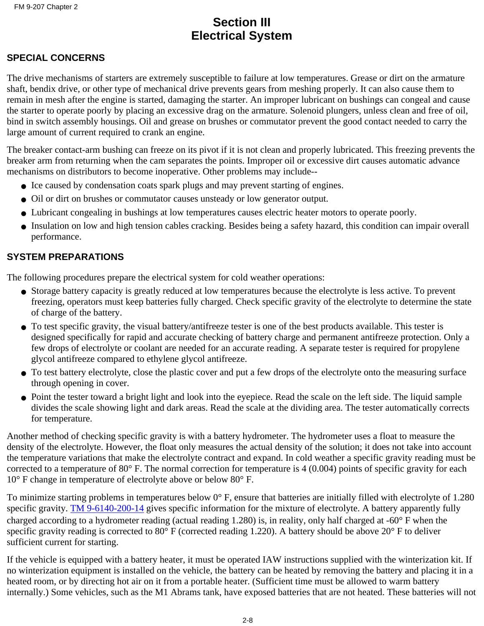# **Section III Electrical System**

#### **SPECIAL CONCERNS**

The drive mechanisms of starters are extremely susceptible to failure at low temperatures. Grease or dirt on the armature shaft, bendix drive, or other type of mechanical drive prevents gears from meshing properly. It can also cause them to remain in mesh after the engine is started, damaging the starter. An improper lubricant on bushings can congeal and cause the starter to operate poorly by placing an excessive drag on the armature. Solenoid plungers, unless clean and free of oil, bind in switch assembly housings. Oil and grease on brushes or commutator prevent the good contact needed to carry the large amount of current required to crank an engine.

The breaker contact-arm bushing can freeze on its pivot if it is not clean and properly lubricated. This freezing prevents the breaker arm from returning when the cam separates the points. Improper oil or excessive dirt causes automatic advance mechanisms on distributors to become inoperative. Other problems may include--

- Ice caused by condensation coats spark plugs and may prevent starting of engines.
- Oil or dirt on brushes or commutator causes unsteady or low generator output.
- Lubricant congealing in bushings at low temperatures causes electric heater motors to operate poorly.
- Insulation on low and high tension cables cracking. Besides being a safety hazard, this condition can impair overall performance.

#### **SYSTEM PREPARATIONS**

The following procedures prepare the electrical system for cold weather operations:

- Storage battery capacity is greatly reduced at low temperatures because the electrolyte is less active. To prevent freezing, operators must keep batteries fully charged. Check specific gravity of the electrolyte to determine the state of charge of the battery.
- To test specific gravity, the visual battery/antifreeze tester is one of the best products available. This tester is designed specifically for rapid and accurate checking of battery charge and permanent antifreeze protection. Only a few drops of electrolyte or coolant are needed for an accurate reading. A separate tester is required for propylene glycol antifreeze compared to ethylene glycol antifreeze.
- To test battery electrolyte, close the plastic cover and put a few drops of the electrolyte onto the measuring surface through opening in cover.
- Point the tester toward a bright light and look into the eyepiece. Read the scale on the left side. The liquid sample divides the scale showing light and dark areas. Read the scale at the dividing area. The tester automatically corrects for temperature.

Another method of checking specific gravity is with a battery hydrometer. The hydrometer uses a float to measure the density of the electrolyte. However, the float only measures the actual density of the solution; it does not take into account the temperature variations that make the electrolyte contract and expand. In cold weather a specific gravity reading must be corrected to a temperature of 80° F. The normal correction for temperature is 4 (0.004) points of specific gravity for each 10° F change in temperature of electrolyte above or below 80° F.

To minimize starting problems in temperatures below 0° F, ensure that batteries are initially filled with electrolyte of 1.280 specific gravity. TM 9-6140-200-14 gives specific information for the mixture of electrolyte. A battery apparently fully charged according to a hydrometer reading (actual reading 1.280) is, in reality, only half charged at -60° F when the specific gravity reading is corrected to 80 $^{\circ}$  F (corrected reading 1.220). A battery should be above 20 $^{\circ}$  F to deliver sufficient current for starting.

If the vehicle is equipped with a battery heater, it must be operated IAW instructions supplied with the winterization kit. If no winterization equipment is installed on the vehicle, the battery can be heated by removing the battery and placing it in a heated room, or by directing hot air on it from a portable heater. (Sufficient time must be allowed to warm battery internally.) Some vehicles, such as the M1 Abrams tank, have exposed batteries that are not heated. These batteries will not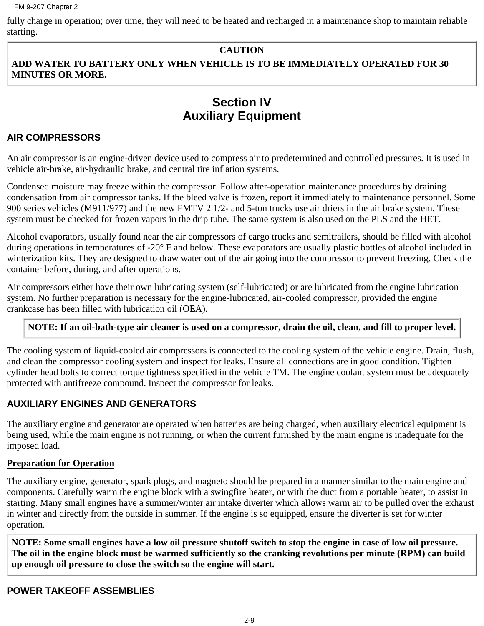fully charge in operation; over time, they will need to be heated and recharged in a maintenance shop to maintain reliable starting.

#### **CAUTION**

#### **ADD WATER TO BATTERY ONLY WHEN VEHICLE IS TO BE IMMEDIATELY OPERATED FOR 30 MINUTES OR MORE.**

# **Section IV Auxiliary Equipment**

#### **AIR COMPRESSORS**

An air compressor is an engine-driven device used to compress air to predetermined and controlled pressures. It is used in vehicle air-brake, air-hydraulic brake, and central tire inflation systems.

Condensed moisture may freeze within the compressor. Follow after-operation maintenance procedures by draining condensation from air compressor tanks. If the bleed valve is frozen, report it immediately to maintenance personnel. Some 900 series vehicles (M911/977) and the new FMTV 2 1/2- and 5-ton trucks use air driers in the air brake system. These system must be checked for frozen vapors in the drip tube. The same system is also used on the PLS and the HET.

Alcohol evaporators, usually found near the air compressors of cargo trucks and semitrailers, should be filled with alcohol during operations in temperatures of -20° F and below. These evaporators are usually plastic bottles of alcohol included in winterization kits. They are designed to draw water out of the air going into the compressor to prevent freezing. Check the container before, during, and after operations.

Air compressors either have their own lubricating system (self-lubricated) or are lubricated from the engine lubrication system. No further preparation is necessary for the engine-lubricated, air-cooled compressor, provided the engine crankcase has been filled with lubrication oil (OEA).

#### **NOTE: If an oil-bath-type air cleaner is used on a compressor, drain the oil, clean, and fill to proper level.**

The cooling system of liquid-cooled air compressors is connected to the cooling system of the vehicle engine. Drain, flush, and clean the compressor cooling system and inspect for leaks. Ensure all connections are in good condition. Tighten cylinder head bolts to correct torque tightness specified in the vehicle TM. The engine coolant system must be adequately protected with antifreeze compound. Inspect the compressor for leaks.

#### **AUXILIARY ENGINES AND GENERATORS**

The auxiliary engine and generator are operated when batteries are being charged, when auxiliary electrical equipment is being used, while the main engine is not running, or when the current furnished by the main engine is inadequate for the imposed load.

#### **Preparation for Operation**

The auxiliary engine, generator, spark plugs, and magneto should be prepared in a manner similar to the main engine and components. Carefully warm the engine block with a swingfire heater, or with the duct from a portable heater, to assist in starting. Many small engines have a summer/winter air intake diverter which allows warm air to be pulled over the exhaust in winter and directly from the outside in summer. If the engine is so equipped, ensure the diverter is set for winter operation.

**NOTE: Some small engines have a low oil pressure shutoff switch to stop the engine in case of low oil pressure. The oil in the engine block must be warmed sufficiently so the cranking revolutions per minute (RPM) can build up enough oil pressure to close the switch so the engine will start.**

#### **POWER TAKEOFF ASSEMBLIES**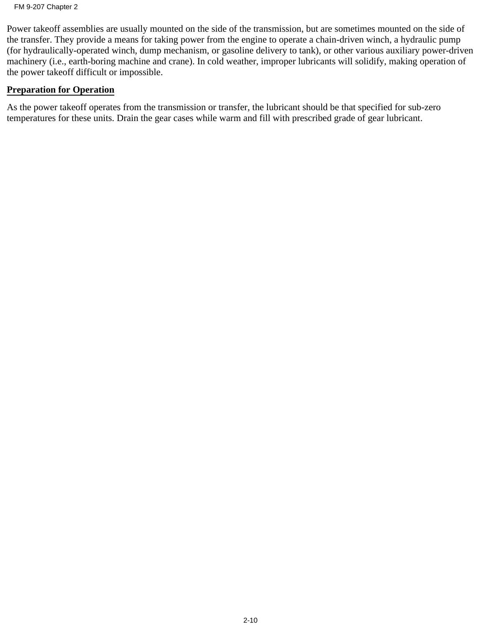Power takeoff assemblies are usually mounted on the side of the transmission, but are sometimes mounted on the side of the transfer. They provide a means for taking power from the engine to operate a chain-driven winch, a hydraulic pump (for hydraulically-operated winch, dump mechanism, or gasoline delivery to tank), or other various auxiliary power-driven machinery (i.e., earth-boring machine and crane). In cold weather, improper lubricants will solidify, making operation of the power takeoff difficult or impossible.

#### **Preparation for Operation**

As the power takeoff operates from the transmission or transfer, the lubricant should be that specified for sub-zero temperatures for these units. Drain the gear cases while warm and fill with prescribed grade of gear lubricant.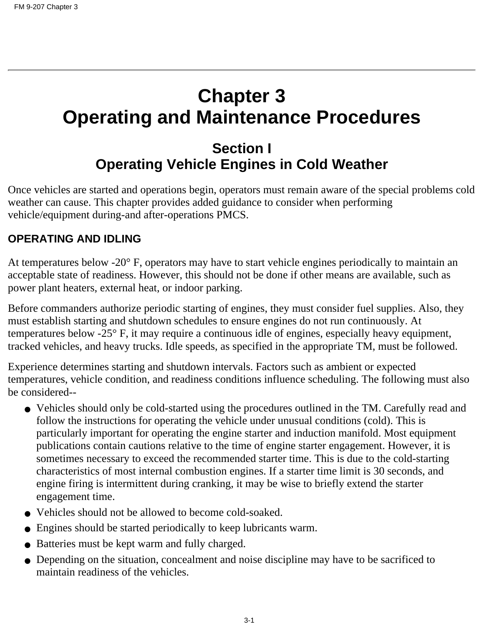# **Chapter 3 Operating and Maintenance Procedures**

# **Section I Operating Vehicle Engines in Cold Weather**

Once vehicles are started and operations begin, operators must remain aware of the special problems cold weather can cause. This chapter provides added guidance to consider when performing vehicle/equipment during-and after-operations PMCS.

# **OPERATING AND IDLING**

At temperatures below -20° F, operators may have to start vehicle engines periodically to maintain an acceptable state of readiness. However, this should not be done if other means are available, such as power plant heaters, external heat, or indoor parking.

Before commanders authorize periodic starting of engines, they must consider fuel supplies. Also, they must establish starting and shutdown schedules to ensure engines do not run continuously. At temperatures below -25° F, it may require a continuous idle of engines, especially heavy equipment, tracked vehicles, and heavy trucks. Idle speeds, as specified in the appropriate TM, must be followed.

Experience determines starting and shutdown intervals. Factors such as ambient or expected temperatures, vehicle condition, and readiness conditions influence scheduling. The following must also be considered--

- Vehicles should only be cold-started using the procedures outlined in the TM. Carefully read and follow the instructions for operating the vehicle under unusual conditions (cold). This is particularly important for operating the engine starter and induction manifold. Most equipment publications contain cautions relative to the time of engine starter engagement. However, it is sometimes necessary to exceed the recommended starter time. This is due to the cold-starting characteristics of most internal combustion engines. If a starter time limit is 30 seconds, and engine firing is intermittent during cranking, it may be wise to briefly extend the starter engagement time.
- Vehicles should not be allowed to become cold-soaked.
- Engines should be started periodically to keep lubricants warm.
- Batteries must be kept warm and fully charged.
- Depending on the situation, concealment and noise discipline may have to be sacrificed to maintain readiness of the vehicles.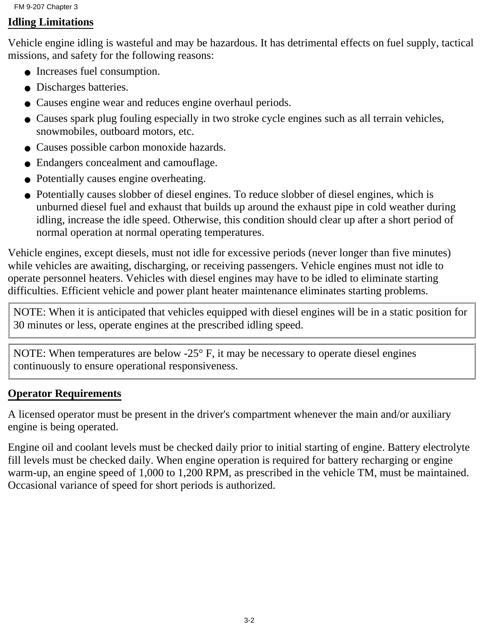## **Idling Limitations**

Vehicle engine idling is wasteful and may be hazardous. It has detrimental effects on fuel supply, tactical missions, and safety for the following reasons:

- Increases fuel consumption.
- Discharges batteries.
- Causes engine wear and reduces engine overhaul periods.
- Causes spark plug fouling especially in two stroke cycle engines such as all terrain vehicles, snowmobiles, outboard motors, etc.
- Causes possible carbon monoxide hazards.
- Endangers concealment and camouflage.
- Potentially causes engine overheating.
- Potentially causes slobber of diesel engines. To reduce slobber of diesel engines, which is unburned diesel fuel and exhaust that builds up around the exhaust pipe in cold weather during idling, increase the idle speed. Otherwise, this condition should clear up after a short period of normal operation at normal operating temperatures.

Vehicle engines, except diesels, must not idle for excessive periods (never longer than five minutes) while vehicles are awaiting, discharging, or receiving passengers. Vehicle engines must not idle to operate personnel heaters. Vehicles with diesel engines may have to be idled to eliminate starting difficulties. Efficient vehicle and power plant heater maintenance eliminates starting problems.

NOTE: When it is anticipated that vehicles equipped with diesel engines will be in a static position for 30 minutes or less, operate engines at the prescribed idling speed.

NOTE: When temperatures are below -25° F, it may be necessary to operate diesel engines continuously to ensure operational responsiveness.

# **Operator Requirements**

A licensed operator must be present in the driver's compartment whenever the main and/or auxiliary engine is being operated.

Engine oil and coolant levels must be checked daily prior to initial starting of engine. Battery electrolyte fill levels must be checked daily. When engine operation is required for battery recharging or engine warm-up, an engine speed of 1,000 to 1,200 RPM, as prescribed in the vehicle TM, must be maintained. Occasional variance of speed for short periods is authorized.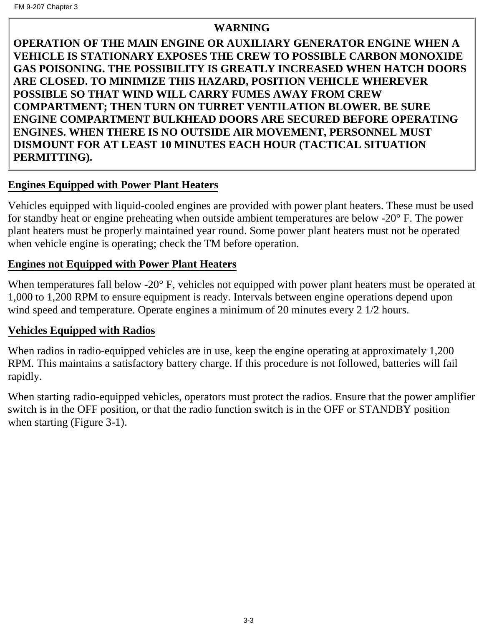# **WARNING**

**OPERATION OF THE MAIN ENGINE OR AUXILIARY GENERATOR ENGINE WHEN A VEHICLE IS STATIONARY EXPOSES THE CREW TO POSSIBLE CARBON MONOXIDE GAS POISONING. THE POSSIBILITY IS GREATLY INCREASED WHEN HATCH DOORS ARE CLOSED. TO MINIMIZE THIS HAZARD, POSITION VEHICLE WHEREVER POSSIBLE SO THAT WIND WILL CARRY FUMES AWAY FROM CREW COMPARTMENT; THEN TURN ON TURRET VENTILATION BLOWER. BE SURE ENGINE COMPARTMENT BULKHEAD DOORS ARE SECURED BEFORE OPERATING ENGINES. WHEN THERE IS NO OUTSIDE AIR MOVEMENT, PERSONNEL MUST DISMOUNT FOR AT LEAST 10 MINUTES EACH HOUR (TACTICAL SITUATION PERMITTING).**

# **Engines Equipped with Power Plant Heaters**

Vehicles equipped with liquid-cooled engines are provided with power plant heaters. These must be used for standby heat or engine preheating when outside ambient temperatures are below -20° F. The power plant heaters must be properly maintained year round. Some power plant heaters must not be operated when vehicle engine is operating; check the TM before operation.

# **Engines not Equipped with Power Plant Heaters**

When temperatures fall below -20° F, vehicles not equipped with power plant heaters must be operated at 1,000 to 1,200 RPM to ensure equipment is ready. Intervals between engine operations depend upon wind speed and temperature. Operate engines a minimum of 20 minutes every 2 1/2 hours.

# **Vehicles Equipped with Radios**

When radios in radio-equipped vehicles are in use, keep the engine operating at approximately 1,200 RPM. This maintains a satisfactory battery charge. If this procedure is not followed, batteries will fail rapidly.

When starting radio-equipped vehicles, operators must protect the radios. Ensure that the power amplifier switch is in the OFF position, or that the radio function switch is in the OFF or STANDBY position when starting (Figure 3-1).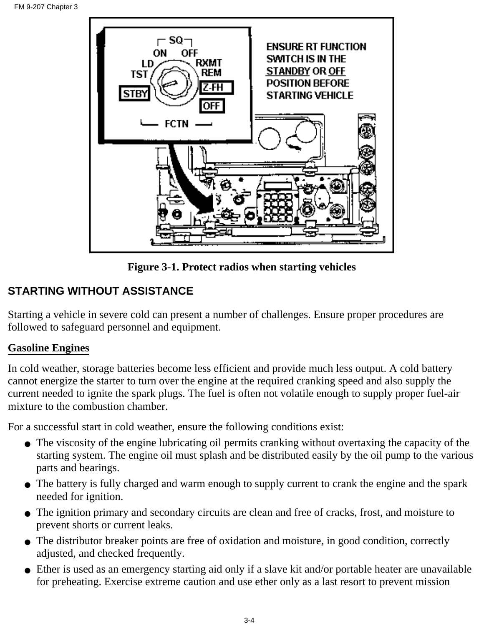

**Figure 3-1. Protect radios when starting vehicles**

# **STARTING WITHOUT ASSISTANCE**

Starting a vehicle in severe cold can present a number of challenges. Ensure proper procedures are followed to safeguard personnel and equipment.

## **Gasoline Engines**

In cold weather, storage batteries become less efficient and provide much less output. A cold battery cannot energize the starter to turn over the engine at the required cranking speed and also supply the current needed to ignite the spark plugs. The fuel is often not volatile enough to supply proper fuel-air mixture to the combustion chamber.

For a successful start in cold weather, ensure the following conditions exist:

- The viscosity of the engine lubricating oil permits cranking without overtaxing the capacity of the starting system. The engine oil must splash and be distributed easily by the oil pump to the various parts and bearings.
- The battery is fully charged and warm enough to supply current to crank the engine and the spark needed for ignition.
- The ignition primary and secondary circuits are clean and free of cracks, frost, and moisture to prevent shorts or current leaks.
- The distributor breaker points are free of oxidation and moisture, in good condition, correctly adjusted, and checked frequently.
- Ether is used as an emergency starting aid only if a slave kit and/or portable heater are unavailable for preheating. Exercise extreme caution and use ether only as a last resort to prevent mission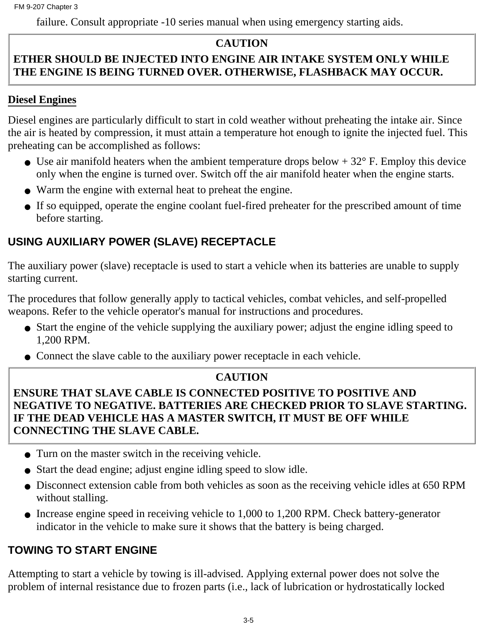failure. Consult appropriate -10 series manual when using emergency starting aids.

# **CAUTION**

# **ETHER SHOULD BE INJECTED INTO ENGINE AIR INTAKE SYSTEM ONLY WHILE THE ENGINE IS BEING TURNED OVER. OTHERWISE, FLASHBACK MAY OCCUR.**

# **Diesel Engines**

Diesel engines are particularly difficult to start in cold weather without preheating the intake air. Since the air is heated by compression, it must attain a temperature hot enough to ignite the injected fuel. This preheating can be accomplished as follows:

- Use air manifold heaters when the ambient temperature drops below  $+32^{\circ}$  F. Employ this device only when the engine is turned over. Switch off the air manifold heater when the engine starts.
- Warm the engine with external heat to preheat the engine.
- If so equipped, operate the engine coolant fuel-fired preheater for the prescribed amount of time before starting.

# **USING AUXILIARY POWER (SLAVE) RECEPTACLE**

The auxiliary power (slave) receptacle is used to start a vehicle when its batteries are unable to supply starting current.

The procedures that follow generally apply to tactical vehicles, combat vehicles, and self-propelled weapons. Refer to the vehicle operator's manual for instructions and procedures.

- Start the engine of the vehicle supplying the auxiliary power; adjust the engine idling speed to 1,200 RPM.
- Connect the slave cable to the auxiliary power receptacle in each vehicle.

# **CAUTION**

**ENSURE THAT SLAVE CABLE IS CONNECTED POSITIVE TO POSITIVE AND NEGATIVE TO NEGATIVE. BATTERIES ARE CHECKED PRIOR TO SLAVE STARTING. IF THE DEAD VEHICLE HAS A MASTER SWITCH, IT MUST BE OFF WHILE CONNECTING THE SLAVE CABLE.**

- Turn on the master switch in the receiving vehicle.
- Start the dead engine; adjust engine idling speed to slow idle.
- Disconnect extension cable from both vehicles as soon as the receiving vehicle idles at 650 RPM without stalling.
- Increase engine speed in receiving vehicle to 1,000 to 1,200 RPM. Check battery-generator indicator in the vehicle to make sure it shows that the battery is being charged.

# **TOWING TO START ENGINE**

Attempting to start a vehicle by towing is ill-advised. Applying external power does not solve the problem of internal resistance due to frozen parts (i.e., lack of lubrication or hydrostatically locked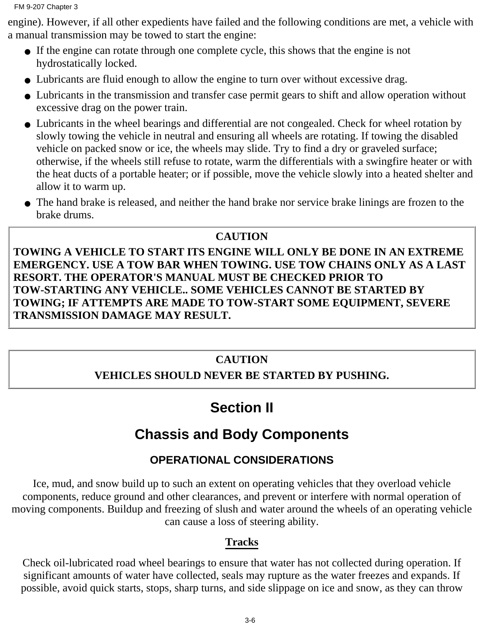engine). However, if all other expedients have failed and the following conditions are met, a vehicle with a manual transmission may be towed to start the engine:

- If the engine can rotate through one complete cycle, this shows that the engine is not hydrostatically locked.
- Lubricants are fluid enough to allow the engine to turn over without excessive drag.
- Lubricants in the transmission and transfer case permit gears to shift and allow operation without excessive drag on the power train.
- Lubricants in the wheel bearings and differential are not congealed. Check for wheel rotation by slowly towing the vehicle in neutral and ensuring all wheels are rotating. If towing the disabled vehicle on packed snow or ice, the wheels may slide. Try to find a dry or graveled surface; otherwise, if the wheels still refuse to rotate, warm the differentials with a swingfire heater or with the heat ducts of a portable heater; or if possible, move the vehicle slowly into a heated shelter and allow it to warm up.
- The hand brake is released, and neither the hand brake nor service brake linings are frozen to the brake drums.

#### **CAUTION**

**TOWING A VEHICLE TO START ITS ENGINE WILL ONLY BE DONE IN AN EXTREME EMERGENCY. USE A TOW BAR WHEN TOWING. USE TOW CHAINS ONLY AS A LAST RESORT. THE OPERATOR'S MANUAL MUST BE CHECKED PRIOR TO TOW-STARTING ANY VEHICLE.. SOME VEHICLES CANNOT BE STARTED BY TOWING; IF ATTEMPTS ARE MADE TO TOW-START SOME EQUIPMENT, SEVERE TRANSMISSION DAMAGE MAY RESULT.**

#### **CAUTION**

### **VEHICLES SHOULD NEVER BE STARTED BY PUSHING.**

## **Section II**

## **Chassis and Body Components**

## **OPERATIONAL CONSIDERATIONS**

Ice, mud, and snow build up to such an extent on operating vehicles that they overload vehicle components, reduce ground and other clearances, and prevent or interfere with normal operation of moving components. Buildup and freezing of slush and water around the wheels of an operating vehicle can cause a loss of steering ability.

#### **Tracks**

Check oil-lubricated road wheel bearings to ensure that water has not collected during operation. If significant amounts of water have collected, seals may rupture as the water freezes and expands. If possible, avoid quick starts, stops, sharp turns, and side slippage on ice and snow, as they can throw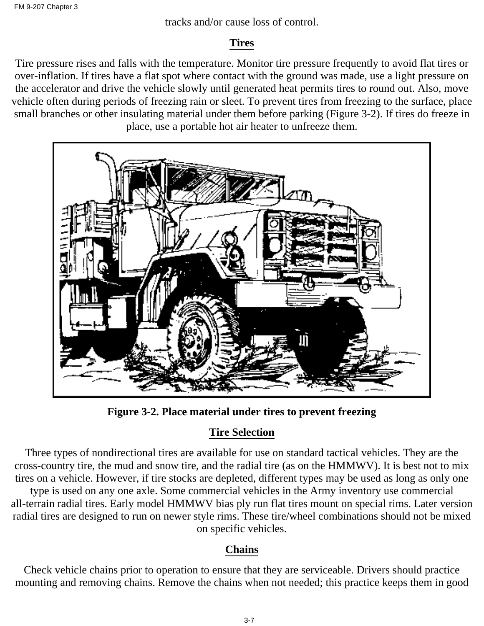tracks and/or cause loss of control.

### **Tires**

Tire pressure rises and falls with the temperature. Monitor tire pressure frequently to avoid flat tires or over-inflation. If tires have a flat spot where contact with the ground was made, use a light pressure on the accelerator and drive the vehicle slowly until generated heat permits tires to round out. Also, move vehicle often during periods of freezing rain or sleet. To prevent tires from freezing to the surface, place small branches or other insulating material under them before parking (Figure 3-2). If tires do freeze in place, use a portable hot air heater to unfreeze them.



**Figure 3-2. Place material under tires to prevent freezing**

## **Tire Selection**

Three types of nondirectional tires are available for use on standard tactical vehicles. They are the cross-country tire, the mud and snow tire, and the radial tire (as on the HMMWV). It is best not to mix tires on a vehicle. However, if tire stocks are depleted, different types may be used as long as only one

type is used on any one axle. Some commercial vehicles in the Army inventory use commercial all-terrain radial tires. Early model HMMWV bias ply run flat tires mount on special rims. Later version radial tires are designed to run on newer style rims. These tire/wheel combinations should not be mixed on specific vehicles.

### **Chains**

Check vehicle chains prior to operation to ensure that they are serviceable. Drivers should practice mounting and removing chains. Remove the chains when not needed; this practice keeps them in good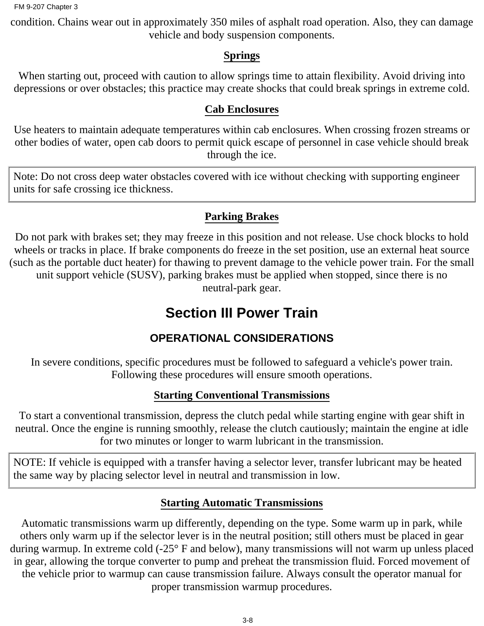condition. Chains wear out in approximately 350 miles of asphalt road operation. Also, they can damage vehicle and body suspension components.

#### **Springs**

When starting out, proceed with caution to allow springs time to attain flexibility. Avoid driving into depressions or over obstacles; this practice may create shocks that could break springs in extreme cold.

#### **Cab Enclosures**

Use heaters to maintain adequate temperatures within cab enclosures. When crossing frozen streams or other bodies of water, open cab doors to permit quick escape of personnel in case vehicle should break through the ice.

Note: Do not cross deep water obstacles covered with ice without checking with supporting engineer units for safe crossing ice thickness.

### **Parking Brakes**

Do not park with brakes set; they may freeze in this position and not release. Use chock blocks to hold wheels or tracks in place. If brake components do freeze in the set position, use an external heat source (such as the portable duct heater) for thawing to prevent damage to the vehicle power train. For the small unit support vehicle (SUSV), parking brakes must be applied when stopped, since there is no neutral-park gear.

## **Section III Power Train**

## **OPERATIONAL CONSIDERATIONS**

In severe conditions, specific procedures must be followed to safeguard a vehicle's power train. Following these procedures will ensure smooth operations.

### **Starting Conventional Transmissions**

To start a conventional transmission, depress the clutch pedal while starting engine with gear shift in neutral. Once the engine is running smoothly, release the clutch cautiously; maintain the engine at idle for two minutes or longer to warm lubricant in the transmission.

NOTE: If vehicle is equipped with a transfer having a selector lever, transfer lubricant may be heated the same way by placing selector level in neutral and transmission in low.

#### **Starting Automatic Transmissions**

Automatic transmissions warm up differently, depending on the type. Some warm up in park, while others only warm up if the selector lever is in the neutral position; still others must be placed in gear during warmup. In extreme cold (-25° F and below), many transmissions will not warm up unless placed in gear, allowing the torque converter to pump and preheat the transmission fluid. Forced movement of the vehicle prior to warmup can cause transmission failure. Always consult the operator manual for proper transmission warmup procedures.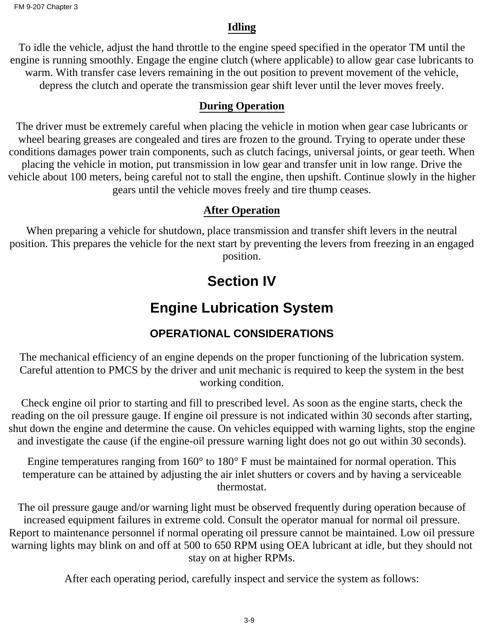#### **Idling**

To idle the vehicle, adjust the hand throttle to the engine speed specified in the operator TM until the engine is running smoothly. Engage the engine clutch (where applicable) to allow gear case lubricants to warm. With transfer case levers remaining in the out position to prevent movement of the vehicle, depress the clutch and operate the transmission gear shift lever until the lever moves freely.

#### **During Operation**

The driver must be extremely careful when placing the vehicle in motion when gear case lubricants or wheel bearing greases are congealed and tires are frozen to the ground. Trying to operate under these conditions damages power train components, such as clutch facings, universal joints, or gear teeth. When placing the vehicle in motion, put transmission in low gear and transfer unit in low range. Drive the vehicle about 100 meters, being careful not to stall the engine, then upshift. Continue slowly in the higher gears until the vehicle moves freely and tire thump ceases.

### **After Operation**

When preparing a vehicle for shutdown, place transmission and transfer shift levers in the neutral position. This prepares the vehicle for the next start by preventing the levers from freezing in an engaged position.

## **Section IV**

## **Engine Lubrication System**

## **OPERATIONAL CONSIDERATIONS**

The mechanical efficiency of an engine depends on the proper functioning of the lubrication system. Careful attention to PMCS by the driver and unit mechanic is required to keep the system in the best working condition.

Check engine oil prior to starting and fill to prescribed level. As soon as the engine starts, check the reading on the oil pressure gauge. If engine oil pressure is not indicated within 30 seconds after starting, shut down the engine and determine the cause. On vehicles equipped with warning lights, stop the engine and investigate the cause (if the engine-oil pressure warning light does not go out within 30 seconds).

Engine temperatures ranging from 160° to 180° F must be maintained for normal operation. This temperature can be attained by adjusting the air inlet shutters or covers and by having a serviceable thermostat.

The oil pressure gauge and/or warning light must be observed frequently during operation because of increased equipment failures in extreme cold. Consult the operator manual for normal oil pressure. Report to maintenance personnel if normal operating oil pressure cannot be maintained. Low oil pressure warning lights may blink on and off at 500 to 650 RPM using OEA lubricant at idle, but they should not stay on at higher RPMs.

After each operating period, carefully inspect and service the system as follows: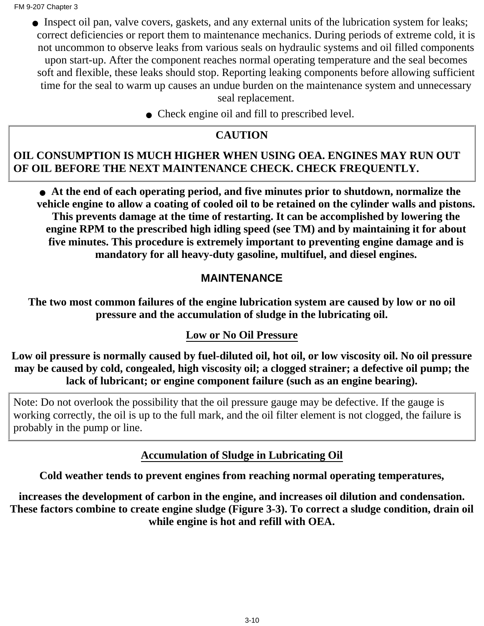• Inspect oil pan, valve covers, gaskets, and any external units of the lubrication system for leaks; correct deficiencies or report them to maintenance mechanics. During periods of extreme cold, it is not uncommon to observe leaks from various seals on hydraulic systems and oil filled components upon start-up. After the component reaches normal operating temperature and the seal becomes soft and flexible, these leaks should stop. Reporting leaking components before allowing sufficient time for the seal to warm up causes an undue burden on the maintenance system and unnecessary seal replacement.

• Check engine oil and fill to prescribed level.

#### **CAUTION**

#### **OIL CONSUMPTION IS MUCH HIGHER WHEN USING OEA. ENGINES MAY RUN OUT OF OIL BEFORE THE NEXT MAINTENANCE CHECK. CHECK FREQUENTLY.**

**At the end of each operating period, and five minutes prior to shutdown, normalize the** ● **vehicle engine to allow a coating of cooled oil to be retained on the cylinder walls and pistons. This prevents damage at the time of restarting. It can be accomplished by lowering the engine RPM to the prescribed high idling speed (see TM) and by maintaining it for about five minutes. This procedure is extremely important to preventing engine damage and is mandatory for all heavy-duty gasoline, multifuel, and diesel engines.**

#### **MAINTENANCE**

**The two most common failures of the engine lubrication system are caused by low or no oil pressure and the accumulation of sludge in the lubricating oil.**

#### **Low or No Oil Pressure**

**Low oil pressure is normally caused by fuel-diluted oil, hot oil, or low viscosity oil. No oil pressure may be caused by cold, congealed, high viscosity oil; a clogged strainer; a defective oil pump; the lack of lubricant; or engine component failure (such as an engine bearing).**

Note: Do not overlook the possibility that the oil pressure gauge may be defective. If the gauge is working correctly, the oil is up to the full mark, and the oil filter element is not clogged, the failure is probably in the pump or line.

#### **Accumulation of Sludge in Lubricating Oil**

**Cold weather tends to prevent engines from reaching normal operating temperatures,**

**increases the development of carbon in the engine, and increases oil dilution and condensation. These factors combine to create engine sludge (Figure 3-3). To correct a sludge condition, drain oil while engine is hot and refill with OEA.**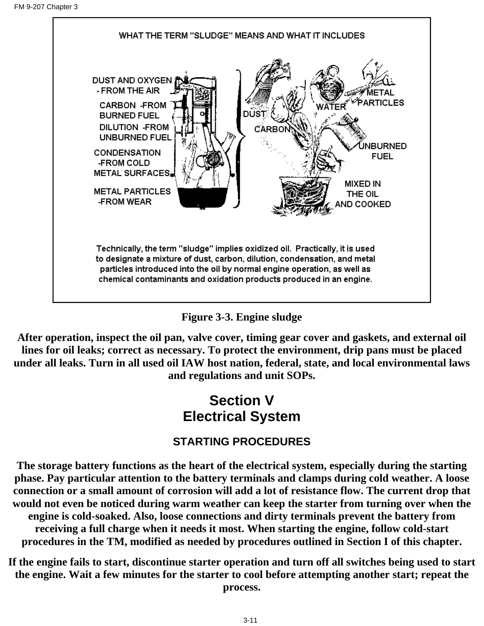



**After operation, inspect the oil pan, valve cover, timing gear cover and gaskets, and external oil lines for oil leaks; correct as necessary. To protect the environment, drip pans must be placed under all leaks. Turn in all used oil IAW host nation, federal, state, and local environmental laws and regulations and unit SOPs.**

## **Section V Electrical System**

## **STARTING PROCEDURES**

**The storage battery functions as the heart of the electrical system, especially during the starting phase. Pay particular attention to the battery terminals and clamps during cold weather. A loose connection or a small amount of corrosion will add a lot of resistance flow. The current drop that would not even be noticed during warm weather can keep the starter from turning over when the engine is cold-soaked. Also, loose connections and dirty terminals prevent the battery from receiving a full charge when it needs it most. When starting the engine, follow cold-start procedures in the TM, modified as needed by procedures outlined in Section I of this chapter.**

**If the engine fails to start, discontinue starter operation and turn off all switches being used to start the engine. Wait a few minutes for the starter to cool before attempting another start; repeat the process.**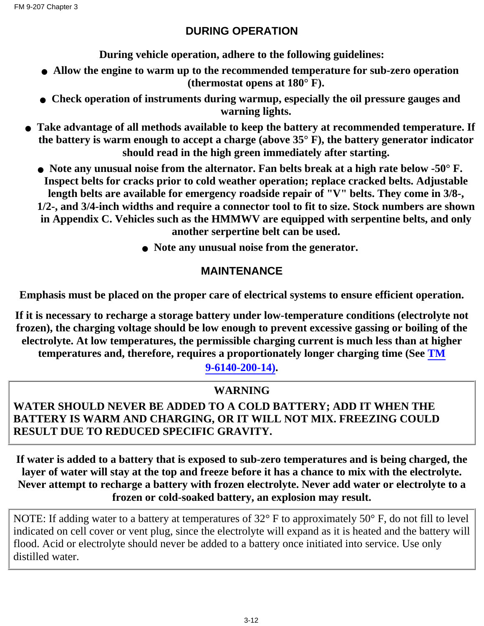### **DURING OPERATION**

**During vehicle operation, adhere to the following guidelines:**

- **Allow the engine to warm up to the recommended temperature for sub-zero operation (thermostat opens at 180° F).**
- **Check operation of instruments during warmup, especially the oil pressure gauges and warning lights.**
- **Take advantage of all methods available to keep the battery at recommended temperature. If the battery is warm enough to accept a charge (above 35° F), the battery generator indicator should read in the high green immediately after starting.**
	- **Note any unusual noise from the alternator. Fan belts break at a high rate below -50° F. Inspect belts for cracks prior to cold weather operation; replace cracked belts. Adjustable length belts are available for emergency roadside repair of "V" belts. They come in 3/8-, 1/2-, and 3/4-inch widths and require a connector tool to fit to size. Stock numbers are shown**

**in Appendix C. Vehicles such as the HMMWV are equipped with serpentine belts, and only another serpertine belt can be used.**

● **Note any unusual noise from the generator.**

#### **MAINTENANCE**

**Emphasis must be placed on the proper care of electrical systems to ensure efficient operation.**

**If it is necessary to recharge a storage battery under low-temperature conditions (electrolyte not frozen), the charging voltage should be low enough to prevent excessive gassing or boiling of the electrolyte. At low temperatures, the permissible charging current is much less than at higher temperatures and, therefore, requires a proportionately longer charging time (See TM**

**9-6140-200-14).**

### **WARNING**

### **WATER SHOULD NEVER BE ADDED TO A COLD BATTERY; ADD IT WHEN THE BATTERY IS WARM AND CHARGING, OR IT WILL NOT MIX. FREEZING COULD RESULT DUE TO REDUCED SPECIFIC GRAVITY.**

**If water is added to a battery that is exposed to sub-zero temperatures and is being charged, the layer of water will stay at the top and freeze before it has a chance to mix with the electrolyte. Never attempt to recharge a battery with frozen electrolyte. Never add water or electrolyte to a frozen or cold-soaked battery, an explosion may result.**

NOTE: If adding water to a battery at temperatures of 32° F to approximately 50° F, do not fill to level indicated on cell cover or vent plug, since the electrolyte will expand as it is heated and the battery will flood. Acid or electrolyte should never be added to a battery once initiated into service. Use only distilled water.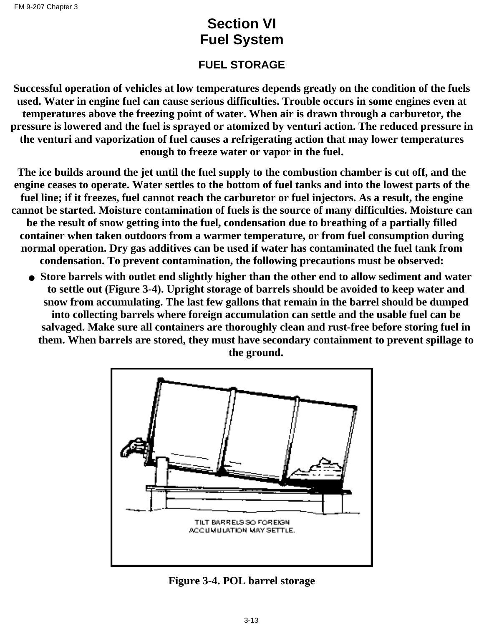## **Section VI Fuel System**

### **FUEL STORAGE**

**Successful operation of vehicles at low temperatures depends greatly on the condition of the fuels used. Water in engine fuel can cause serious difficulties. Trouble occurs in some engines even at temperatures above the freezing point of water. When air is drawn through a carburetor, the pressure is lowered and the fuel is sprayed or atomized by venturi action. The reduced pressure in the venturi and vaporization of fuel causes a refrigerating action that may lower temperatures enough to freeze water or vapor in the fuel.**

**The ice builds around the jet until the fuel supply to the combustion chamber is cut off, and the engine ceases to operate. Water settles to the bottom of fuel tanks and into the lowest parts of the fuel line; if it freezes, fuel cannot reach the carburetor or fuel injectors. As a result, the engine cannot be started. Moisture contamination of fuels is the source of many difficulties. Moisture can be the result of snow getting into the fuel, condensation due to breathing of a partially filled container when taken outdoors from a warmer temperature, or from fuel consumption during normal operation. Dry gas additives can be used if water has contaminated the fuel tank from condensation. To prevent contamination, the following precautions must be observed:**

**Store barrels with outlet end slightly higher than the other end to allow sediment and water** ● **to settle out (Figure 3-4). Upright storage of barrels should be avoided to keep water and snow from accumulating. The last few gallons that remain in the barrel should be dumped into collecting barrels where foreign accumulation can settle and the usable fuel can be salvaged. Make sure all containers are thoroughly clean and rust-free before storing fuel in them. When barrels are stored, they must have secondary containment to prevent spillage to the ground.**



**Figure 3-4. POL barrel storage**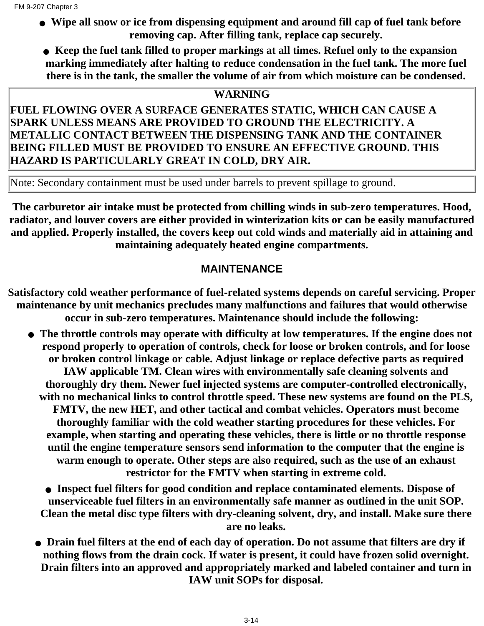- **Wipe all snow or ice from dispensing equipment and around fill cap of fuel tank before removing cap. After filling tank, replace cap securely.**
	- **Keep the fuel tank filled to proper markings at all times. Refuel only to the expansion marking immediately after halting to reduce condensation in the fuel tank. The more fuel there is in the tank, the smaller the volume of air from which moisture can be condensed.**

#### **WARNING**

#### **FUEL FLOWING OVER A SURFACE GENERATES STATIC, WHICH CAN CAUSE A SPARK UNLESS MEANS ARE PROVIDED TO GROUND THE ELECTRICITY. A METALLIC CONTACT BETWEEN THE DISPENSING TANK AND THE CONTAINER BEING FILLED MUST BE PROVIDED TO ENSURE AN EFFECTIVE GROUND. THIS HAZARD IS PARTICULARLY GREAT IN COLD, DRY AIR.**

Note: Secondary containment must be used under barrels to prevent spillage to ground.

**The carburetor air intake must be protected from chilling winds in sub-zero temperatures. Hood, radiator, and louver covers are either provided in winterization kits or can be easily manufactured and applied. Properly installed, the covers keep out cold winds and materially aid in attaining and maintaining adequately heated engine compartments.**

#### **MAINTENANCE**

**Satisfactory cold weather performance of fuel-related systems depends on careful servicing. Proper maintenance by unit mechanics precludes many malfunctions and failures that would otherwise occur in sub-zero temperatures. Maintenance should include the following:**

**The throttle controls may operate with difficulty at low temperatures. If the engine does not** ● **respond properly to operation of controls, check for loose or broken controls, and for loose or broken control linkage or cable. Adjust linkage or replace defective parts as required IAW applicable TM. Clean wires with environmentally safe cleaning solvents and thoroughly dry them. Newer fuel injected systems are computer-controlled electronically, with no mechanical links to control throttle speed. These new systems are found on the PLS, FMTV, the new HET, and other tactical and combat vehicles. Operators must become thoroughly familiar with the cold weather starting procedures for these vehicles. For example, when starting and operating these vehicles, there is little or no throttle response until the engine temperature sensors send information to the computer that the engine is warm enough to operate. Other steps are also required, such as the use of an exhaust restrictor for the FMTV when starting in extreme cold.**

**Inspect fuel filters for good condition and replace contaminated elements. Dispose of** ● **unserviceable fuel filters in an environmentally safe manner as outlined in the unit SOP. Clean the metal disc type filters with dry-cleaning solvent, dry, and install. Make sure there are no leaks.**

**Drain fuel filters at the end of each day of operation. Do not assume that filters are dry if** ● **nothing flows from the drain cock. If water is present, it could have frozen solid overnight. Drain filters into an approved and appropriately marked and labeled container and turn in IAW unit SOPs for disposal.**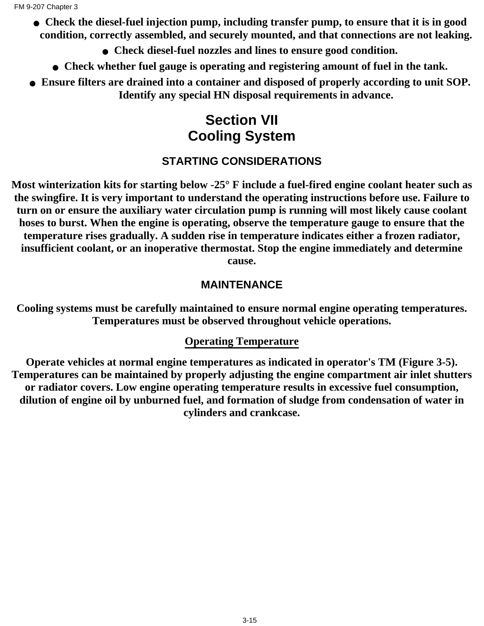- **Check the diesel-fuel injection pump, including transfer pump, to ensure that it is in good condition, correctly assembled, and securely mounted, and that connections are not leaking.**
	- **Check diesel-fuel nozzles and lines to ensure good condition.**
	- **Check whether fuel gauge is operating and registering amount of fuel in the tank.**
- **Ensure filters are drained into a container and disposed of properly according to unit SOP. Identify any special HN disposal requirements in advance.**

## **Section VII Cooling System**

## **STARTING CONSIDERATIONS**

**Most winterization kits for starting below -25° F include a fuel-fired engine coolant heater such as the swingfire. It is very important to understand the operating instructions before use. Failure to turn on or ensure the auxiliary water circulation pump is running will most likely cause coolant hoses to burst. When the engine is operating, observe the temperature gauge to ensure that the temperature rises gradually. A sudden rise in temperature indicates either a frozen radiator, insufficient coolant, or an inoperative thermostat. Stop the engine immediately and determine cause.**

### **MAINTENANCE**

**Cooling systems must be carefully maintained to ensure normal engine operating temperatures. Temperatures must be observed throughout vehicle operations.**

### **Operating Temperature**

**Operate vehicles at normal engine temperatures as indicated in operator's TM (Figure 3-5). Temperatures can be maintained by properly adjusting the engine compartment air inlet shutters or radiator covers. Low engine operating temperature results in excessive fuel consumption, dilution of engine oil by unburned fuel, and formation of sludge from condensation of water in cylinders and crankcase.**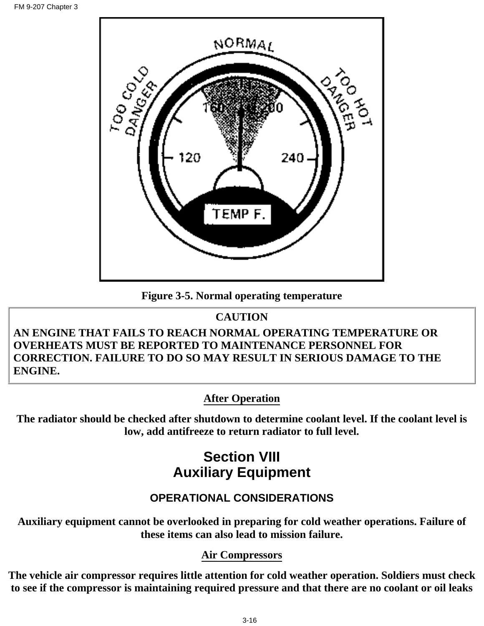

**Figure 3-5. Normal operating temperature**

### **CAUTION**

#### **AN ENGINE THAT FAILS TO REACH NORMAL OPERATING TEMPERATURE OR OVERHEATS MUST BE REPORTED TO MAINTENANCE PERSONNEL FOR CORRECTION. FAILURE TO DO SO MAY RESULT IN SERIOUS DAMAGE TO THE ENGINE.**

## **After Operation**

**The radiator should be checked after shutdown to determine coolant level. If the coolant level is low, add antifreeze to return radiator to full level.**

## **Section VIII Auxiliary Equipment**

## **OPERATIONAL CONSIDERATIONS**

**Auxiliary equipment cannot be overlooked in preparing for cold weather operations. Failure of these items can also lead to mission failure.**

#### **Air Compressors**

**The vehicle air compressor requires little attention for cold weather operation. Soldiers must check to see if the compressor is maintaining required pressure and that there are no coolant or oil leaks**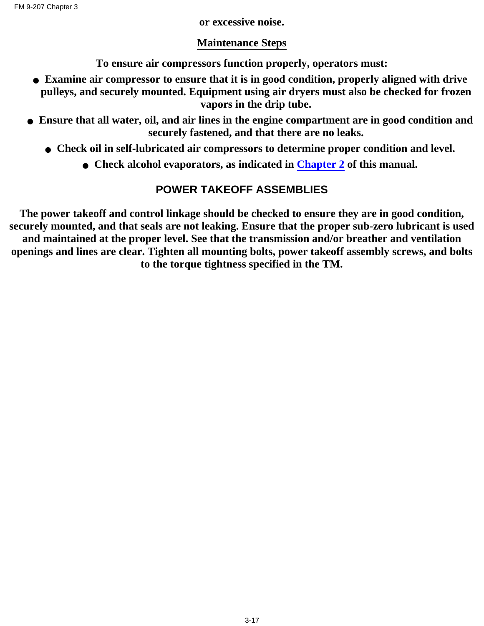#### **or excessive noise.**

#### **Maintenance Steps**

**To ensure air compressors function properly, operators must:**

- **Examine air compressor to ensure that it is in good condition, properly aligned with drive pulleys, and securely mounted. Equipment using air dryers must also be checked for frozen vapors in the drip tube.**
- **Ensure that all water, oil, and air lines in the engine compartment are in good condition and securely fastened, and that there are no leaks.**
	- **Check oil in self-lubricated air compressors to determine proper condition and level.**
		- **Check alcohol evaporators, as indicated in [Chapter 2](#page-21-0) of this manual.**

## **POWER TAKEOFF ASSEMBLIES**

**The power takeoff and control linkage should be checked to ensure they are in good condition, securely mounted, and that seals are not leaking. Ensure that the proper sub-zero lubricant is used and maintained at the proper level. See that the transmission and/or breather and ventilation openings and lines are clear. Tighten all mounting bolts, power takeoff assembly screws, and bolts to the torque tightness specified in the TM.**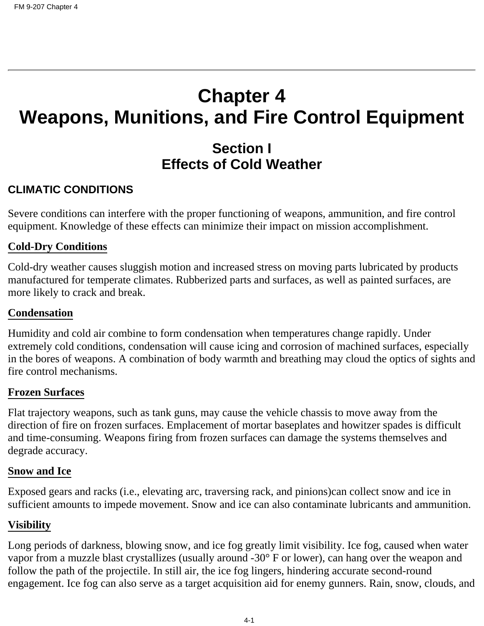# **Chapter 4 Weapons, Munitions, and Fire Control Equipment**

## **Section I Effects of Cold Weather**

#### **CLIMATIC CONDITIONS**

Severe conditions can interfere with the proper functioning of weapons, ammunition, and fire control equipment. Knowledge of these effects can minimize their impact on mission accomplishment.

#### **Cold-Dry Conditions**

Cold-dry weather causes sluggish motion and increased stress on moving parts lubricated by products manufactured for temperate climates. Rubberized parts and surfaces, as well as painted surfaces, are more likely to crack and break.

#### **Condensation**

Humidity and cold air combine to form condensation when temperatures change rapidly. Under extremely cold conditions, condensation will cause icing and corrosion of machined surfaces, especially in the bores of weapons. A combination of body warmth and breathing may cloud the optics of sights and fire control mechanisms.

#### **Frozen Surfaces**

Flat trajectory weapons, such as tank guns, may cause the vehicle chassis to move away from the direction of fire on frozen surfaces. Emplacement of mortar baseplates and howitzer spades is difficult and time-consuming. Weapons firing from frozen surfaces can damage the systems themselves and degrade accuracy.

#### **Snow and Ice**

Exposed gears and racks (i.e., elevating arc, traversing rack, and pinions)can collect snow and ice in sufficient amounts to impede movement. Snow and ice can also contaminate lubricants and ammunition.

#### **Visibility**

Long periods of darkness, blowing snow, and ice fog greatly limit visibility. Ice fog, caused when water vapor from a muzzle blast crystallizes (usually around -30° F or lower), can hang over the weapon and follow the path of the projectile. In still air, the ice fog lingers, hindering accurate second-round engagement. Ice fog can also serve as a target acquisition aid for enemy gunners. Rain, snow, clouds, and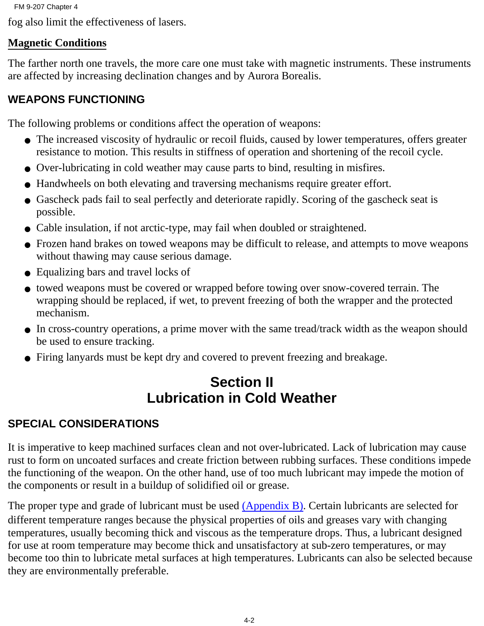fog also limit the effectiveness of lasers.

### **Magnetic Conditions**

The farther north one travels, the more care one must take with magnetic instruments. These instruments are affected by increasing declination changes and by Aurora Borealis.

## **WEAPONS FUNCTIONING**

The following problems or conditions affect the operation of weapons:

- The increased viscosity of hydraulic or recoil fluids, caused by lower temperatures, offers greater resistance to motion. This results in stiffness of operation and shortening of the recoil cycle.
- Over-lubricating in cold weather may cause parts to bind, resulting in misfires.
- Handwheels on both elevating and traversing mechanisms require greater effort.
- Gascheck pads fail to seal perfectly and deteriorate rapidly. Scoring of the gascheck seat is possible.
- Cable insulation, if not arctic-type, may fail when doubled or straightened.
- Frozen hand brakes on towed weapons may be difficult to release, and attempts to move weapons without thawing may cause serious damage.
- Equalizing bars and travel locks of
- towed weapons must be covered or wrapped before towing over snow-covered terrain. The wrapping should be replaced, if wet, to prevent freezing of both the wrapper and the protected mechanism.
- In cross-country operations, a prime mover with the same tread/track width as the weapon should be used to ensure tracking.
- Firing lanyards must be kept dry and covered to prevent freezing and breakage.

## **Section II Lubrication in Cold Weather**

## **SPECIAL CONSIDERATIONS**

It is imperative to keep machined surfaces clean and not over-lubricated. Lack of lubrication may cause rust to form on uncoated surfaces and create friction between rubbing surfaces. These conditions impede the functioning of the weapon. On the other hand, use of too much lubricant may impede the motion of the components or result in a buildup of solidified oil or grease.

The proper type and grade of lubricant must be used [\(Appendix B\).](#page-88-0) Certain lubricants are selected for different temperature ranges because the physical properties of oils and greases vary with changing temperatures, usually becoming thick and viscous as the temperature drops. Thus, a lubricant designed for use at room temperature may become thick and unsatisfactory at sub-zero temperatures, or may become too thin to lubricate metal surfaces at high temperatures. Lubricants can also be selected because they are environmentally preferable.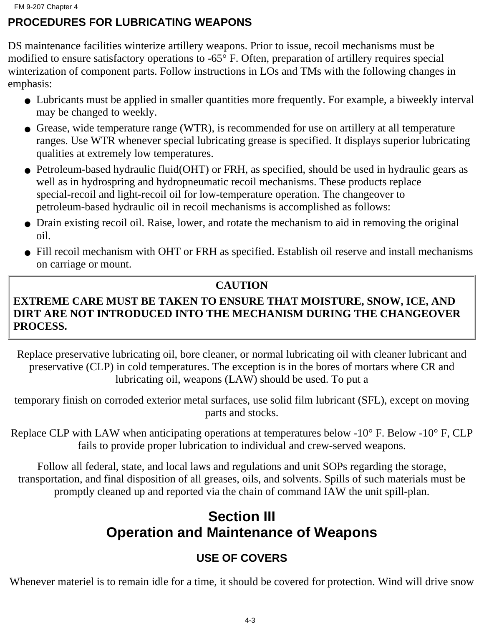## **PROCEDURES FOR LUBRICATING WEAPONS**

DS maintenance facilities winterize artillery weapons. Prior to issue, recoil mechanisms must be modified to ensure satisfactory operations to -65° F. Often, preparation of artillery requires special winterization of component parts. Follow instructions in LOs and TMs with the following changes in emphasis:

- Lubricants must be applied in smaller quantities more frequently. For example, a biweekly interval may be changed to weekly.
- Grease, wide temperature range (WTR), is recommended for use on artillery at all temperature ranges. Use WTR whenever special lubricating grease is specified. It displays superior lubricating qualities at extremely low temperatures.
- Petroleum-based hydraulic fluid(OHT) or FRH, as specified, should be used in hydraulic gears as well as in hydrospring and hydropneumatic recoil mechanisms. These products replace special-recoil and light-recoil oil for low-temperature operation. The changeover to petroleum-based hydraulic oil in recoil mechanisms is accomplished as follows:
- Drain existing recoil oil. Raise, lower, and rotate the mechanism to aid in removing the original oil.
- Fill recoil mechanism with OHT or FRH as specified. Establish oil reserve and install mechanisms on carriage or mount.

#### **CAUTION**

### **EXTREME CARE MUST BE TAKEN TO ENSURE THAT MOISTURE, SNOW, ICE, AND DIRT ARE NOT INTRODUCED INTO THE MECHANISM DURING THE CHANGEOVER PROCESS.**

Replace preservative lubricating oil, bore cleaner, or normal lubricating oil with cleaner lubricant and preservative (CLP) in cold temperatures. The exception is in the bores of mortars where CR and lubricating oil, weapons (LAW) should be used. To put a

temporary finish on corroded exterior metal surfaces, use solid film lubricant (SFL), except on moving parts and stocks.

Replace CLP with LAW when anticipating operations at temperatures below -10° F. Below -10° F, CLP fails to provide proper lubrication to individual and crew-served weapons.

Follow all federal, state, and local laws and regulations and unit SOPs regarding the storage, transportation, and final disposition of all greases, oils, and solvents. Spills of such materials must be promptly cleaned up and reported via the chain of command IAW the unit spill-plan.

## **Section III Operation and Maintenance of Weapons**

## **USE OF COVERS**

Whenever materiel is to remain idle for a time, it should be covered for protection. Wind will drive snow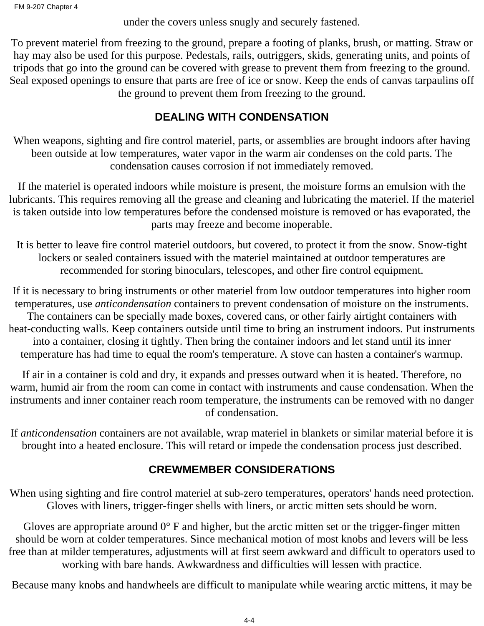under the covers unless snugly and securely fastened.

To prevent materiel from freezing to the ground, prepare a footing of planks, brush, or matting. Straw or hay may also be used for this purpose. Pedestals, rails, outriggers, skids, generating units, and points of tripods that go into the ground can be covered with grease to prevent them from freezing to the ground. Seal exposed openings to ensure that parts are free of ice or snow. Keep the ends of canvas tarpaulins off the ground to prevent them from freezing to the ground.

### **DEALING WITH CONDENSATION**

When weapons, sighting and fire control materiel, parts, or assemblies are brought indoors after having been outside at low temperatures, water vapor in the warm air condenses on the cold parts. The condensation causes corrosion if not immediately removed.

If the materiel is operated indoors while moisture is present, the moisture forms an emulsion with the lubricants. This requires removing all the grease and cleaning and lubricating the materiel. If the materiel is taken outside into low temperatures before the condensed moisture is removed or has evaporated, the parts may freeze and become inoperable.

It is better to leave fire control materiel outdoors, but covered, to protect it from the snow. Snow-tight lockers or sealed containers issued with the materiel maintained at outdoor temperatures are recommended for storing binoculars, telescopes, and other fire control equipment.

If it is necessary to bring instruments or other materiel from low outdoor temperatures into higher room temperatures, use *anticondensation* containers to prevent condensation of moisture on the instruments. The containers can be specially made boxes, covered cans, or other fairly airtight containers with heat-conducting walls. Keep containers outside until time to bring an instrument indoors. Put instruments into a container, closing it tightly. Then bring the container indoors and let stand until its inner temperature has had time to equal the room's temperature. A stove can hasten a container's warmup.

If air in a container is cold and dry, it expands and presses outward when it is heated. Therefore, no warm, humid air from the room can come in contact with instruments and cause condensation. When the instruments and inner container reach room temperature, the instruments can be removed with no danger of condensation.

If *anticondensation* containers are not available, wrap materiel in blankets or similar material before it is brought into a heated enclosure. This will retard or impede the condensation process just described.

## **CREWMEMBER CONSIDERATIONS**

When using sighting and fire control materiel at sub-zero temperatures, operators' hands need protection. Gloves with liners, trigger-finger shells with liners, or arctic mitten sets should be worn.

Gloves are appropriate around  $0^{\circ}$  F and higher, but the arctic mitten set or the trigger-finger mitten should be worn at colder temperatures. Since mechanical motion of most knobs and levers will be less free than at milder temperatures, adjustments will at first seem awkward and difficult to operators used to working with bare hands. Awkwardness and difficulties will lessen with practice.

Because many knobs and handwheels are difficult to manipulate while wearing arctic mittens, it may be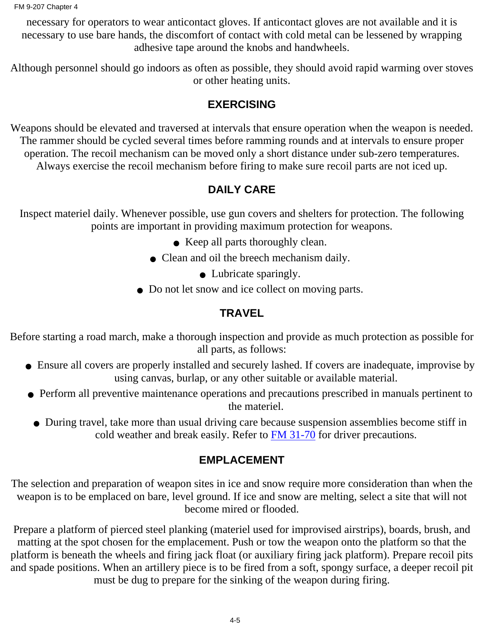necessary for operators to wear anticontact gloves. If anticontact gloves are not available and it is necessary to use bare hands, the discomfort of contact with cold metal can be lessened by wrapping adhesive tape around the knobs and handwheels.

Although personnel should go indoors as often as possible, they should avoid rapid warming over stoves or other heating units.

## **EXERCISING**

Weapons should be elevated and traversed at intervals that ensure operation when the weapon is needed. The rammer should be cycled several times before ramming rounds and at intervals to ensure proper operation. The recoil mechanism can be moved only a short distance under sub-zero temperatures. Always exercise the recoil mechanism before firing to make sure recoil parts are not iced up.

## **DAILY CARE**

Inspect materiel daily. Whenever possible, use gun covers and shelters for protection. The following points are important in providing maximum protection for weapons.

- Keep all parts thoroughly clean.
- Clean and oil the breech mechanism daily.
	- Lubricate sparingly.
- Do not let snow and ice collect on moving parts.

## **TRAVEL**

Before starting a road march, make a thorough inspection and provide as much protection as possible for all parts, as follows:

- Ensure all covers are properly installed and securely lashed. If covers are inadequate, improvise by using canvas, burlap, or any other suitable or available material.
- Perform all preventive maintenance operations and precautions prescribed in manuals pertinent to the materiel.
	- During travel, take more than usual driving care because suspension assemblies become stiff in cold weather and break easily. Refer to **FM 31-70** for driver precautions.

## **EMPLACEMENT**

The selection and preparation of weapon sites in ice and snow require more consideration than when the weapon is to be emplaced on bare, level ground. If ice and snow are melting, select a site that will not become mired or flooded.

Prepare a platform of pierced steel planking (materiel used for improvised airstrips), boards, brush, and matting at the spot chosen for the emplacement. Push or tow the weapon onto the platform so that the platform is beneath the wheels and firing jack float (or auxiliary firing jack platform). Prepare recoil pits and spade positions. When an artillery piece is to be fired from a soft, spongy surface, a deeper recoil pit must be dug to prepare for the sinking of the weapon during firing.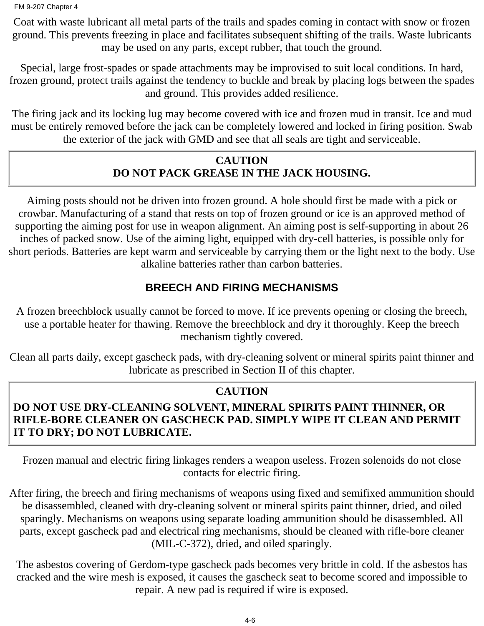Coat with waste lubricant all metal parts of the trails and spades coming in contact with snow or frozen ground. This prevents freezing in place and facilitates subsequent shifting of the trails. Waste lubricants may be used on any parts, except rubber, that touch the ground.

Special, large frost-spades or spade attachments may be improvised to suit local conditions. In hard, frozen ground, protect trails against the tendency to buckle and break by placing logs between the spades and ground. This provides added resilience.

The firing jack and its locking lug may become covered with ice and frozen mud in transit. Ice and mud must be entirely removed before the jack can be completely lowered and locked in firing position. Swab the exterior of the jack with GMD and see that all seals are tight and serviceable.

#### **CAUTION DO NOT PACK GREASE IN THE JACK HOUSING.**

Aiming posts should not be driven into frozen ground. A hole should first be made with a pick or crowbar. Manufacturing of a stand that rests on top of frozen ground or ice is an approved method of supporting the aiming post for use in weapon alignment. An aiming post is self-supporting in about 26 inches of packed snow. Use of the aiming light, equipped with dry-cell batteries, is possible only for short periods. Batteries are kept warm and serviceable by carrying them or the light next to the body. Use alkaline batteries rather than carbon batteries.

### **BREECH AND FIRING MECHANISMS**

A frozen breechblock usually cannot be forced to move. If ice prevents opening or closing the breech, use a portable heater for thawing. Remove the breechblock and dry it thoroughly. Keep the breech mechanism tightly covered.

Clean all parts daily, except gascheck pads, with dry-cleaning solvent or mineral spirits paint thinner and lubricate as prescribed in Section II of this chapter.

### **CAUTION**

### **DO NOT USE DRY-CLEANING SOLVENT, MINERAL SPIRITS PAINT THINNER, OR RIFLE-BORE CLEANER ON GASCHECK PAD. SIMPLY WIPE IT CLEAN AND PERMIT IT TO DRY; DO NOT LUBRICATE.**

Frozen manual and electric firing linkages renders a weapon useless. Frozen solenoids do not close contacts for electric firing.

After firing, the breech and firing mechanisms of weapons using fixed and semifixed ammunition should be disassembled, cleaned with dry-cleaning solvent or mineral spirits paint thinner, dried, and oiled sparingly. Mechanisms on weapons using separate loading ammunition should be disassembled. All parts, except gascheck pad and electrical ring mechanisms, should be cleaned with rifle-bore cleaner (MIL-C-372), dried, and oiled sparingly.

The asbestos covering of Gerdom-type gascheck pads becomes very brittle in cold. If the asbestos has cracked and the wire mesh is exposed, it causes the gascheck seat to become scored and impossible to repair. A new pad is required if wire is exposed.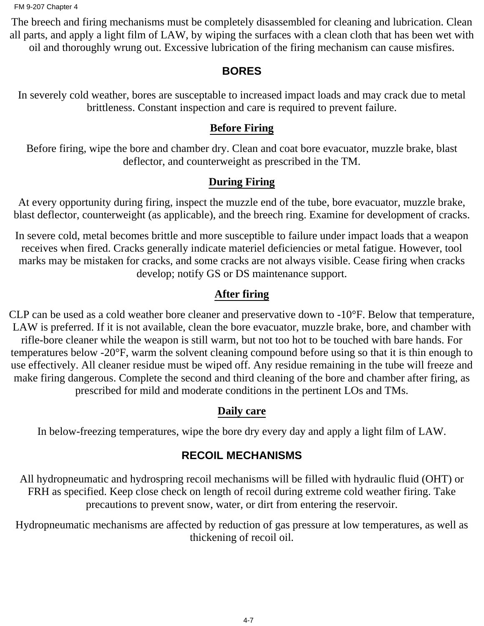The breech and firing mechanisms must be completely disassembled for cleaning and lubrication. Clean all parts, and apply a light film of LAW, by wiping the surfaces with a clean cloth that has been wet with oil and thoroughly wrung out. Excessive lubrication of the firing mechanism can cause misfires.

#### **BORES**

In severely cold weather, bores are susceptable to increased impact loads and may crack due to metal brittleness. Constant inspection and care is required to prevent failure.

#### **Before Firing**

Before firing, wipe the bore and chamber dry. Clean and coat bore evacuator, muzzle brake, blast deflector, and counterweight as prescribed in the TM.

#### **During Firing**

At every opportunity during firing, inspect the muzzle end of the tube, bore evacuator, muzzle brake, blast deflector, counterweight (as applicable), and the breech ring. Examine for development of cracks.

In severe cold, metal becomes brittle and more susceptible to failure under impact loads that a weapon receives when fired. Cracks generally indicate materiel deficiencies or metal fatigue. However, tool marks may be mistaken for cracks, and some cracks are not always visible. Cease firing when cracks develop; notify GS or DS maintenance support.

#### **After firing**

CLP can be used as a cold weather bore cleaner and preservative down to -10°F. Below that temperature, LAW is preferred. If it is not available, clean the bore evacuator, muzzle brake, bore, and chamber with rifle-bore cleaner while the weapon is still warm, but not too hot to be touched with bare hands. For temperatures below -20°F, warm the solvent cleaning compound before using so that it is thin enough to use effectively. All cleaner residue must be wiped off. Any residue remaining in the tube will freeze and make firing dangerous. Complete the second and third cleaning of the bore and chamber after firing, as prescribed for mild and moderate conditions in the pertinent LOs and TMs.

#### **Daily care**

In below-freezing temperatures, wipe the bore dry every day and apply a light film of LAW.

### **RECOIL MECHANISMS**

All hydropneumatic and hydrospring recoil mechanisms will be filled with hydraulic fluid (OHT) or FRH as specified. Keep close check on length of recoil during extreme cold weather firing. Take precautions to prevent snow, water, or dirt from entering the reservoir.

Hydropneumatic mechanisms are affected by reduction of gas pressure at low temperatures, as well as thickening of recoil oil.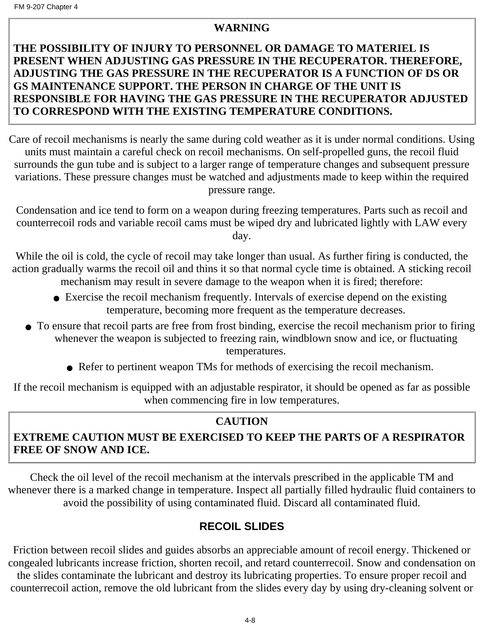#### **WARNING**

#### **THE POSSIBILITY OF INJURY TO PERSONNEL OR DAMAGE TO MATERIEL IS PRESENT WHEN ADJUSTING GAS PRESSURE IN THE RECUPERATOR. THEREFORE, ADJUSTING THE GAS PRESSURE IN THE RECUPERATOR IS A FUNCTION OF DS OR GS MAINTENANCE SUPPORT. THE PERSON IN CHARGE OF THE UNIT IS RESPONSIBLE FOR HAVING THE GAS PRESSURE IN THE RECUPERATOR ADJUSTED TO CORRESPOND WITH THE EXISTING TEMPERATURE CONDITIONS.**

Care of recoil mechanisms is nearly the same during cold weather as it is under normal conditions. Using units must maintain a careful check on recoil mechanisms. On self-propelled guns, the recoil fluid surrounds the gun tube and is subject to a larger range of temperature changes and subsequent pressure variations. These pressure changes must be watched and adjustments made to keep within the required pressure range.

Condensation and ice tend to form on a weapon during freezing temperatures. Parts such as recoil and counterrecoil rods and variable recoil cams must be wiped dry and lubricated lightly with LAW every day.

While the oil is cold, the cycle of recoil may take longer than usual. As further firing is conducted, the action gradually warms the recoil oil and thins it so that normal cycle time is obtained. A sticking recoil mechanism may result in severe damage to the weapon when it is fired; therefore:

- Exercise the recoil mechanism frequently. Intervals of exercise depend on the existing temperature, becoming more frequent as the temperature decreases.
- To ensure that recoil parts are free from frost binding, exercise the recoil mechanism prior to firing whenever the weapon is subjected to freezing rain, windblown snow and ice, or fluctuating temperatures.
	- Refer to pertinent weapon TMs for methods of exercising the recoil mechanism.

If the recoil mechanism is equipped with an adjustable respirator, it should be opened as far as possible when commencing fire in low temperatures.

### **CAUTION**

### **EXTREME CAUTION MUST BE EXERCISED TO KEEP THE PARTS OF A RESPIRATOR FREE OF SNOW AND ICE.**

Check the oil level of the recoil mechanism at the intervals prescribed in the applicable TM and whenever there is a marked change in temperature. Inspect all partially filled hydraulic fluid containers to avoid the possibility of using contaminated fluid. Discard all contaminated fluid.

### **RECOIL SLIDES**

Friction between recoil slides and guides absorbs an appreciable amount of recoil energy. Thickened or congealed lubricants increase friction, shorten recoil, and retard counterrecoil. Snow and condensation on the slides contaminate the lubricant and destroy its lubricating properties. To ensure proper recoil and counterrecoil action, remove the old lubricant from the slides every day by using dry-cleaning solvent or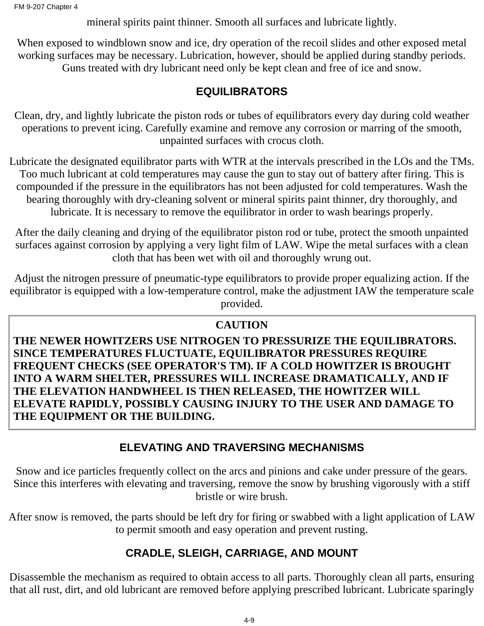mineral spirits paint thinner. Smooth all surfaces and lubricate lightly.

When exposed to windblown snow and ice, dry operation of the recoil slides and other exposed metal working surfaces may be necessary. Lubrication, however, should be applied during standby periods. Guns treated with dry lubricant need only be kept clean and free of ice and snow.

#### **EQUILIBRATORS**

Clean, dry, and lightly lubricate the piston rods or tubes of equilibrators every day during cold weather operations to prevent icing. Carefully examine and remove any corrosion or marring of the smooth, unpainted surfaces with crocus cloth.

Lubricate the designated equilibrator parts with WTR at the intervals prescribed in the LOs and the TMs. Too much lubricant at cold temperatures may cause the gun to stay out of battery after firing. This is compounded if the pressure in the equilibrators has not been adjusted for cold temperatures. Wash the bearing thoroughly with dry-cleaning solvent or mineral spirits paint thinner, dry thoroughly, and lubricate. It is necessary to remove the equilibrator in order to wash bearings properly.

After the daily cleaning and drying of the equilibrator piston rod or tube, protect the smooth unpainted surfaces against corrosion by applying a very light film of LAW. Wipe the metal surfaces with a clean cloth that has been wet with oil and thoroughly wrung out.

Adjust the nitrogen pressure of pneumatic-type equilibrators to provide proper equalizing action. If the equilibrator is equipped with a low-temperature control, make the adjustment IAW the temperature scale provided.

### **CAUTION**

**THE NEWER HOWITZERS USE NITROGEN TO PRESSURIZE THE EQUILIBRATORS. SINCE TEMPERATURES FLUCTUATE, EQUILIBRATOR PRESSURES REQUIRE FREQUENT CHECKS (SEE OPERATOR'S TM). IF A COLD HOWITZER IS BROUGHT INTO A WARM SHELTER, PRESSURES WILL INCREASE DRAMATICALLY, AND IF THE ELEVATION HANDWHEEL IS THEN RELEASED, THE HOWITZER WILL ELEVATE RAPIDLY, POSSIBLY CAUSING INJURY TO THE USER AND DAMAGE TO THE EQUIPMENT OR THE BUILDING.**

## **ELEVATING AND TRAVERSING MECHANISMS**

Snow and ice particles frequently collect on the arcs and pinions and cake under pressure of the gears. Since this interferes with elevating and traversing, remove the snow by brushing vigorously with a stiff bristle or wire brush.

After snow is removed, the parts should be left dry for firing or swabbed with a light application of LAW to permit smooth and easy operation and prevent rusting.

## **CRADLE, SLEIGH, CARRIAGE, AND MOUNT**

Disassemble the mechanism as required to obtain access to all parts. Thoroughly clean all parts, ensuring that all rust, dirt, and old lubricant are removed before applying prescribed lubricant. Lubricate sparingly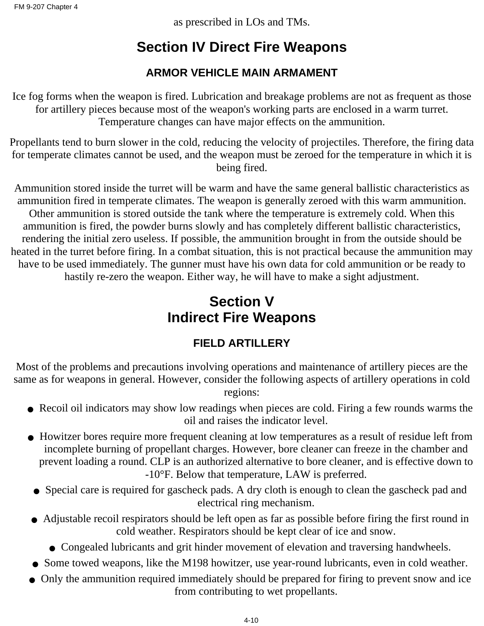as prescribed in LOs and TMs.

## **Section IV Direct Fire Weapons**

## **ARMOR VEHICLE MAIN ARMAMENT**

Ice fog forms when the weapon is fired. Lubrication and breakage problems are not as frequent as those for artillery pieces because most of the weapon's working parts are enclosed in a warm turret. Temperature changes can have major effects on the ammunition.

Propellants tend to burn slower in the cold, reducing the velocity of projectiles. Therefore, the firing data for temperate climates cannot be used, and the weapon must be zeroed for the temperature in which it is being fired.

Ammunition stored inside the turret will be warm and have the same general ballistic characteristics as ammunition fired in temperate climates. The weapon is generally zeroed with this warm ammunition. Other ammunition is stored outside the tank where the temperature is extremely cold. When this ammunition is fired, the powder burns slowly and has completely different ballistic characteristics, rendering the initial zero useless. If possible, the ammunition brought in from the outside should be heated in the turret before firing. In a combat situation, this is not practical because the ammunition may have to be used immediately. The gunner must have his own data for cold ammunition or be ready to hastily re-zero the weapon. Either way, he will have to make a sight adjustment.

## **Section V Indirect Fire Weapons**

## **FIELD ARTILLERY**

Most of the problems and precautions involving operations and maintenance of artillery pieces are the same as for weapons in general. However, consider the following aspects of artillery operations in cold regions:

- Recoil oil indicators may show low readings when pieces are cold. Firing a few rounds warms the oil and raises the indicator level.
- Howitzer bores require more frequent cleaning at low temperatures as a result of residue left from incomplete burning of propellant charges. However, bore cleaner can freeze in the chamber and prevent loading a round. CLP is an authorized alternative to bore cleaner, and is effective down to -10°F. Below that temperature, LAW is preferred.
- Special care is required for gascheck pads. A dry cloth is enough to clean the gascheck pad and electrical ring mechanism.
- Adjustable recoil respirators should be left open as far as possible before firing the first round in cold weather. Respirators should be kept clear of ice and snow.
	- Congealed lubricants and grit hinder movement of elevation and traversing handwheels.
- Some towed weapons, like the M198 howitzer, use year-round lubricants, even in cold weather.
- Only the ammunition required immediately should be prepared for firing to prevent snow and ice from contributing to wet propellants.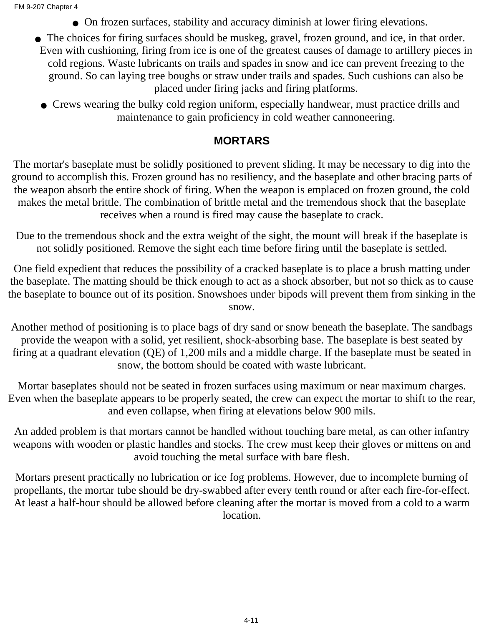- On frozen surfaces, stability and accuracy diminish at lower firing elevations.
- The choices for firing surfaces should be muskeg, gravel, frozen ground, and ice, in that order. Even with cushioning, firing from ice is one of the greatest causes of damage to artillery pieces in cold regions. Waste lubricants on trails and spades in snow and ice can prevent freezing to the ground. So can laying tree boughs or straw under trails and spades. Such cushions can also be placed under firing jacks and firing platforms.
	- Crews wearing the bulky cold region uniform, especially handwear, must practice drills and maintenance to gain proficiency in cold weather cannoneering.

#### **MORTARS**

The mortar's baseplate must be solidly positioned to prevent sliding. It may be necessary to dig into the ground to accomplish this. Frozen ground has no resiliency, and the baseplate and other bracing parts of the weapon absorb the entire shock of firing. When the weapon is emplaced on frozen ground, the cold makes the metal brittle. The combination of brittle metal and the tremendous shock that the baseplate receives when a round is fired may cause the baseplate to crack.

Due to the tremendous shock and the extra weight of the sight, the mount will break if the baseplate is not solidly positioned. Remove the sight each time before firing until the baseplate is settled.

One field expedient that reduces the possibility of a cracked baseplate is to place a brush matting under the baseplate. The matting should be thick enough to act as a shock absorber, but not so thick as to cause the baseplate to bounce out of its position. Snowshoes under bipods will prevent them from sinking in the snow.

Another method of positioning is to place bags of dry sand or snow beneath the baseplate. The sandbags provide the weapon with a solid, yet resilient, shock-absorbing base. The baseplate is best seated by firing at a quadrant elevation (QE) of 1,200 mils and a middle charge. If the baseplate must be seated in snow, the bottom should be coated with waste lubricant.

Mortar baseplates should not be seated in frozen surfaces using maximum or near maximum charges. Even when the baseplate appears to be properly seated, the crew can expect the mortar to shift to the rear, and even collapse, when firing at elevations below 900 mils.

An added problem is that mortars cannot be handled without touching bare metal, as can other infantry weapons with wooden or plastic handles and stocks. The crew must keep their gloves or mittens on and avoid touching the metal surface with bare flesh.

Mortars present practically no lubrication or ice fog problems. However, due to incomplete burning of propellants, the mortar tube should be dry-swabbed after every tenth round or after each fire-for-effect. At least a half-hour should be allowed before cleaning after the mortar is moved from a cold to a warm location.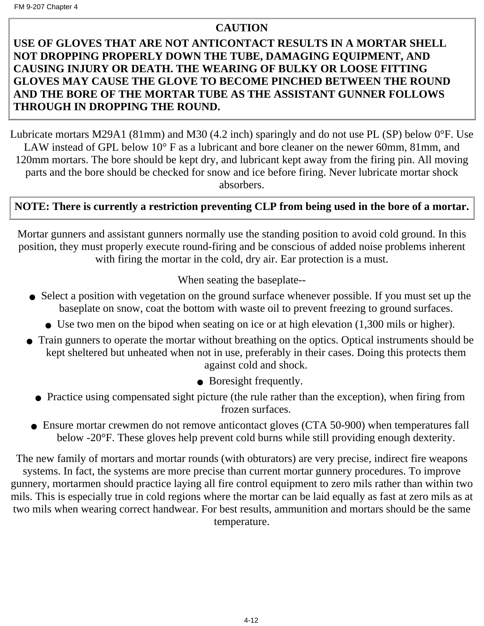#### **CAUTION**

#### **USE OF GLOVES THAT ARE NOT ANTICONTACT RESULTS IN A MORTAR SHELL NOT DROPPING PROPERLY DOWN THE TUBE, DAMAGING EQUIPMENT, AND CAUSING INJURY OR DEATH. THE WEARING OF BULKY OR LOOSE FITTING GLOVES MAY CAUSE THE GLOVE TO BECOME PINCHED BETWEEN THE ROUND AND THE BORE OF THE MORTAR TUBE AS THE ASSISTANT GUNNER FOLLOWS THROUGH IN DROPPING THE ROUND.**

Lubricate mortars M29A1 (81mm) and M30 (4.2 inch) sparingly and do not use PL (SP) below 0°F. Use LAW instead of GPL below 10° F as a lubricant and bore cleaner on the newer 60mm, 81mm, and 120mm mortars. The bore should be kept dry, and lubricant kept away from the firing pin. All moving parts and the bore should be checked for snow and ice before firing. Never lubricate mortar shock absorbers.

#### **NOTE: There is currently a restriction preventing CLP from being used in the bore of a mortar.**

Mortar gunners and assistant gunners normally use the standing position to avoid cold ground. In this position, they must properly execute round-firing and be conscious of added noise problems inherent with firing the mortar in the cold, dry air. Ear protection is a must.

When seating the baseplate--

- Select a position with vegetation on the ground surface whenever possible. If you must set up the baseplate on snow, coat the bottom with waste oil to prevent freezing to ground surfaces.
	- Use two men on the bipod when seating on ice or at high elevation (1,300 mils or higher).
- Train gunners to operate the mortar without breathing on the optics. Optical instruments should be kept sheltered but unheated when not in use, preferably in their cases. Doing this protects them against cold and shock.
	- Boresight frequently.
	- Practice using compensated sight picture (the rule rather than the exception), when firing from frozen surfaces.
- Ensure mortar crewmen do not remove anticontact gloves (CTA 50-900) when temperatures fall below -20°F. These gloves help prevent cold burns while still providing enough dexterity.

The new family of mortars and mortar rounds (with obturators) are very precise, indirect fire weapons systems. In fact, the systems are more precise than current mortar gunnery procedures. To improve gunnery, mortarmen should practice laying all fire control equipment to zero mils rather than within two mils. This is especially true in cold regions where the mortar can be laid equally as fast at zero mils as at two mils when wearing correct handwear. For best results, ammunition and mortars should be the same temperature.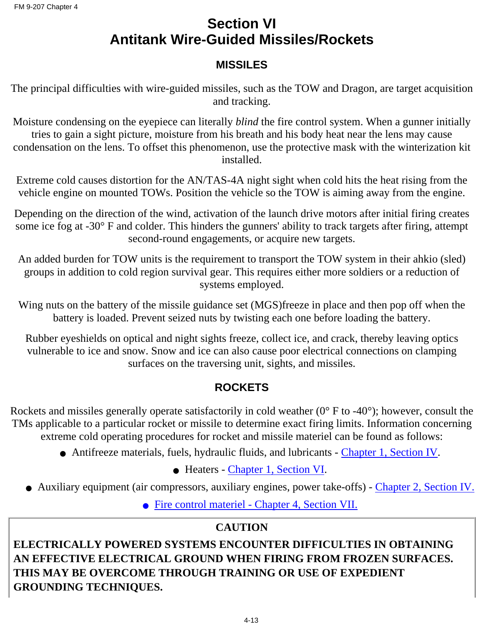## **Section VI Antitank Wire-Guided Missiles/Rockets**

### **MISSILES**

The principal difficulties with wire-guided missiles, such as the TOW and Dragon, are target acquisition and tracking.

Moisture condensing on the eyepiece can literally *blind* the fire control system. When a gunner initially tries to gain a sight picture, moisture from his breath and his body heat near the lens may cause condensation on the lens. To offset this phenomenon, use the protective mask with the winterization kit installed.

Extreme cold causes distortion for the AN/TAS-4A night sight when cold hits the heat rising from the vehicle engine on mounted TOWs. Position the vehicle so the TOW is aiming away from the engine.

Depending on the direction of the wind, activation of the launch drive motors after initial firing creates some ice fog at -30° F and colder. This hinders the gunners' ability to track targets after firing, attempt second-round engagements, or acquire new targets.

An added burden for TOW units is the requirement to transport the TOW system in their ahkio (sled) groups in addition to cold region survival gear. This requires either more soldiers or a reduction of systems employed.

Wing nuts on the battery of the missile guidance set (MGS)freeze in place and then pop off when the battery is loaded. Prevent seized nuts by twisting each one before loading the battery.

Rubber eyeshields on optical and night sights freeze, collect ice, and crack, thereby leaving optics vulnerable to ice and snow. Snow and ice can also cause poor electrical connections on clamping surfaces on the traversing unit, sights, and missiles.

## **ROCKETS**

Rockets and missiles generally operate satisfactorily in cold weather  $(0^{\circ}$  F to -40°); however, consult the TMs applicable to a particular rocket or missile to determine exact firing limits. Information concerning extreme cold operating procedures for rocket and missile materiel can be found as follows:

- Antifreeze materials, fuels, hydraulic fluids, and lubricants Chapter 1, Section IV.
	- Heaters Chapter 1, Section VI.
- Auxiliary equipment (air compressors, auxiliary engines, power take-offs) Chapter 2, Section IV.
	- Fire control materiel - [Chapter 4, Section VII.](#page-61-0)

## **[CAUTION](#page-61-0)**

**[ELECTRICALLY POWERED SYSTEMS ENCOUNTER DIFFICULTIES IN OBTAINING](#page-61-0) [AN EFFECTIVE ELECTRICAL GROUND WHEN FIRING FROM FROZEN SURFACES.](#page-61-0) [THIS MAY BE OVERCOME THROUGH TRAINING OR USE OF EXPEDIENT](#page-61-0) [GROUNDING TECHNIQUES.](#page-61-0)**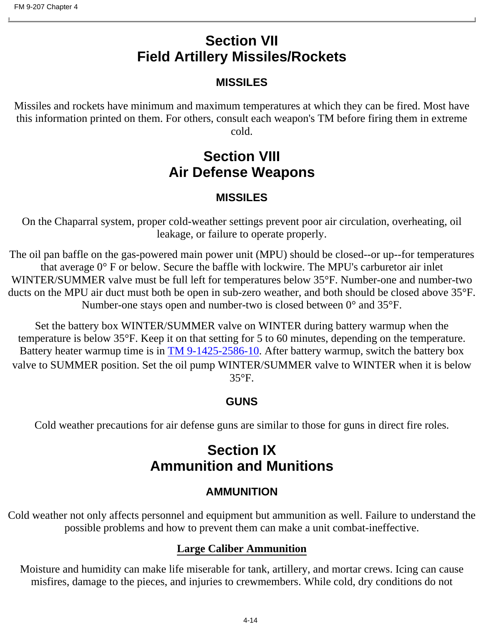## **Section VII Field Artillery Missiles/Rockets**

### **MISSILES**

<span id="page-61-0"></span>Missiles and rockets have minimum and maximum temperatures at which they can be fired. Most have this information printed on them. For others, consult each weapon's TM before firing them in extreme cold.

## **Section VIII Air Defense Weapons**

### **MISSILES**

On the Chaparral system, proper cold-weather settings prevent poor air circulation, overheating, oil leakage, or failure to operate properly.

The oil pan baffle on the gas-powered main power unit (MPU) should be closed--or up--for temperatures that average 0° F or below. Secure the baffle with lockwire. The MPU's carburetor air inlet WINTER/SUMMER valve must be full left for temperatures below 35°F. Number-one and number-two ducts on the MPU air duct must both be open in sub-zero weather, and both should be closed above 35°F. Number-one stays open and number-two is closed between 0° and 35°F.

Set the battery box WINTER/SUMMER valve on WINTER during battery warmup when the temperature is below 35°F. Keep it on that setting for 5 to 60 minutes, depending on the temperature. Battery heater warmup time is in TM 9-1425-2586-10. After battery warmup, switch the battery box valve to SUMMER position. Set the oil pump WINTER/SUMMER valve to WINTER when it is below 35°F.

### **GUNS**

Cold weather precautions for air defense guns are similar to those for guns in direct fire roles.

## **Section IX Ammunition and Munitions**

## **AMMUNITION**

Cold weather not only affects personnel and equipment but ammunition as well. Failure to understand the possible problems and how to prevent them can make a unit combat-ineffective.

### **Large Caliber Ammunition**

Moisture and humidity can make life miserable for tank, artillery, and mortar crews. Icing can cause misfires, damage to the pieces, and injuries to crewmembers. While cold, dry conditions do not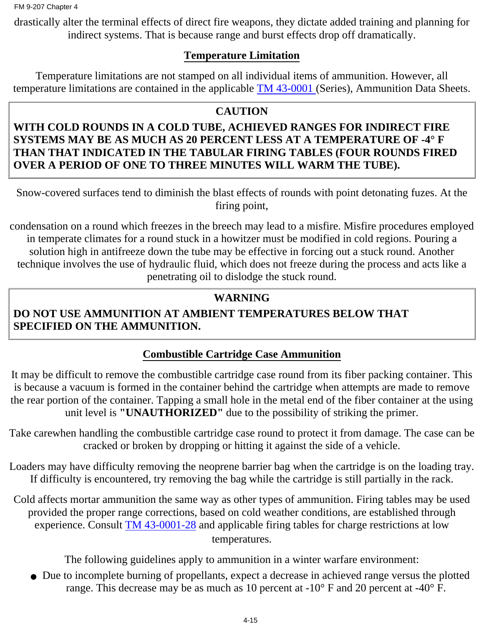drastically alter the terminal effects of direct fire weapons, they dictate added training and planning for indirect systems. That is because range and burst effects drop off dramatically.

#### **Temperature Limitation**

Temperature limitations are not stamped on all individual items of ammunition. However, all temperature limitations are contained in the applicable [TM 43-0001](#page-108-0) (Series), Ammunition Data Sheets.

### **CAUTION**

#### **WITH COLD ROUNDS IN A COLD TUBE, ACHIEVED RANGES FOR INDIRECT FIRE SYSTEMS MAY BE AS MUCH AS 20 PERCENT LESS AT A TEMPERATURE OF -4° F THAN THAT INDICATED IN THE TABULAR FIRING TABLES (FOUR ROUNDS FIRED OVER A PERIOD OF ONE TO THREE MINUTES WILL WARM THE TUBE).**

Snow-covered surfaces tend to diminish the blast effects of rounds with point detonating fuzes. At the firing point,

condensation on a round which freezes in the breech may lead to a misfire. Misfire procedures employed in temperate climates for a round stuck in a howitzer must be modified in cold regions. Pouring a solution high in antifreeze down the tube may be effective in forcing out a stuck round. Another technique involves the use of hydraulic fluid, which does not freeze during the process and acts like a penetrating oil to dislodge the stuck round.

## **WARNING**

## **DO NOT USE AMMUNITION AT AMBIENT TEMPERATURES BELOW THAT SPECIFIED ON THE AMMUNITION.**

## **Combustible Cartridge Case Ammunition**

It may be difficult to remove the combustible cartridge case round from its fiber packing container. This is because a vacuum is formed in the container behind the cartridge when attempts are made to remove the rear portion of the container. Tapping a small hole in the metal end of the fiber container at the using unit level is **"UNAUTHORIZED"** due to the possibility of striking the primer.

Take carewhen handling the combustible cartridge case round to protect it from damage. The case can be cracked or broken by dropping or hitting it against the side of a vehicle.

Loaders may have difficulty removing the neoprene barrier bag when the cartridge is on the loading tray. If difficulty is encountered, try removing the bag while the cartridge is still partially in the rack.

Cold affects mortar ammunition the same way as other types of ammunition. Firing tables may be used provided the proper range corrections, based on cold weather conditions, are established through experience. Consult [TM 43-0001-28](#page-108-0) and applicable firing tables for charge restrictions at low temperatures.

The following guidelines apply to ammunition in a winter warfare environment:

• Due to incomplete burning of propellants, expect a decrease in achieved range versus the plotted range. This decrease may be as much as 10 percent at -10° F and 20 percent at -40° F.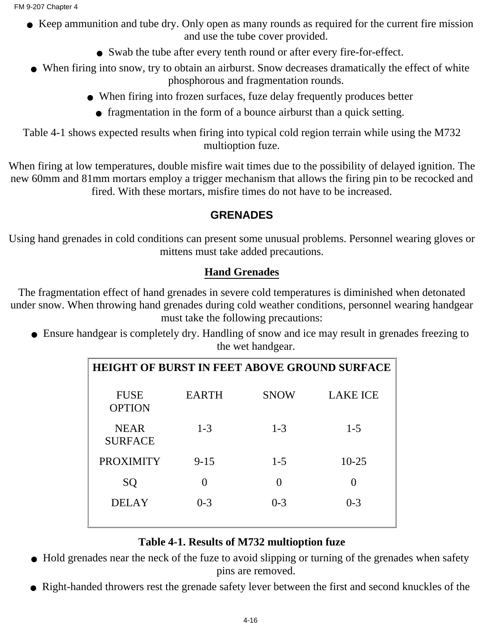- Keep ammunition and tube dry. Only open as many rounds as required for the current fire mission and use the tube cover provided.
	- Swab the tube after every tenth round or after every fire-for-effect.
- When firing into snow, try to obtain an airburst. Snow decreases dramatically the effect of white phosphorous and fragmentation rounds.
	- When firing into frozen surfaces, fuze delay frequently produces better
		- fragmentation in the form of a bounce airburst than a quick setting.

Table 4-1 shows expected results when firing into typical cold region terrain while using the M732 multioption fuze.

When firing at low temperatures, double misfire wait times due to the possibility of delayed ignition. The new 60mm and 81mm mortars employ a trigger mechanism that allows the firing pin to be recocked and fired. With these mortars, misfire times do not have to be increased.

## **GRENADES**

Using hand grenades in cold conditions can present some unusual problems. Personnel wearing gloves or mittens must take added precautions.

## **Hand Grenades**

The fragmentation effect of hand grenades in severe cold temperatures is diminished when detonated under snow. When throwing hand grenades during cold weather conditions, personnel wearing handgear must take the following precautions:

• Ensure handgear is completely dry. Handling of snow and ice may result in grenades freezing to the wet handgear.

| <b>HEIGHT OF BURST IN FEET ABOVE GROUND SURFACE</b> |                   |             |                 |
|-----------------------------------------------------|-------------------|-------------|-----------------|
| <b>FUSE</b><br><b>OPTION</b>                        | <b>EARTH</b>      | <b>SNOW</b> | <b>LAKE ICE</b> |
| <b>NEAR</b><br><b>SURFACE</b>                       | $1 - 3$           | $1 - 3$     | $1 - 5$         |
| <b>PROXIMITY</b>                                    | $9 - 15$          | $1 - 5$     | $10 - 25$       |
| SQ                                                  | $\mathbf{\Omega}$ |             |                 |
| <b>DELAY</b>                                        | $0 - 3$           | $0 - 3$     | $0 - 3$         |

### **Table 4-1. Results of M732 multioption fuze**

- Hold grenades near the neck of the fuze to avoid slipping or turning of the grenades when safety pins are removed.
- Right-handed throwers rest the grenade safety lever between the first and second knuckles of the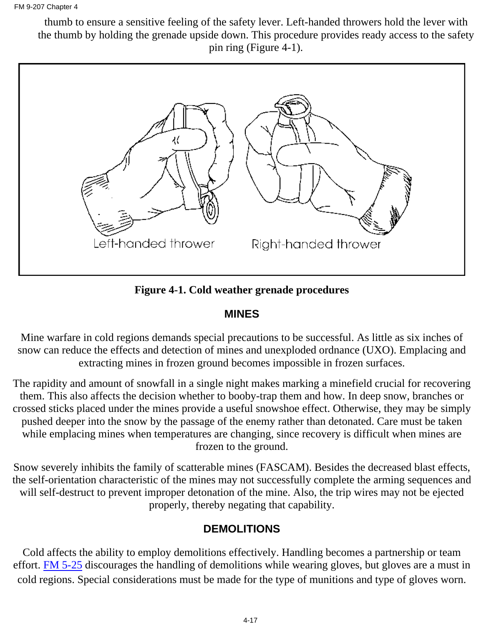thumb to ensure a sensitive feeling of the safety lever. Left-handed throwers hold the lever with the thumb by holding the grenade upside down. This procedure provides ready access to the safety pin ring (Figure 4-1).



**Figure 4-1. Cold weather grenade procedures**

#### **MINES**

Mine warfare in cold regions demands special precautions to be successful. As little as six inches of snow can reduce the effects and detection of mines and unexploded ordnance (UXO). Emplacing and extracting mines in frozen ground becomes impossible in frozen surfaces.

The rapidity and amount of snowfall in a single night makes marking a minefield crucial for recovering them. This also affects the decision whether to booby-trap them and how. In deep snow, branches or crossed sticks placed under the mines provide a useful snowshoe effect. Otherwise, they may be simply pushed deeper into the snow by the passage of the enemy rather than detonated. Care must be taken while emplacing mines when temperatures are changing, since recovery is difficult when mines are frozen to the ground.

Snow severely inhibits the family of scatterable mines (FASCAM). Besides the decreased blast effects, the self-orientation characteristic of the mines may not successfully complete the arming sequences and will self-destruct to prevent improper detonation of the mine. Also, the trip wires may not be ejected properly, thereby negating that capability.

#### **DEMOLITIONS**

Cold affects the ability to employ demolitions effectively. Handling becomes a partnership or team effort. FM 5-25 discourages the handling of demolitions while wearing gloves, but gloves are a must in cold regions. Special considerations must be made for the type of munitions and type of gloves worn.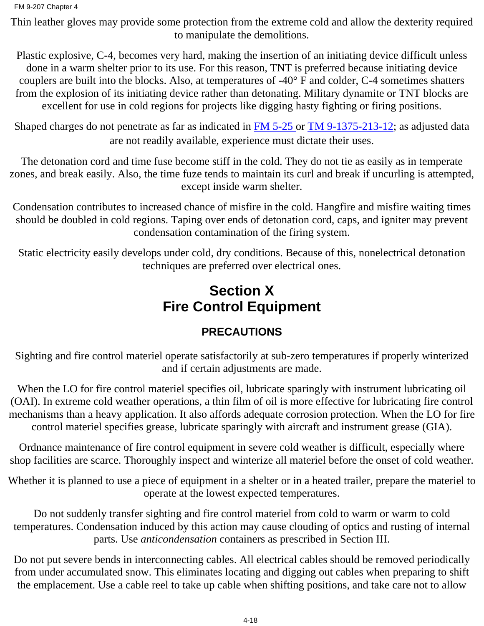Thin leather gloves may provide some protection from the extreme cold and allow the dexterity required to manipulate the demolitions.

Plastic explosive, C-4, becomes very hard, making the insertion of an initiating device difficult unless done in a warm shelter prior to its use. For this reason, TNT is preferred because initiating device couplers are built into the blocks. Also, at temperatures of -40° F and colder, C-4 sometimes shatters from the explosion of its initiating device rather than detonating. Military dynamite or TNT blocks are excellent for use in cold regions for projects like digging hasty fighting or firing positions.

Shaped charges do not penetrate as far as indicated in FM 5-25 or TM 9-1375-213-12; as adjusted data are not readily available, experience must dictate their uses.

The detonation cord and time fuse become stiff in the cold. They do not tie as easily as in temperate zones, and break easily. Also, the time fuze tends to maintain its curl and break if uncurling is attempted, except inside warm shelter.

Condensation contributes to increased chance of misfire in the cold. Hangfire and misfire waiting times should be doubled in cold regions. Taping over ends of detonation cord, caps, and igniter may prevent condensation contamination of the firing system.

Static electricity easily develops under cold, dry conditions. Because of this, nonelectrical detonation techniques are preferred over electrical ones.

## **Section X Fire Control Equipment**

## **PRECAUTIONS**

Sighting and fire control materiel operate satisfactorily at sub-zero temperatures if properly winterized and if certain adjustments are made.

When the LO for fire control materiel specifies oil, lubricate sparingly with instrument lubricating oil (OAI). In extreme cold weather operations, a thin film of oil is more effective for lubricating fire control mechanisms than a heavy application. It also affords adequate corrosion protection. When the LO for fire control materiel specifies grease, lubricate sparingly with aircraft and instrument grease (GIA).

Ordnance maintenance of fire control equipment in severe cold weather is difficult, especially where shop facilities are scarce. Thoroughly inspect and winterize all materiel before the onset of cold weather.

Whether it is planned to use a piece of equipment in a shelter or in a heated trailer, prepare the materiel to operate at the lowest expected temperatures.

Do not suddenly transfer sighting and fire control materiel from cold to warm or warm to cold temperatures. Condensation induced by this action may cause clouding of optics and rusting of internal parts. Use *anticondensation* containers as prescribed in Section III.

Do not put severe bends in interconnecting cables. All electrical cables should be removed periodically from under accumulated snow. This eliminates locating and digging out cables when preparing to shift the emplacement. Use a cable reel to take up cable when shifting positions, and take care not to allow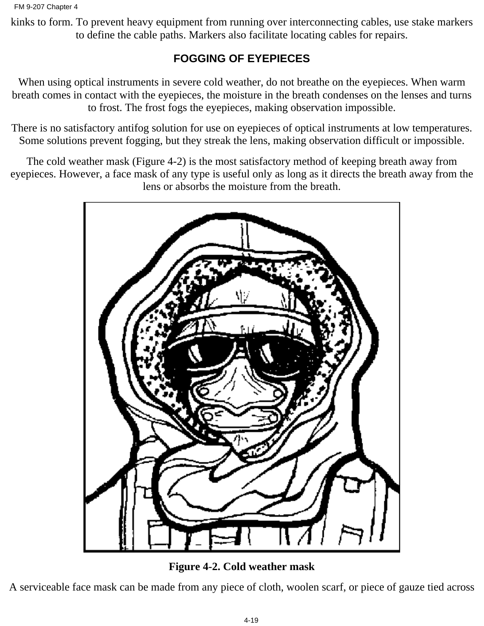kinks to form. To prevent heavy equipment from running over interconnecting cables, use stake markers to define the cable paths. Markers also facilitate locating cables for repairs.

## **FOGGING OF EYEPIECES**

When using optical instruments in severe cold weather, do not breathe on the eyepieces. When warm breath comes in contact with the eyepieces, the moisture in the breath condenses on the lenses and turns to frost. The frost fogs the eyepieces, making observation impossible.

There is no satisfactory antifog solution for use on eyepieces of optical instruments at low temperatures. Some solutions prevent fogging, but they streak the lens, making observation difficult or impossible.

The cold weather mask (Figure 4-2) is the most satisfactory method of keeping breath away from eyepieces. However, a face mask of any type is useful only as long as it directs the breath away from the lens or absorbs the moisture from the breath.



**Figure 4-2. Cold weather mask**

A serviceable face mask can be made from any piece of cloth, woolen scarf, or piece of gauze tied across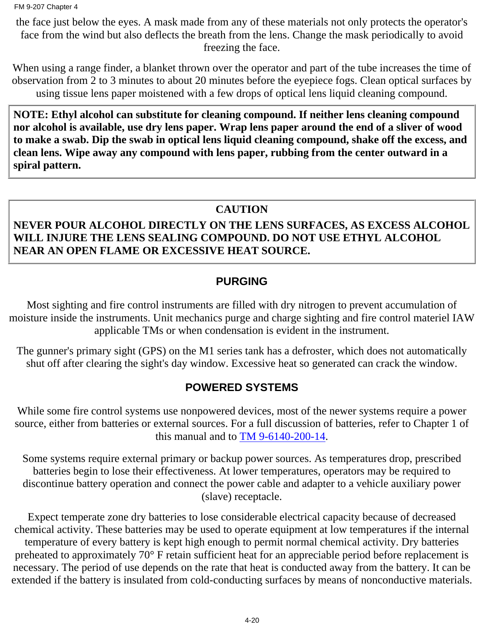the face just below the eyes. A mask made from any of these materials not only protects the operator's face from the wind but also deflects the breath from the lens. Change the mask periodically to avoid freezing the face.

When using a range finder, a blanket thrown over the operator and part of the tube increases the time of observation from 2 to 3 minutes to about 20 minutes before the eyepiece fogs. Clean optical surfaces by using tissue lens paper moistened with a few drops of optical lens liquid cleaning compound.

**NOTE: Ethyl alcohol can substitute for cleaning compound. If neither lens cleaning compound nor alcohol is available, use dry lens paper. Wrap lens paper around the end of a sliver of wood to make a swab. Dip the swab in optical lens liquid cleaning compound, shake off the excess, and clean lens. Wipe away any compound with lens paper, rubbing from the center outward in a spiral pattern.**

#### **CAUTION**

#### **NEVER POUR ALCOHOL DIRECTLY ON THE LENS SURFACES, AS EXCESS ALCOHOL WILL INJURE THE LENS SEALING COMPOUND. DO NOT USE ETHYL ALCOHOL NEAR AN OPEN FLAME OR EXCESSIVE HEAT SOURCE.**

#### **PURGING**

Most sighting and fire control instruments are filled with dry nitrogen to prevent accumulation of moisture inside the instruments. Unit mechanics purge and charge sighting and fire control materiel IAW applicable TMs or when condensation is evident in the instrument.

The gunner's primary sight (GPS) on the M1 series tank has a defroster, which does not automatically shut off after clearing the sight's day window. Excessive heat so generated can crack the window.

### **POWERED SYSTEMS**

While some fire control systems use nonpowered devices, most of the newer systems require a power source, either from batteries or external sources. For a full discussion of batteries, refer to Chapter 1 of this manual and to [TM 9-6140-200-14.](#page-108-0)

Some systems require external primary or backup power sources. As temperatures drop, prescribed batteries begin to lose their effectiveness. At lower temperatures, operators may be required to discontinue battery operation and connect the power cable and adapter to a vehicle auxiliary power (slave) receptacle.

Expect temperate zone dry batteries to lose considerable electrical capacity because of decreased chemical activity. These batteries may be used to operate equipment at low temperatures if the internal temperature of every battery is kept high enough to permit normal chemical activity. Dry batteries preheated to approximately 70° F retain sufficient heat for an appreciable period before replacement is necessary. The period of use depends on the rate that heat is conducted away from the battery. It can be extended if the battery is insulated from cold-conducting surfaces by means of nonconductive materials.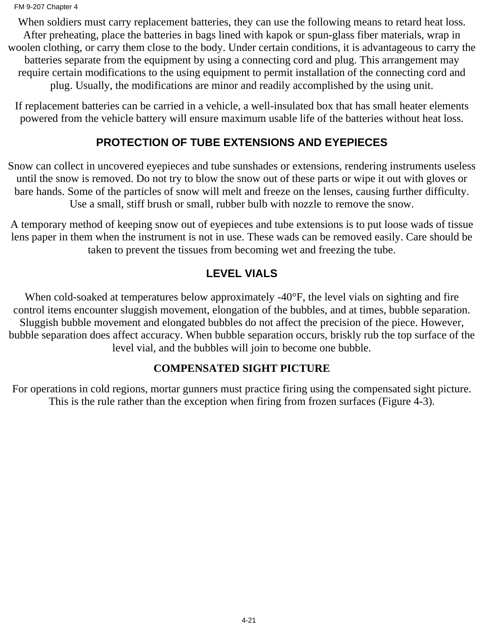When soldiers must carry replacement batteries, they can use the following means to retard heat loss. After preheating, place the batteries in bags lined with kapok or spun-glass fiber materials, wrap in woolen clothing, or carry them close to the body. Under certain conditions, it is advantageous to carry the batteries separate from the equipment by using a connecting cord and plug. This arrangement may require certain modifications to the using equipment to permit installation of the connecting cord and plug. Usually, the modifications are minor and readily accomplished by the using unit.

If replacement batteries can be carried in a vehicle, a well-insulated box that has small heater elements powered from the vehicle battery will ensure maximum usable life of the batteries without heat loss.

### **PROTECTION OF TUBE EXTENSIONS AND EYEPIECES**

Snow can collect in uncovered eyepieces and tube sunshades or extensions, rendering instruments useless until the snow is removed. Do not try to blow the snow out of these parts or wipe it out with gloves or bare hands. Some of the particles of snow will melt and freeze on the lenses, causing further difficulty. Use a small, stiff brush or small, rubber bulb with nozzle to remove the snow.

A temporary method of keeping snow out of eyepieces and tube extensions is to put loose wads of tissue lens paper in them when the instrument is not in use. These wads can be removed easily. Care should be taken to prevent the tissues from becoming wet and freezing the tube.

### **LEVEL VIALS**

When cold-soaked at temperatures below approximately -40°F, the level vials on sighting and fire control items encounter sluggish movement, elongation of the bubbles, and at times, bubble separation. Sluggish bubble movement and elongated bubbles do not affect the precision of the piece. However, bubble separation does affect accuracy. When bubble separation occurs, briskly rub the top surface of the level vial, and the bubbles will join to become one bubble.

### **COMPENSATED SIGHT PICTURE**

For operations in cold regions, mortar gunners must practice firing using the compensated sight picture. This is the rule rather than the exception when firing from frozen surfaces (Figure 4-3).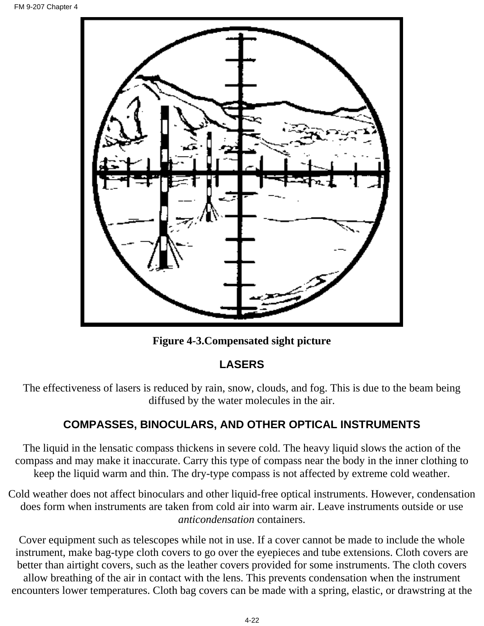

**Figure 4-3.Compensated sight picture**

## **LASERS**

The effectiveness of lasers is reduced by rain, snow, clouds, and fog. This is due to the beam being diffused by the water molecules in the air.

### **COMPASSES, BINOCULARS, AND OTHER OPTICAL INSTRUMENTS**

The liquid in the lensatic compass thickens in severe cold. The heavy liquid slows the action of the compass and may make it inaccurate. Carry this type of compass near the body in the inner clothing to keep the liquid warm and thin. The dry-type compass is not affected by extreme cold weather.

Cold weather does not affect binoculars and other liquid-free optical instruments. However, condensation does form when instruments are taken from cold air into warm air. Leave instruments outside or use *anticondensation* containers.

Cover equipment such as telescopes while not in use. If a cover cannot be made to include the whole instrument, make bag-type cloth covers to go over the eyepieces and tube extensions. Cloth covers are better than airtight covers, such as the leather covers provided for some instruments. The cloth covers allow breathing of the air in contact with the lens. This prevents condensation when the instrument encounters lower temperatures. Cloth bag covers can be made with a spring, elastic, or drawstring at the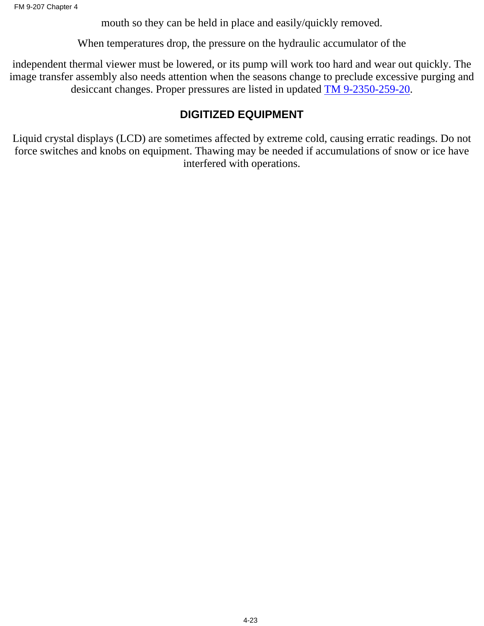mouth so they can be held in place and easily/quickly removed.

When temperatures drop, the pressure on the hydraulic accumulator of the

independent thermal viewer must be lowered, or its pump will work too hard and wear out quickly. The image transfer assembly also needs attention when the seasons change to preclude excessive purging and desiccant changes. Proper pressures are listed in updated TM 9-2350-259-20.

### **DIGITIZED EQUIPMENT**

Liquid crystal displays (LCD) are sometimes affected by extreme cold, causing erratic readings. Do not force switches and knobs on equipment. Thawing may be needed if accumulations of snow or ice have interfered with operations.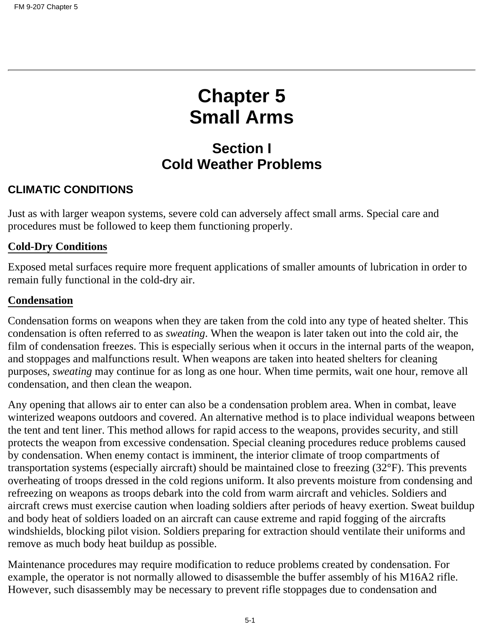# **Chapter 5 Small Arms**

## **Section I Cold Weather Problems**

### **CLIMATIC CONDITIONS**

Just as with larger weapon systems, severe cold can adversely affect small arms. Special care and procedures must be followed to keep them functioning properly.

#### **Cold-Dry Conditions**

Exposed metal surfaces require more frequent applications of smaller amounts of lubrication in order to remain fully functional in the cold-dry air.

#### **Condensation**

Condensation forms on weapons when they are taken from the cold into any type of heated shelter. This condensation is often referred to as *sweating*. When the weapon is later taken out into the cold air, the film of condensation freezes. This is especially serious when it occurs in the internal parts of the weapon, and stoppages and malfunctions result. When weapons are taken into heated shelters for cleaning purposes, *sweating* may continue for as long as one hour. When time permits, wait one hour, remove all condensation, and then clean the weapon.

Any opening that allows air to enter can also be a condensation problem area. When in combat, leave winterized weapons outdoors and covered. An alternative method is to place individual weapons between the tent and tent liner. This method allows for rapid access to the weapons, provides security, and still protects the weapon from excessive condensation. Special cleaning procedures reduce problems caused by condensation. When enemy contact is imminent, the interior climate of troop compartments of transportation systems (especially aircraft) should be maintained close to freezing (32°F). This prevents overheating of troops dressed in the cold regions uniform. It also prevents moisture from condensing and refreezing on weapons as troops debark into the cold from warm aircraft and vehicles. Soldiers and aircraft crews must exercise caution when loading soldiers after periods of heavy exertion. Sweat buildup and body heat of soldiers loaded on an aircraft can cause extreme and rapid fogging of the aircrafts windshields, blocking pilot vision. Soldiers preparing for extraction should ventilate their uniforms and remove as much body heat buildup as possible.

Maintenance procedures may require modification to reduce problems created by condensation. For example, the operator is not normally allowed to disassemble the buffer assembly of his M16A2 rifle. However, such disassembly may be necessary to prevent rifle stoppages due to condensation and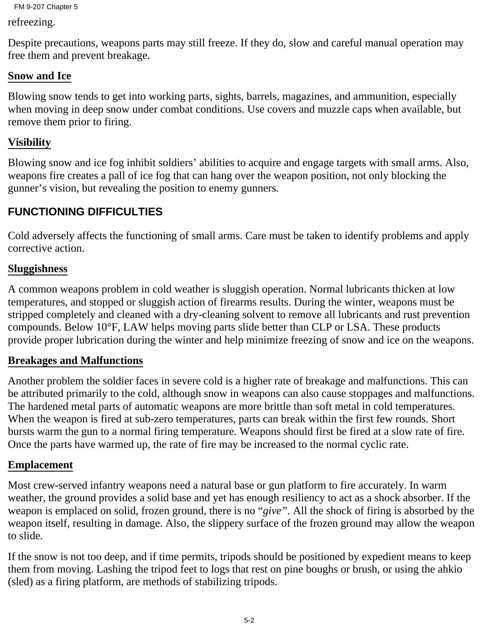```
FM 9-207 Chapter 5
```
refreezing.

Despite precautions, weapons parts may still freeze. If they do, slow and careful manual operation may free them and prevent breakage.

#### **Snow and Ice**

Blowing snow tends to get into working parts, sights, barrels, magazines, and ammunition, especially when moving in deep snow under combat conditions. Use covers and muzzle caps when available, but remove them prior to firing.

#### **Visibility**

Blowing snow and ice fog inhibit soldiers' abilities to acquire and engage targets with small arms. Also, weapons fire creates a pall of ice fog that can hang over the weapon position, not only blocking the gunner's vision, but revealing the position to enemy gunners.

## **FUNCTIONING DIFFICULTIES**

Cold adversely affects the functioning of small arms. Care must be taken to identify problems and apply corrective action.

#### **Sluggishness**

A common weapons problem in cold weather is sluggish operation. Normal lubricants thicken at low temperatures, and stopped or sluggish action of firearms results. During the winter, weapons must be stripped completely and cleaned with a dry-cleaning solvent to remove all lubricants and rust prevention compounds. Below 10°F, LAW helps moving parts slide better than CLP or LSA. These products provide proper lubrication during the winter and help minimize freezing of snow and ice on the weapons.

#### **Breakages and Malfunctions**

Another problem the soldier faces in severe cold is a higher rate of breakage and malfunctions. This can be attributed primarily to the cold, although snow in weapons can also cause stoppages and malfunctions. The hardened metal parts of automatic weapons are more brittle than soft metal in cold temperatures. When the weapon is fired at sub-zero temperatures, parts can break within the first few rounds. Short bursts warm the gun to a normal firing temperature. Weapons should first be fired at a slow rate of fire. Once the parts have warmed up, the rate of fire may be increased to the normal cyclic rate.

#### **Emplacement**

Most crew-served infantry weapons need a natural base or gun platform to fire accurately. In warm weather, the ground provides a solid base and yet has enough resiliency to act as a shock absorber. If the weapon is emplaced on solid, frozen ground, there is no "*give".* All the shock of firing is absorbed by the weapon itself, resulting in damage. Also, the slippery surface of the frozen ground may allow the weapon to slide.

If the snow is not too deep, and if time permits, tripods should be positioned by expedient means to keep them from moving. Lashing the tripod feet to logs that rest on pine boughs or brush, or using the ahkio (sled) as a firing platform, are methods of stabilizing tripods.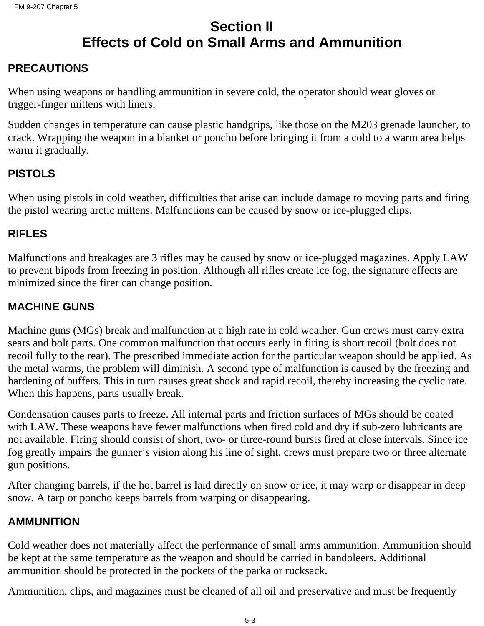# **Section II Effects of Cold on Small Arms and Ammunition**

## **PRECAUTIONS**

When using weapons or handling ammunition in severe cold, the operator should wear gloves or trigger-finger mittens with liners.

Sudden changes in temperature can cause plastic handgrips, like those on the M203 grenade launcher, to crack. Wrapping the weapon in a blanket or poncho before bringing it from a cold to a warm area helps warm it gradually.

#### **PISTOLS**

When using pistols in cold weather, difficulties that arise can include damage to moving parts and firing the pistol wearing arctic mittens. Malfunctions can be caused by snow or ice-plugged clips.

#### **RIFLES**

Malfunctions and breakages are 3 rifles may be caused by snow or ice-plugged magazines. Apply LAW to prevent bipods from freezing in position. Although all rifles create ice fog, the signature effects are minimized since the firer can change position.

#### **MACHINE GUNS**

Machine guns (MGs) break and malfunction at a high rate in cold weather. Gun crews must carry extra sears and bolt parts. One common malfunction that occurs early in firing is short recoil (bolt does not recoil fully to the rear). The prescribed immediate action for the particular weapon should be applied. As the metal warms, the problem will diminish. A second type of malfunction is caused by the freezing and hardening of buffers. This in turn causes great shock and rapid recoil, thereby increasing the cyclic rate. When this happens, parts usually break.

Condensation causes parts to freeze. All internal parts and friction surfaces of MGs should be coated with LAW. These weapons have fewer malfunctions when fired cold and dry if sub-zero lubricants are not available. Firing should consist of short, two- or three-round bursts fired at close intervals. Since ice fog greatly impairs the gunner's vision along his line of sight, crews must prepare two or three alternate gun positions.

After changing barrels, if the hot barrel is laid directly on snow or ice, it may warp or disappear in deep snow. A tarp or poncho keeps barrels from warping or disappearing.

#### **AMMUNITION**

Cold weather does not materially affect the performance of small arms ammunition. Ammunition should be kept at the same temperature as the weapon and should be carried in bandoleers. Additional ammunition should be protected in the pockets of the parka or rucksack.

Ammunition, clips, and magazines must be cleaned of all oil and preservative and must be frequently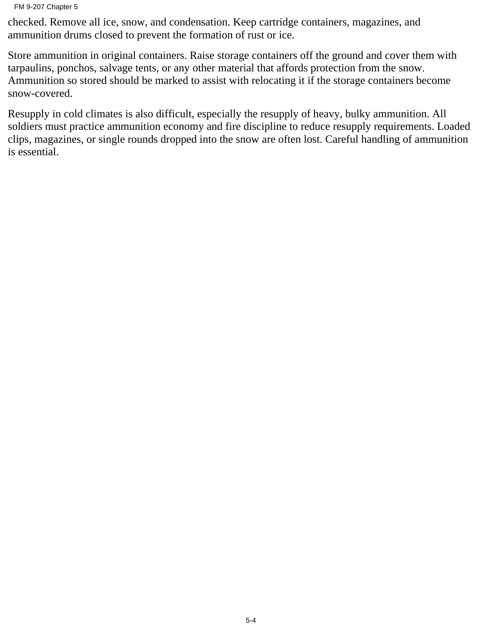#### FM 9-207 Chapter 5

checked. Remove all ice, snow, and condensation. Keep cartridge containers, magazines, and ammunition drums closed to prevent the formation of rust or ice.

Store ammunition in original containers. Raise storage containers off the ground and cover them with tarpaulins, ponchos, salvage tents, or any other material that affords protection from the snow. Ammunition so stored should be marked to assist with relocating it if the storage containers become snow-covered.

Resupply in cold climates is also difficult, especially the resupply of heavy, bulky ammunition. All soldiers must practice ammunition economy and fire discipline to reduce resupply requirements. Loaded clips, magazines, or single rounds dropped into the snow are often lost. Careful handling of ammunition is essential.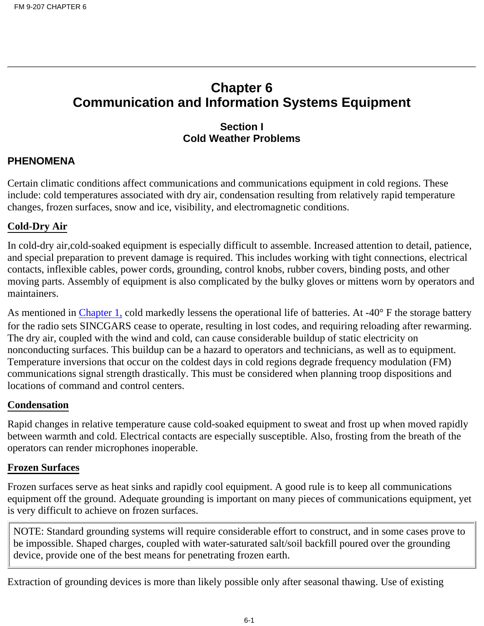# **Chapter 6 Communication and Information Systems Equipment**

#### **Section I Cold Weather Problems**

#### **PHENOMENA**

Certain climatic conditions affect communications and communications equipment in cold regions. These include: cold temperatures associated with dry air, condensation resulting from relatively rapid temperature changes, frozen surfaces, snow and ice, visibility, and electromagnetic conditions.

#### **Cold-Dry Air**

In cold-dry air,cold-soaked equipment is especially difficult to assemble. Increased attention to detail, patience, and special preparation to prevent damage is required. This includes working with tight connections, electrical contacts, inflexible cables, power cords, grounding, control knobs, rubber covers, binding posts, and other moving parts. Assembly of equipment is also complicated by the bulky gloves or mittens worn by operators and maintainers.

As mentioned in [Chapter 1,](#page-6-0) cold markedly lessens the operational life of batteries. At -40° F the storage battery for the radio sets SINCGARS cease to operate, resulting in lost codes, and requiring reloading after rewarming. The dry air, coupled with the wind and cold, can cause considerable buildup of static electricity on nonconducting surfaces. This buildup can be a hazard to operators and technicians, as well as to equipment. Temperature inversions that occur on the coldest days in cold regions degrade frequency modulation (FM) communications signal strength drastically. This must be considered when planning troop dispositions and locations of command and control centers.

#### **Condensation**

Rapid changes in relative temperature cause cold-soaked equipment to sweat and frost up when moved rapidly between warmth and cold. Electrical contacts are especially susceptible. Also, frosting from the breath of the operators can render microphones inoperable.

#### **Frozen Surfaces**

Frozen surfaces serve as heat sinks and rapidly cool equipment. A good rule is to keep all communications equipment off the ground. Adequate grounding is important on many pieces of communications equipment, yet is very difficult to achieve on frozen surfaces.

NOTE: Standard grounding systems will require considerable effort to construct, and in some cases prove to be impossible. Shaped charges, coupled with water-saturated salt/soil backfill poured over the grounding device, provide one of the best means for penetrating frozen earth.

Extraction of grounding devices is more than likely possible only after seasonal thawing. Use of existing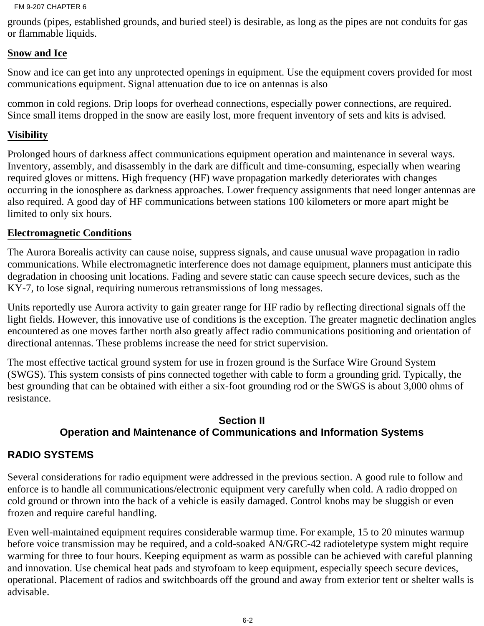grounds (pipes, established grounds, and buried steel) is desirable, as long as the pipes are not conduits for gas or flammable liquids.

#### **Snow and Ice**

Snow and ice can get into any unprotected openings in equipment. Use the equipment covers provided for most communications equipment. Signal attenuation due to ice on antennas is also

common in cold regions. Drip loops for overhead connections, especially power connections, are required. Since small items dropped in the snow are easily lost, more frequent inventory of sets and kits is advised.

#### **Visibility**

Prolonged hours of darkness affect communications equipment operation and maintenance in several ways. Inventory, assembly, and disassembly in the dark are difficult and time-consuming, especially when wearing required gloves or mittens. High frequency (HF) wave propagation markedly deteriorates with changes occurring in the ionosphere as darkness approaches. Lower frequency assignments that need longer antennas are also required. A good day of HF communications between stations 100 kilometers or more apart might be limited to only six hours.

#### **Electromagnetic Conditions**

The Aurora Borealis activity can cause noise, suppress signals, and cause unusual wave propagation in radio communications. While electromagnetic interference does not damage equipment, planners must anticipate this degradation in choosing unit locations. Fading and severe static can cause speech secure devices, such as the KY-7, to lose signal, requiring numerous retransmissions of long messages.

Units reportedly use Aurora activity to gain greater range for HF radio by reflecting directional signals off the light fields. However, this innovative use of conditions is the exception. The greater magnetic declination angles encountered as one moves farther north also greatly affect radio communications positioning and orientation of directional antennas. These problems increase the need for strict supervision.

The most effective tactical ground system for use in frozen ground is the Surface Wire Ground System (SWGS). This system consists of pins connected together with cable to form a grounding grid. Typically, the best grounding that can be obtained with either a six-foot grounding rod or the SWGS is about 3,000 ohms of resistance.

#### **Section II Operation and Maintenance of Communications and Information Systems**

#### **RADIO SYSTEMS**

Several considerations for radio equipment were addressed in the previous section. A good rule to follow and enforce is to handle all communications/electronic equipment very carefully when cold. A radio dropped on cold ground or thrown into the back of a vehicle is easily damaged. Control knobs may be sluggish or even frozen and require careful handling.

Even well-maintained equipment requires considerable warmup time. For example, 15 to 20 minutes warmup before voice transmission may be required, and a cold-soaked AN/GRC-42 radioteletype system might require warming for three to four hours. Keeping equipment as warm as possible can be achieved with careful planning and innovation. Use chemical heat pads and styrofoam to keep equipment, especially speech secure devices, operational. Placement of radios and switchboards off the ground and away from exterior tent or shelter walls is advisable.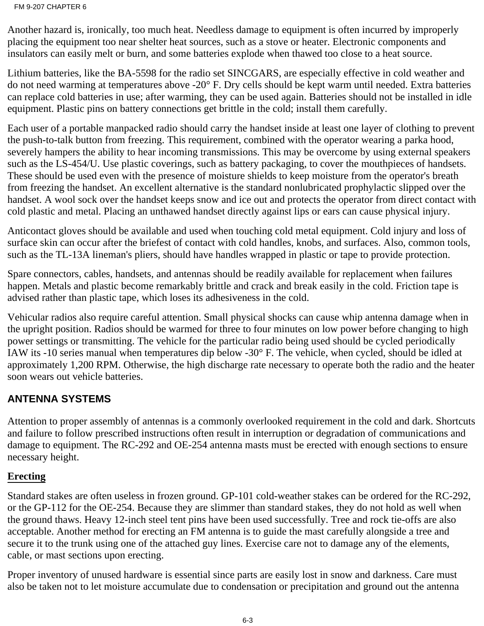Another hazard is, ironically, too much heat. Needless damage to equipment is often incurred by improperly placing the equipment too near shelter heat sources, such as a stove or heater. Electronic components and insulators can easily melt or burn, and some batteries explode when thawed too close to a heat source.

Lithium batteries, like the BA-5598 for the radio set SINCGARS, are especially effective in cold weather and do not need warming at temperatures above -20° F. Dry cells should be kept warm until needed. Extra batteries can replace cold batteries in use; after warming, they can be used again. Batteries should not be installed in idle equipment. Plastic pins on battery connections get brittle in the cold; install them carefully.

Each user of a portable manpacked radio should carry the handset inside at least one layer of clothing to prevent the push-to-talk button from freezing. This requirement, combined with the operator wearing a parka hood, severely hampers the ability to hear incoming transmissions. This may be overcome by using external speakers such as the LS-454/U. Use plastic coverings, such as battery packaging, to cover the mouthpieces of handsets. These should be used even with the presence of moisture shields to keep moisture from the operator's breath from freezing the handset. An excellent alternative is the standard nonlubricated prophylactic slipped over the handset. A wool sock over the handset keeps snow and ice out and protects the operator from direct contact with cold plastic and metal. Placing an unthawed handset directly against lips or ears can cause physical injury.

Anticontact gloves should be available and used when touching cold metal equipment. Cold injury and loss of surface skin can occur after the briefest of contact with cold handles, knobs, and surfaces. Also, common tools, such as the TL-13A lineman's pliers, should have handles wrapped in plastic or tape to provide protection.

Spare connectors, cables, handsets, and antennas should be readily available for replacement when failures happen. Metals and plastic become remarkably brittle and crack and break easily in the cold. Friction tape is advised rather than plastic tape, which loses its adhesiveness in the cold.

Vehicular radios also require careful attention. Small physical shocks can cause whip antenna damage when in the upright position. Radios should be warmed for three to four minutes on low power before changing to high power settings or transmitting. The vehicle for the particular radio being used should be cycled periodically IAW its -10 series manual when temperatures dip below -30° F. The vehicle, when cycled, should be idled at approximately 1,200 RPM. Otherwise, the high discharge rate necessary to operate both the radio and the heater soon wears out vehicle batteries.

#### **ANTENNA SYSTEMS**

Attention to proper assembly of antennas is a commonly overlooked requirement in the cold and dark. Shortcuts and failure to follow prescribed instructions often result in interruption or degradation of communications and damage to equipment. The RC-292 and OE-254 antenna masts must be erected with enough sections to ensure necessary height.

#### **Erecting**

Standard stakes are often useless in frozen ground. GP-101 cold-weather stakes can be ordered for the RC-292, or the GP-112 for the OE-254. Because they are slimmer than standard stakes, they do not hold as well when the ground thaws. Heavy 12-inch steel tent pins have been used successfully. Tree and rock tie-offs are also acceptable. Another method for erecting an FM antenna is to guide the mast carefully alongside a tree and secure it to the trunk using one of the attached guy lines. Exercise care not to damage any of the elements, cable, or mast sections upon erecting.

Proper inventory of unused hardware is essential since parts are easily lost in snow and darkness. Care must also be taken not to let moisture accumulate due to condensation or precipitation and ground out the antenna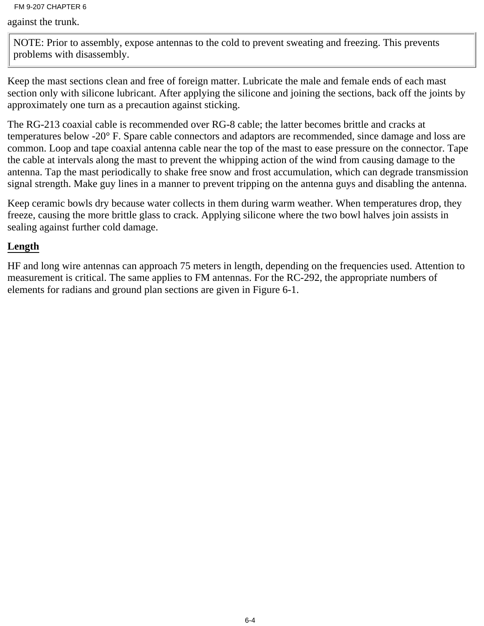against the trunk.

NOTE: Prior to assembly, expose antennas to the cold to prevent sweating and freezing. This prevents problems with disassembly.

Keep the mast sections clean and free of foreign matter. Lubricate the male and female ends of each mast section only with silicone lubricant. After applying the silicone and joining the sections, back off the joints by approximately one turn as a precaution against sticking.

The RG-213 coaxial cable is recommended over RG-8 cable; the latter becomes brittle and cracks at temperatures below -20° F. Spare cable connectors and adaptors are recommended, since damage and loss are common. Loop and tape coaxial antenna cable near the top of the mast to ease pressure on the connector. Tape the cable at intervals along the mast to prevent the whipping action of the wind from causing damage to the antenna. Tap the mast periodically to shake free snow and frost accumulation, which can degrade transmission signal strength. Make guy lines in a manner to prevent tripping on the antenna guys and disabling the antenna.

Keep ceramic bowls dry because water collects in them during warm weather. When temperatures drop, they freeze, causing the more brittle glass to crack. Applying silicone where the two bowl halves join assists in sealing against further cold damage.

#### **Length**

HF and long wire antennas can approach 75 meters in length, depending on the frequencies used. Attention to measurement is critical. The same applies to FM antennas. For the RC-292, the appropriate numbers of elements for radians and ground plan sections are given in Figure 6-1.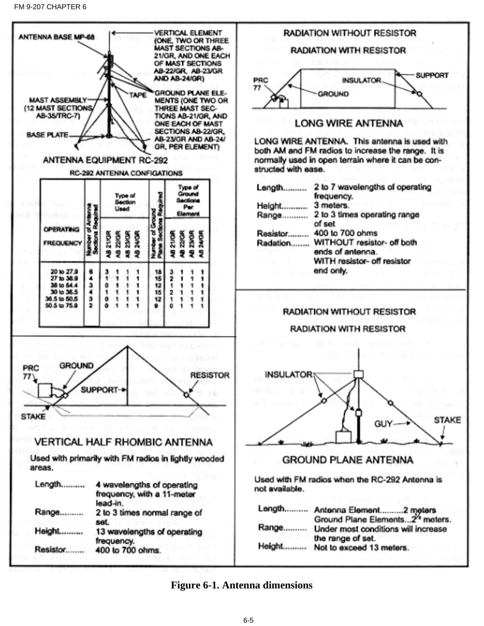

#### **Figure 6-1. Antenna dimensions**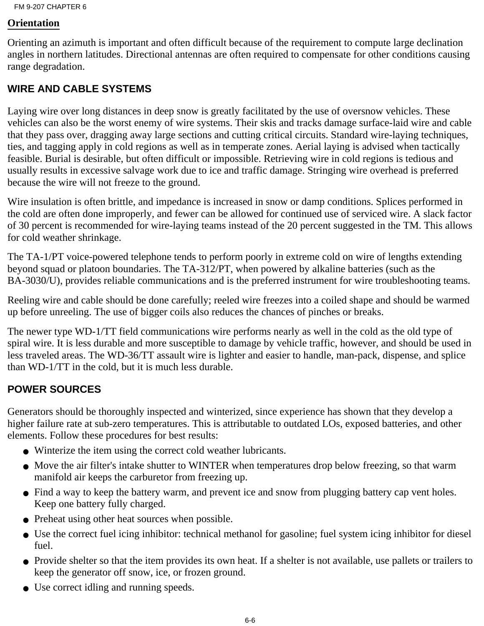#### **Orientation**

Orienting an azimuth is important and often difficult because of the requirement to compute large declination angles in northern latitudes. Directional antennas are often required to compensate for other conditions causing range degradation.

#### **WIRE AND CABLE SYSTEMS**

Laying wire over long distances in deep snow is greatly facilitated by the use of oversnow vehicles. These vehicles can also be the worst enemy of wire systems. Their skis and tracks damage surface-laid wire and cable that they pass over, dragging away large sections and cutting critical circuits. Standard wire-laying techniques, ties, and tagging apply in cold regions as well as in temperate zones. Aerial laying is advised when tactically feasible. Burial is desirable, but often difficult or impossible. Retrieving wire in cold regions is tedious and usually results in excessive salvage work due to ice and traffic damage. Stringing wire overhead is preferred because the wire will not freeze to the ground.

Wire insulation is often brittle, and impedance is increased in snow or damp conditions. Splices performed in the cold are often done improperly, and fewer can be allowed for continued use of serviced wire. A slack factor of 30 percent is recommended for wire-laying teams instead of the 20 percent suggested in the TM. This allows for cold weather shrinkage.

The TA-1/PT voice-powered telephone tends to perform poorly in extreme cold on wire of lengths extending beyond squad or platoon boundaries. The TA-312/PT, when powered by alkaline batteries (such as the BA-3030/U), provides reliable communications and is the preferred instrument for wire troubleshooting teams.

Reeling wire and cable should be done carefully; reeled wire freezes into a coiled shape and should be warmed up before unreeling. The use of bigger coils also reduces the chances of pinches or breaks.

The newer type WD-1/TT field communications wire performs nearly as well in the cold as the old type of spiral wire. It is less durable and more susceptible to damage by vehicle traffic, however, and should be used in less traveled areas. The WD-36/TT assault wire is lighter and easier to handle, man-pack, dispense, and splice than WD-1/TT in the cold, but it is much less durable.

#### **POWER SOURCES**

Generators should be thoroughly inspected and winterized, since experience has shown that they develop a higher failure rate at sub-zero temperatures. This is attributable to outdated LOs, exposed batteries, and other elements. Follow these procedures for best results:

- Winterize the item using the correct cold weather lubricants.
- Move the air filter's intake shutter to WINTER when temperatures drop below freezing, so that warm manifold air keeps the carburetor from freezing up.
- Find a way to keep the battery warm, and prevent ice and snow from plugging battery cap vent holes. Keep one battery fully charged.
- Preheat using other heat sources when possible.
- Use the correct fuel icing inhibitor: technical methanol for gasoline; fuel system icing inhibitor for diesel fuel.
- Provide shelter so that the item provides its own heat. If a shelter is not available, use pallets or trailers to keep the generator off snow, ice, or frozen ground.
- Use correct idling and running speeds.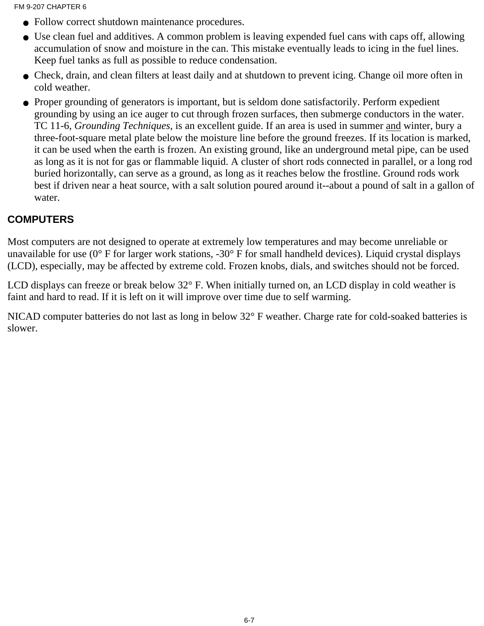- Follow correct shutdown maintenance procedures.
- Use clean fuel and additives. A common problem is leaving expended fuel cans with caps off, allowing accumulation of snow and moisture in the can. This mistake eventually leads to icing in the fuel lines. Keep fuel tanks as full as possible to reduce condensation.
- Check, drain, and clean filters at least daily and at shutdown to prevent icing. Change oil more often in cold weather.
- Proper grounding of generators is important, but is seldom done satisfactorily. Perform expedient grounding by using an ice auger to cut through frozen surfaces, then submerge conductors in the water. TC 11-6, *Grounding Techniques*, is an excellent guide. If an area is used in summer and winter, bury a three-foot-square metal plate below the moisture line before the ground freezes. If its location is marked, it can be used when the earth is frozen. An existing ground, like an underground metal pipe, can be used as long as it is not for gas or flammable liquid. A cluster of short rods connected in parallel, or a long rod buried horizontally, can serve as a ground, as long as it reaches below the frostline. Ground rods work best if driven near a heat source, with a salt solution poured around it--about a pound of salt in a gallon of water.

#### **COMPUTERS**

Most computers are not designed to operate at extremely low temperatures and may become unreliable or unavailable for use (0° F for larger work stations, -30° F for small handheld devices). Liquid crystal displays (LCD), especially, may be affected by extreme cold. Frozen knobs, dials, and switches should not be forced.

LCD displays can freeze or break below 32° F. When initially turned on, an LCD display in cold weather is faint and hard to read. If it is left on it will improve over time due to self warming.

NICAD computer batteries do not last as long in below 32° F weather. Charge rate for cold-soaked batteries is slower.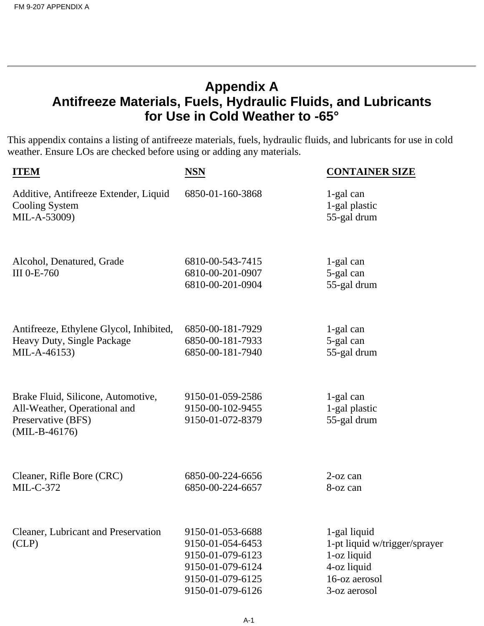## <span id="page-82-0"></span>**Appendix A Antifreeze Materials, Fuels, Hydraulic Fluids, and Lubricants for Use in Cold Weather to -65°**

This appendix contains a listing of antifreeze materials, fuels, hydraulic fluids, and lubricants for use in cold weather. Ensure LOs are checked before using or adding any materials.

| <b>ITEM</b>                                                                                                 | <b>NSN</b>                                                                                                           | <b>CONTAINER SIZE</b>                                                                                        |
|-------------------------------------------------------------------------------------------------------------|----------------------------------------------------------------------------------------------------------------------|--------------------------------------------------------------------------------------------------------------|
| Additive, Antifreeze Extender, Liquid<br>Cooling System<br>MIL-A-53009)                                     | 6850-01-160-3868                                                                                                     | 1-gal can<br>1-gal plastic<br>55-gal drum                                                                    |
| Alcohol, Denatured, Grade<br>III 0-E-760                                                                    | 6810-00-543-7415<br>6810-00-201-0907<br>6810-00-201-0904                                                             | 1-gal can<br>5-gal can<br>55-gal drum                                                                        |
| Antifreeze, Ethylene Glycol, Inhibited,<br>Heavy Duty, Single Package<br>MIL-A-46153)                       | 6850-00-181-7929<br>6850-00-181-7933<br>6850-00-181-7940                                                             | 1-gal can<br>5-gal can<br>55-gal drum                                                                        |
| Brake Fluid, Silicone, Automotive,<br>All-Weather, Operational and<br>Preservative (BFS)<br>$(MIL-B-46176)$ | 9150-01-059-2586<br>9150-00-102-9455<br>9150-01-072-8379                                                             | 1-gal can<br>1-gal plastic<br>55-gal drum                                                                    |
| Cleaner, Rifle Bore (CRC)<br>$MIL-C-372$                                                                    | 6850-00-224-6656<br>6850-00-224-6657                                                                                 | $2$ -oz can<br>8-oz can                                                                                      |
| <b>Cleaner, Lubricant and Preservation</b><br>CLP)                                                          | 9150-01-053-6688<br>9150-01-054-6453<br>9150-01-079-6123<br>9150-01-079-6124<br>9150-01-079-6125<br>9150-01-079-6126 | 1-gal liquid<br>1-pt liquid w/trigger/sprayer<br>1-oz liquid<br>4-oz liquid<br>16-oz aerosol<br>3-oz aerosol |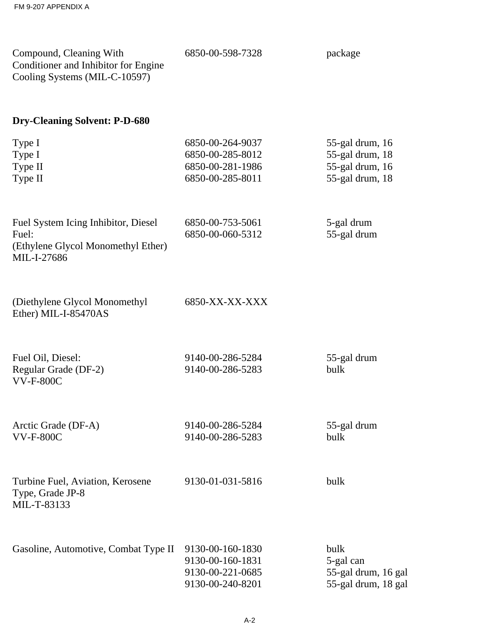| Compound, Cleaning With<br>Conditioner and Inhibitor for Engine<br>Cooling Systems (MIL-C-10597)  | 6850-00-598-7328                                                             | package                                                                  |
|---------------------------------------------------------------------------------------------------|------------------------------------------------------------------------------|--------------------------------------------------------------------------|
| <b>Dry-Cleaning Solvent: P-D-680</b>                                                              |                                                                              |                                                                          |
| Type I<br>Type I<br>Type II<br>Type II                                                            | 6850-00-264-9037<br>6850-00-285-8012<br>6850-00-281-1986<br>6850-00-285-8011 | 55-gal drum, 16<br>55-gal drum, 18<br>55-gal drum, 16<br>55-gal drum, 18 |
| Fuel System Icing Inhibitor, Diesel<br>Fuel:<br>(Ethylene Glycol Monomethyl Ether)<br>MIL-I-27686 | 6850-00-753-5061<br>6850-00-060-5312                                         | 5-gal drum<br>55-gal drum                                                |
| (Diethylene Glycol Monomethyl<br>Ether) MIL-I-85470AS                                             | 6850-XX-XX-XXX                                                               |                                                                          |
| Fuel Oil, Diesel:<br>Regular Grade (DF-2)<br><b>VV-F-800C</b>                                     | 9140-00-286-5284<br>9140-00-286-5283                                         | 55-gal drum<br>bulk                                                      |
| Arctic Grade (DF-A)<br><b>VV-F-800C</b>                                                           | 9140-00-286-5284<br>9140-00-286-5283                                         | 55-gal drum<br>bulk                                                      |
| Turbine Fuel, Aviation, Kerosene<br>Type, Grade JP-8<br>MIL-T-83133                               | 9130-01-031-5816                                                             | bulk                                                                     |

| Gasoline, Automotive, Combat Type II 9130-00-160-1830 |                  | bulk                |
|-------------------------------------------------------|------------------|---------------------|
|                                                       | 9130-00-160-1831 | 5-gal can           |
|                                                       | 9130-00-221-0685 | 55-gal drum, 16 gal |
|                                                       | 9130-00-240-8201 | 55-gal drum, 18 gal |
|                                                       |                  |                     |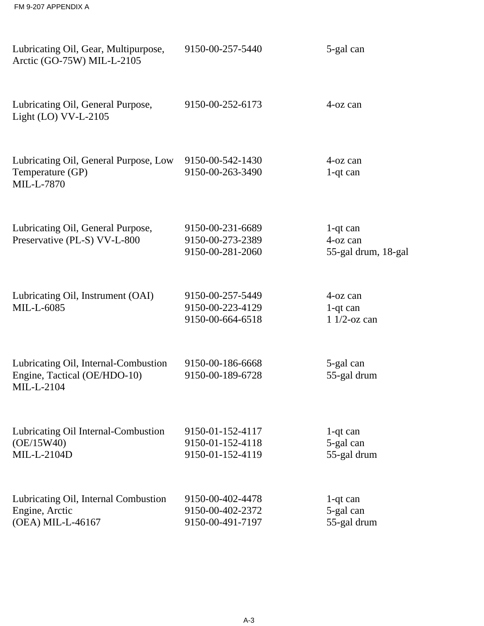| FM 9-207 APPENDIX A                                                                |                                                          |                                                |
|------------------------------------------------------------------------------------|----------------------------------------------------------|------------------------------------------------|
| Lubricating Oil, Gear, Multipurpose,<br>Arctic (GO-75W) MIL-L-2105                 | 9150-00-257-5440                                         | 5-gal can                                      |
| Lubricating Oil, General Purpose,<br>Light $(LO)$ VV-L-2105                        | 9150-00-252-6173                                         | $4$ -oz can                                    |
| Lubricating Oil, General Purpose, Low<br>Temperature (GP)<br>MIL-L-7870            | 9150-00-542-1430<br>9150-00-263-3490                     | 4-oz can<br>$1$ -qt can                        |
| Lubricating Oil, General Purpose,<br>Preservative (PL-S) VV-L-800                  | 9150-00-231-6689<br>9150-00-273-2389<br>9150-00-281-2060 | $1$ -qt can<br>4-oz can<br>55-gal drum, 18-gal |
| Lubricating Oil, Instrument (OAI)<br>MIL-L-6085                                    | 9150-00-257-5449<br>9150-00-223-4129<br>9150-00-664-6518 | $4$ -oz can<br>$1$ -qt can<br>1 $1/2$ -oz can  |
| Lubricating Oil, Internal-Combustion<br>Engine, Tactical (OE/HDO-10)<br>MIL-L-2104 | 9150-00-186-6668<br>9150-00-189-6728                     | 5-gal can<br>55-gal drum                       |
| Lubricating Oil Internal-Combustion<br>(OE/15W40)<br>MIL-L-2104D                   | 9150-01-152-4117<br>9150-01-152-4118<br>9150-01-152-4119 | $1$ -qt can<br>5-gal can<br>55-gal drum        |
| Lubricating Oil, Internal Combustion<br>Engine, Arctic                             | 9150-00-402-4478<br>9150-00-402-2372                     | $1$ -qt can<br>5-gal can                       |

(OEA) MIL-L-46167

55-gal drum

9150-00-491-7197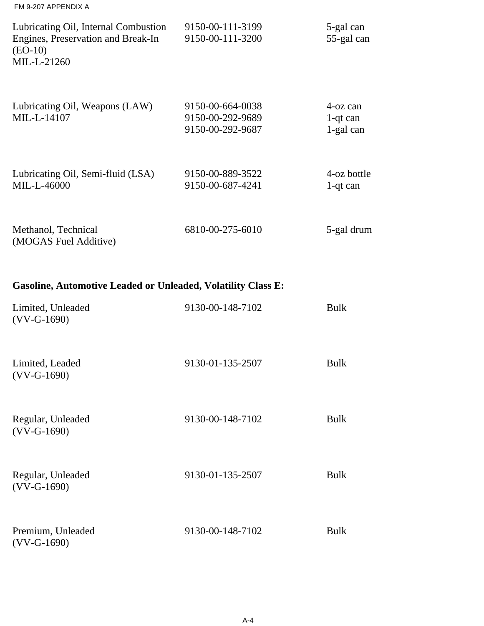| FM 9-207 APPENDIX A                                                                                    |                                                          |                                      |
|--------------------------------------------------------------------------------------------------------|----------------------------------------------------------|--------------------------------------|
| Lubricating Oil, Internal Combustion<br>Engines, Preservation and Break-In<br>$(EO-10)$<br>MIL-L-21260 | 9150-00-111-3199<br>9150-00-111-3200                     | 5-gal can<br>55-gal can              |
| Lubricating Oil, Weapons (LAW)<br>MIL-L-14107                                                          | 9150-00-664-0038<br>9150-00-292-9689<br>9150-00-292-9687 | 4-oz can<br>$1$ -qt can<br>1-gal can |
| Lubricating Oil, Semi-fluid (LSA)<br>MIL-L-46000                                                       | 9150-00-889-3522<br>9150-00-687-4241                     | 4-oz bottle<br>$1$ -qt can           |
| Methanol, Technical<br>(MOGAS Fuel Additive)                                                           | 6810-00-275-6010                                         | 5-gal drum                           |

## **Gasoline, Automotive Leaded or Unleaded, Volatility Class E:**

| Limited, Unleaded<br>$(VV-G-1690)$ | 9130-00-148-7102 | <b>Bulk</b> |
|------------------------------------|------------------|-------------|
| Limited, Leaded<br>$(VV-G-1690)$   | 9130-01-135-2507 | <b>Bulk</b> |
| Regular, Unleaded<br>$(VV-G-1690)$ | 9130-00-148-7102 | <b>Bulk</b> |
| Regular, Unleaded<br>$(VV-G-1690)$ | 9130-01-135-2507 | <b>Bulk</b> |
| Premium, Unleaded<br>$(VV-G-1690)$ | 9130-00-148-7102 | <b>Bulk</b> |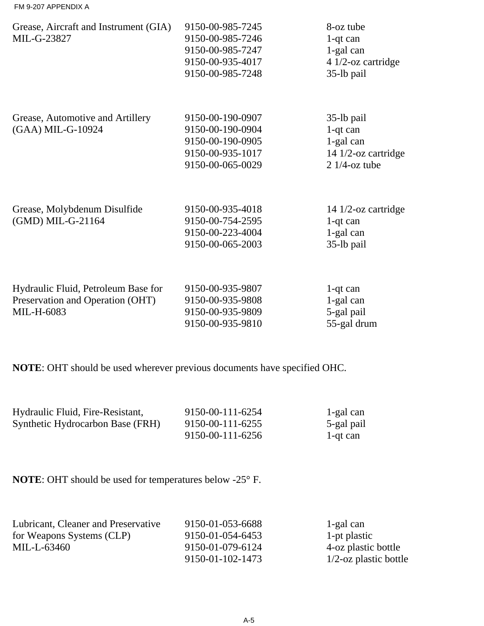| Grease, Aircraft and Instrument (GIA)<br>MIL-G-23827                                  | 9150-00-985-7245<br>9150-00-985-7246<br>9150-00-985-7247<br>9150-00-935-4017<br>9150-00-985-7248 | 8-oz tube<br>$1$ -qt can<br>1-gal can<br>4 1/2-oz cartridge<br>35-lb pail           |
|---------------------------------------------------------------------------------------|--------------------------------------------------------------------------------------------------|-------------------------------------------------------------------------------------|
| Grease, Automotive and Artillery<br>(GAA) MIL-G-10924                                 | 9150-00-190-0907<br>9150-00-190-0904<br>9150-00-190-0905<br>9150-00-935-1017<br>9150-00-065-0029 | 35-lb pail<br>$1$ -qt can<br>1-gal can<br>14 $1/2$ -oz cartridge<br>$21/4$ -oz tube |
| Grease, Molybdenum Disulfide<br>(GMD) MIL-G-21164                                     | 9150-00-935-4018<br>9150-00-754-2595<br>9150-00-223-4004<br>9150-00-065-2003                     | 14 $1/2$ -oz cartridge<br>$1$ -qt can<br>1-gal can<br>35-lb pail                    |
| Hydraulic Fluid, Petroleum Base for<br>Preservation and Operation (OHT)<br>MIL-H-6083 | 9150-00-935-9807<br>9150-00-935-9808<br>9150-00-935-9809<br>9150-00-935-9810                     | $1$ -qt can<br>1-gal can<br>5-gal pail<br>55-gal drum                               |

**NOTE**: OHT should be used wherever previous documents have specified OHC.

| Hydraulic Fluid, Fire-Resistant, | 9150-00-111-6254 | 1-gal can  |
|----------------------------------|------------------|------------|
| Synthetic Hydrocarbon Base (FRH) | 9150-00-111-6255 | 5-gal pail |
|                                  | 9150-00-111-6256 | 1-qt can   |

**NOTE**: OHT should be used for temperatures below -25° F.

| Lubricant, Cleaner and Preservative | 9150-01-053-6688 | 1-gal can                |
|-------------------------------------|------------------|--------------------------|
| for Weapons Systems (CLP)           | 9150-01-054-6453 | 1-pt plastic             |
| MIL-L-63460                         | 9150-01-079-6124 | 4-oz plastic bottle      |
|                                     | 9150-01-102-1473 | $1/2$ -oz plastic bottle |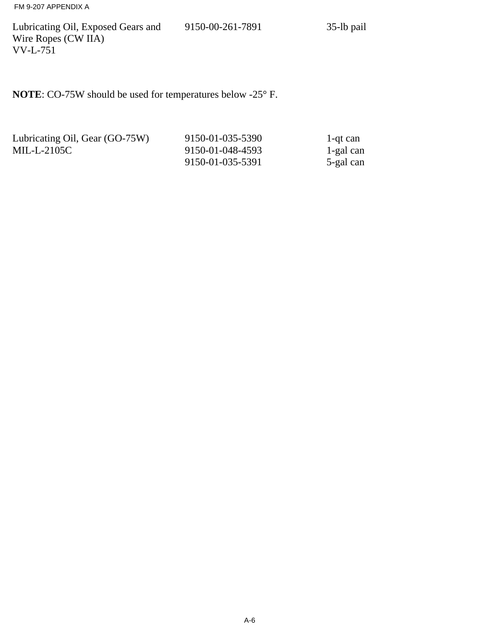FM 9-207 APPENDIX A

Lubricating Oil, Exposed Gears and Wire Ropes (CW IIA) VV-L-751

9150-00-261-7891 35-lb pail

**NOTE**: CO-75W should be used for temperatures below -25° F.

| Lubricating Oil, Gear (GO-75W) | 9150-01-035-5390 | 1-qt can  |
|--------------------------------|------------------|-----------|
| $MIL-L-2105C$                  | 9150-01-048-4593 | 1-gal can |
|                                | 9150-01-035-5391 | 5-gal can |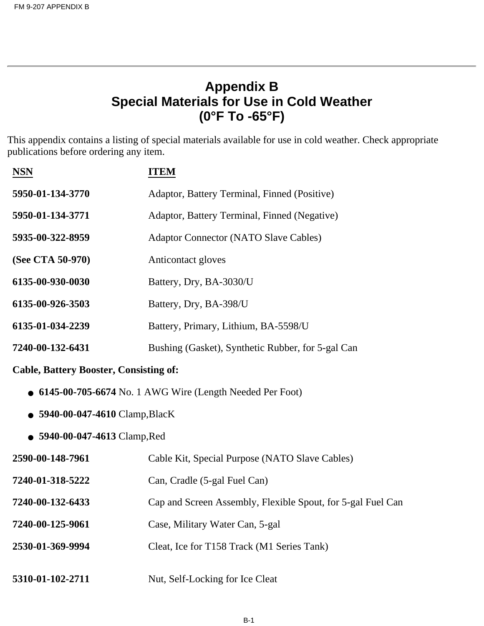## **Appendix B Special Materials for Use in Cold Weather (0°F To -65°F)**

This appendix contains a listing of special materials available for use in cold weather. Check appropriate publications before ordering any item.

| <b>NSN</b>       | ITEM                                              |
|------------------|---------------------------------------------------|
| 5950-01-134-3770 | Adaptor, Battery Terminal, Finned (Positive)      |
| 5950-01-134-3771 | Adaptor, Battery Terminal, Finned (Negative)      |
| 5935-00-322-8959 | <b>Adaptor Connector (NATO Slave Cables)</b>      |
| (See CTA 50-970) | Anticontact gloves                                |
| 6135-00-930-0030 | Battery, Dry, BA-3030/U                           |
| 6135-00-926-3503 | Battery, Dry, BA-398/U                            |
| 6135-01-034-2239 | Battery, Primary, Lithium, BA-5598/U              |
| 7240-00-132-6431 | Bushing (Gasket), Synthetic Rubber, for 5-gal Can |
|                  |                                                   |

#### **Cable, Battery Booster, Consisting of:**

- **6145-00-705-6674** No. 1 AWG Wire (Length Needed Per Foot)
- **5940-00-047-4610** Clamp,BlacK
- **5940-00-047-4613** Clamp,Red

| 2590-00-148-7961 | Cable Kit, Special Purpose (NATO Slave Cables)              |
|------------------|-------------------------------------------------------------|
| 7240-01-318-5222 | Can, Cradle (5-gal Fuel Can)                                |
| 7240-00-132-6433 | Cap and Screen Assembly, Flexible Spout, for 5-gal Fuel Can |
| 7240-00-125-9061 | Case, Military Water Can, 5-gal                             |
| 2530-01-369-9994 | Cleat, Ice for T158 Track (M1 Series Tank)                  |
| 5310-01-102-2711 | Nut, Self-Locking for Ice Cleat                             |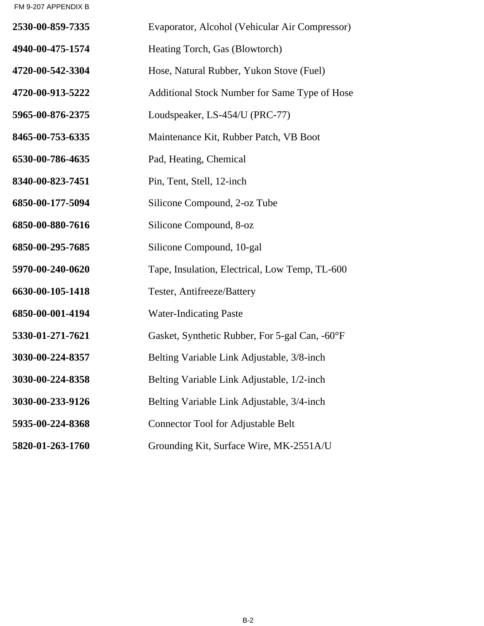FM 9-207 APPENDIX B

| 2530-00-859-7335 | Evaporator, Alcohol (Vehicular Air Compressor) |
|------------------|------------------------------------------------|
| 4940-00-475-1574 | Heating Torch, Gas (Blowtorch)                 |
| 4720-00-542-3304 | Hose, Natural Rubber, Yukon Stove (Fuel)       |
| 4720-00-913-5222 | Additional Stock Number for Same Type of Hose  |
| 5965-00-876-2375 | Loudspeaker, LS-454/U (PRC-77)                 |
| 8465-00-753-6335 | Maintenance Kit, Rubber Patch, VB Boot         |
| 6530-00-786-4635 | Pad, Heating, Chemical                         |
| 8340-00-823-7451 | Pin, Tent, Stell, 12-inch                      |
| 6850-00-177-5094 | Silicone Compound, 2-oz Tube                   |
| 6850-00-880-7616 | Silicone Compound, 8-oz                        |
| 6850-00-295-7685 | Silicone Compound, 10-gal                      |
| 5970-00-240-0620 | Tape, Insulation, Electrical, Low Temp, TL-600 |
| 6630-00-105-1418 | Tester, Antifreeze/Battery                     |
| 6850-00-001-4194 | <b>Water-Indicating Paste</b>                  |
| 5330-01-271-7621 | Gasket, Synthetic Rubber, For 5-gal Can, -60°F |
| 3030-00-224-8357 | Belting Variable Link Adjustable, 3/8-inch     |
| 3030-00-224-8358 | Belting Variable Link Adjustable, 1/2-inch     |
| 3030-00-233-9126 | Belting Variable Link Adjustable, 3/4-inch     |
| 5935-00-224-8368 | <b>Connector Tool for Adjustable Belt</b>      |
| 5820-01-263-1760 | Grounding Kit, Surface Wire, MK-2551A/U        |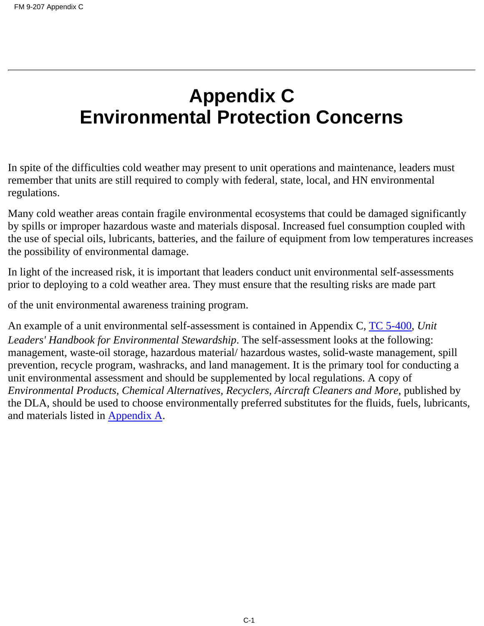# **Appendix C Environmental Protection Concerns**

In spite of the difficulties cold weather may present to unit operations and maintenance, leaders must remember that units are still required to comply with federal, state, local, and HN environmental regulations.

Many cold weather areas contain fragile environmental ecosystems that could be damaged significantly by spills or improper hazardous waste and materials disposal. Increased fuel consumption coupled with the use of special oils, lubricants, batteries, and the failure of equipment from low temperatures increases the possibility of environmental damage.

In light of the increased risk, it is important that leaders conduct unit environmental self-assessments prior to deploying to a cold weather area. They must ensure that the resulting risks are made part

of the unit environmental awareness training program.

An example of a unit environmental self-assessment is contained in Appendix C, TC 5-400, *Unit Leaders' Handbook for Environmental Stewardship*. The self-assessment looks at the following: management, waste-oil storage, hazardous material/ hazardous wastes, solid-waste management, spill prevention, recycle program, washracks, and land management. It is the primary tool for conducting a unit environmental assessment and should be supplemented by local regulations. A copy of *Environmental Products, Chemical Alternatives, Recyclers, Aircraft Cleaners and More*, published by the DLA, should be used to choose environmentally preferred substitutes for the fluids, fuels, lubricants, and materials listed in **Appendix A**.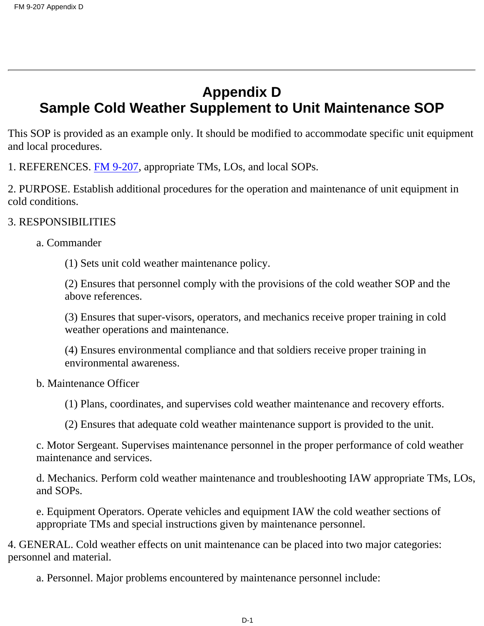# **Appendix D Sample Cold Weather Supplement to Unit Maintenance SOP**

This SOP is provided as an example only. It should be modified to accommodate specific unit equipment and local procedures.

1. REFERENCES. [FM 9-207](#page-108-0), appropriate TMs, LOs, and local SOPs.

2. PURPOSE. Establish additional procedures for the operation and maintenance of unit equipment in cold conditions.

#### 3. RESPONSIBILITIES

#### a. Commander

(1) Sets unit cold weather maintenance policy.

(2) Ensures that personnel comply with the provisions of the cold weather SOP and the above references.

(3) Ensures that super-visors, operators, and mechanics receive proper training in cold weather operations and maintenance.

(4) Ensures environmental compliance and that soldiers receive proper training in environmental awareness.

#### b. Maintenance Officer

(1) Plans, coordinates, and supervises cold weather maintenance and recovery efforts.

(2) Ensures that adequate cold weather maintenance support is provided to the unit.

c. Motor Sergeant. Supervises maintenance personnel in the proper performance of cold weather maintenance and services.

d. Mechanics. Perform cold weather maintenance and troubleshooting IAW appropriate TMs, LOs, and SOPs.

e. Equipment Operators. Operate vehicles and equipment IAW the cold weather sections of appropriate TMs and special instructions given by maintenance personnel.

4. GENERAL. Cold weather effects on unit maintenance can be placed into two major categories: personnel and material.

a. Personnel. Major problems encountered by maintenance personnel include: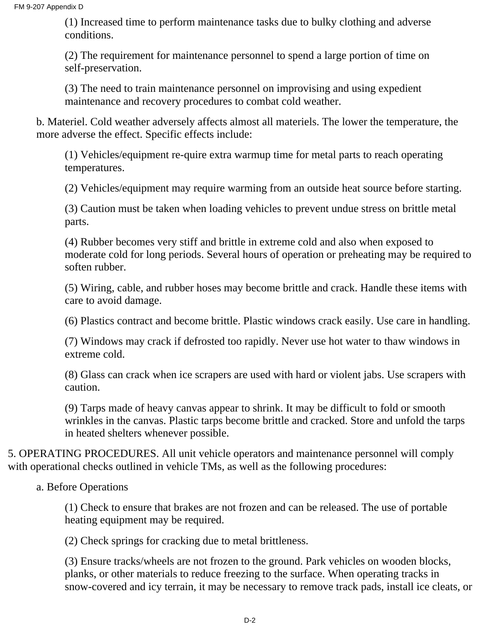(1) Increased time to perform maintenance tasks due to bulky clothing and adverse conditions.

(2) The requirement for maintenance personnel to spend a large portion of time on self-preservation.

(3) The need to train maintenance personnel on improvising and using expedient maintenance and recovery procedures to combat cold weather.

b. Materiel. Cold weather adversely affects almost all materiels. The lower the temperature, the more adverse the effect. Specific effects include:

(1) Vehicles/equipment re-quire extra warmup time for metal parts to reach operating temperatures.

(2) Vehicles/equipment may require warming from an outside heat source before starting.

(3) Caution must be taken when loading vehicles to prevent undue stress on brittle metal parts.

(4) Rubber becomes very stiff and brittle in extreme cold and also when exposed to moderate cold for long periods. Several hours of operation or preheating may be required to soften rubber.

(5) Wiring, cable, and rubber hoses may become brittle and crack. Handle these items with care to avoid damage.

(6) Plastics contract and become brittle. Plastic windows crack easily. Use care in handling.

(7) Windows may crack if defrosted too rapidly. Never use hot water to thaw windows in extreme cold.

(8) Glass can crack when ice scrapers are used with hard or violent jabs. Use scrapers with caution.

(9) Tarps made of heavy canvas appear to shrink. It may be difficult to fold or smooth wrinkles in the canvas. Plastic tarps become brittle and cracked. Store and unfold the tarps in heated shelters whenever possible.

5. OPERATING PROCEDURES. All unit vehicle operators and maintenance personnel will comply with operational checks outlined in vehicle TMs, as well as the following procedures:

a. Before Operations

(1) Check to ensure that brakes are not frozen and can be released. The use of portable heating equipment may be required.

(2) Check springs for cracking due to metal brittleness.

(3) Ensure tracks/wheels are not frozen to the ground. Park vehicles on wooden blocks, planks, or other materials to reduce freezing to the surface. When operating tracks in snow-covered and icy terrain, it may be necessary to remove track pads, install ice cleats, or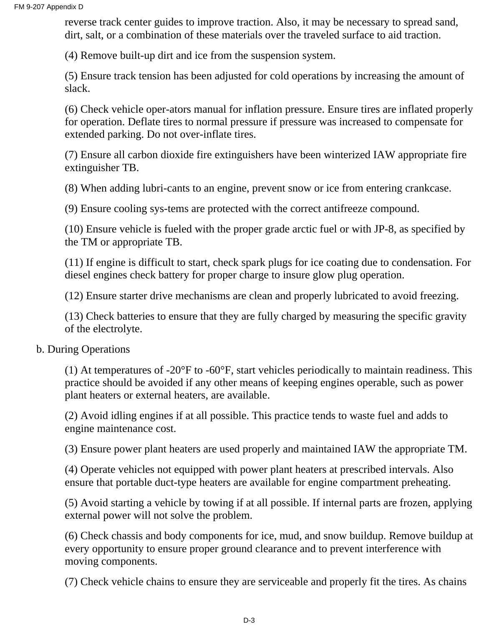reverse track center guides to improve traction. Also, it may be necessary to spread sand, dirt, salt, or a combination of these materials over the traveled surface to aid traction.

(4) Remove built-up dirt and ice from the suspension system.

(5) Ensure track tension has been adjusted for cold operations by increasing the amount of slack.

(6) Check vehicle oper-ators manual for inflation pressure. Ensure tires are inflated properly for operation. Deflate tires to normal pressure if pressure was increased to compensate for extended parking. Do not over-inflate tires.

(7) Ensure all carbon dioxide fire extinguishers have been winterized IAW appropriate fire extinguisher TB.

(8) When adding lubri-cants to an engine, prevent snow or ice from entering crankcase.

(9) Ensure cooling sys-tems are protected with the correct antifreeze compound.

(10) Ensure vehicle is fueled with the proper grade arctic fuel or with JP-8, as specified by the TM or appropriate TB.

(11) If engine is difficult to start, check spark plugs for ice coating due to condensation. For diesel engines check battery for proper charge to insure glow plug operation.

(12) Ensure starter drive mechanisms are clean and properly lubricated to avoid freezing.

(13) Check batteries to ensure that they are fully charged by measuring the specific gravity of the electrolyte.

#### b. During Operations

(1) At temperatures of -20 $\mathrm{P}$  to -60 $\mathrm{P}$ , start vehicles periodically to maintain readiness. This practice should be avoided if any other means of keeping engines operable, such as power plant heaters or external heaters, are available.

(2) Avoid idling engines if at all possible. This practice tends to waste fuel and adds to engine maintenance cost.

(3) Ensure power plant heaters are used properly and maintained IAW the appropriate TM.

(4) Operate vehicles not equipped with power plant heaters at prescribed intervals. Also ensure that portable duct-type heaters are available for engine compartment preheating.

(5) Avoid starting a vehicle by towing if at all possible. If internal parts are frozen, applying external power will not solve the problem.

(6) Check chassis and body components for ice, mud, and snow buildup. Remove buildup at every opportunity to ensure proper ground clearance and to prevent interference with moving components.

(7) Check vehicle chains to ensure they are serviceable and properly fit the tires. As chains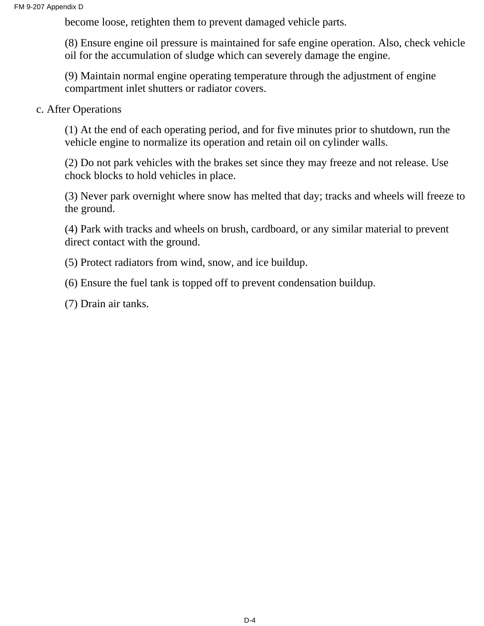become loose, retighten them to prevent damaged vehicle parts.

(8) Ensure engine oil pressure is maintained for safe engine operation. Also, check vehicle oil for the accumulation of sludge which can severely damage the engine.

(9) Maintain normal engine operating temperature through the adjustment of engine compartment inlet shutters or radiator covers.

c. After Operations

(1) At the end of each operating period, and for five minutes prior to shutdown, run the vehicle engine to normalize its operation and retain oil on cylinder walls.

(2) Do not park vehicles with the brakes set since they may freeze and not release. Use chock blocks to hold vehicles in place.

(3) Never park overnight where snow has melted that day; tracks and wheels will freeze to the ground.

(4) Park with tracks and wheels on brush, cardboard, or any similar material to prevent direct contact with the ground.

(5) Protect radiators from wind, snow, and ice buildup.

(6) Ensure the fuel tank is topped off to prevent condensation buildup.

(7) Drain air tanks.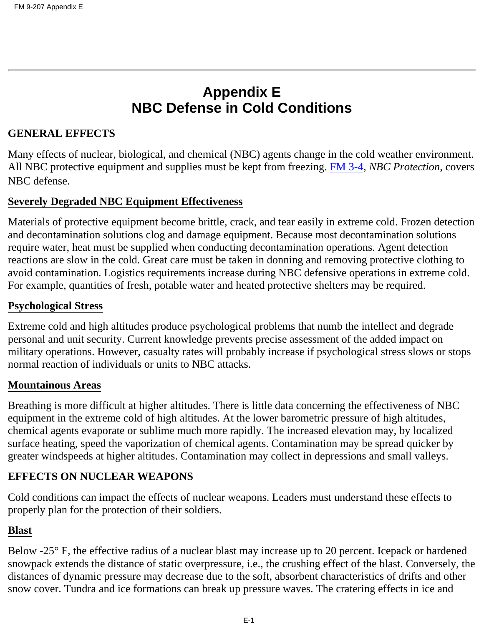# **Appendix E NBC Defense in Cold Conditions**

#### **GENERAL EFFECTS**

Many effects of nuclear, biological, and chemical (NBC) agents change in the cold weather environment. All NBC protective equipment and supplies must be kept from freezing. FM 3-4, *NBC Protection*, covers NBC defense.

#### **Severely Degraded NBC Equipment Effectiveness**

Materials of protective equipment become brittle, crack, and tear easily in extreme cold. Frozen detection and decontamination solutions clog and damage equipment. Because most decontamination solutions require water, heat must be supplied when conducting decontamination operations. Agent detection reactions are slow in the cold. Great care must be taken in donning and removing protective clothing to avoid contamination. Logistics requirements increase during NBC defensive operations in extreme cold. For example, quantities of fresh, potable water and heated protective shelters may be required.

#### **Psychological Stress**

Extreme cold and high altitudes produce psychological problems that numb the intellect and degrade personal and unit security. Current knowledge prevents precise assessment of the added impact on military operations. However, casualty rates will probably increase if psychological stress slows or stops normal reaction of individuals or units to NBC attacks.

#### **Mountainous Areas**

Breathing is more difficult at higher altitudes. There is little data concerning the effectiveness of NBC equipment in the extreme cold of high altitudes. At the lower barometric pressure of high altitudes, chemical agents evaporate or sublime much more rapidly. The increased elevation may, by localized surface heating, speed the vaporization of chemical agents. Contamination may be spread quicker by greater windspeeds at higher altitudes. Contamination may collect in depressions and small valleys.

#### **EFFECTS ON NUCLEAR WEAPONS**

Cold conditions can impact the effects of nuclear weapons. Leaders must understand these effects to properly plan for the protection of their soldiers.

#### **Blast**

Below -25° F, the effective radius of a nuclear blast may increase up to 20 percent. Icepack or hardened snowpack extends the distance of static overpressure, i.e., the crushing effect of the blast. Conversely, the distances of dynamic pressure may decrease due to the soft, absorbent characteristics of drifts and other snow cover. Tundra and ice formations can break up pressure waves. The cratering effects in ice and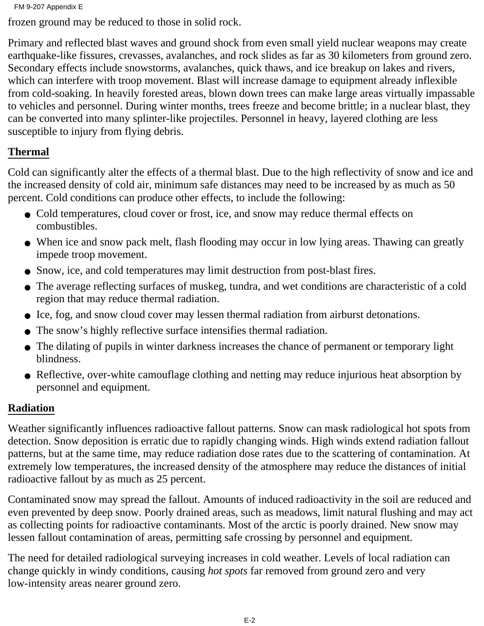```
FM 9-207 Appendix E
```
frozen ground may be reduced to those in solid rock.

Primary and reflected blast waves and ground shock from even small yield nuclear weapons may create earthquake-like fissures, crevasses, avalanches, and rock slides as far as 30 kilometers from ground zero. Secondary effects include snowstorms, avalanches, quick thaws, and ice breakup on lakes and rivers, which can interfere with troop movement. Blast will increase damage to equipment already inflexible from cold-soaking. In heavily forested areas, blown down trees can make large areas virtually impassable to vehicles and personnel. During winter months, trees freeze and become brittle; in a nuclear blast, they can be converted into many splinter-like projectiles. Personnel in heavy, layered clothing are less susceptible to injury from flying debris.

#### **Thermal**

Cold can significantly alter the effects of a thermal blast. Due to the high reflectivity of snow and ice and the increased density of cold air, minimum safe distances may need to be increased by as much as 50 percent. Cold conditions can produce other effects, to include the following:

- Cold temperatures, cloud cover or frost, ice, and snow may reduce thermal effects on combustibles.
- When ice and snow pack melt, flash flooding may occur in low lying areas. Thawing can greatly impede troop movement.
- Snow, ice, and cold temperatures may limit destruction from post-blast fires.
- The average reflecting surfaces of muskeg, tundra, and wet conditions are characteristic of a cold region that may reduce thermal radiation.
- Ice, fog, and snow cloud cover may lessen thermal radiation from airburst detonations.
- The snow's highly reflective surface intensifies thermal radiation.
- The dilating of pupils in winter darkness increases the chance of permanent or temporary light blindness.
- Reflective, over-white camouflage clothing and netting may reduce injurious heat absorption by personnel and equipment.

### **Radiation**

Weather significantly influences radioactive fallout patterns. Snow can mask radiological hot spots from detection. Snow deposition is erratic due to rapidly changing winds. High winds extend radiation fallout patterns, but at the same time, may reduce radiation dose rates due to the scattering of contamination. At extremely low temperatures, the increased density of the atmosphere may reduce the distances of initial radioactive fallout by as much as 25 percent.

Contaminated snow may spread the fallout. Amounts of induced radioactivity in the soil are reduced and even prevented by deep snow. Poorly drained areas, such as meadows, limit natural flushing and may act as collecting points for radioactive contaminants. Most of the arctic is poorly drained. New snow may lessen fallout contamination of areas, permitting safe crossing by personnel and equipment.

The need for detailed radiological surveying increases in cold weather. Levels of local radiation can change quickly in windy conditions, causing *hot spots* far removed from ground zero and very low-intensity areas nearer ground zero.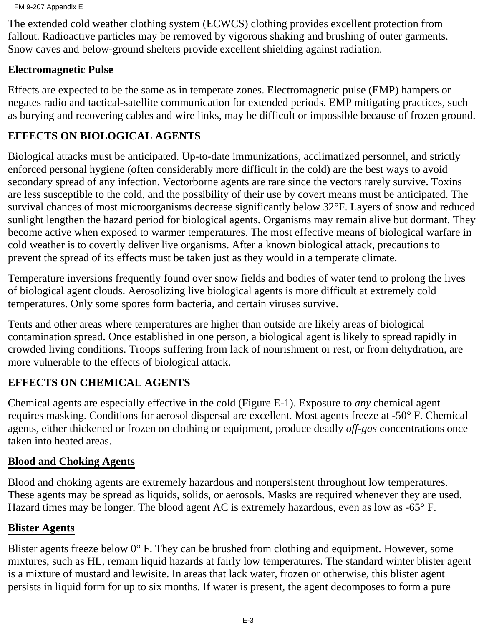The extended cold weather clothing system (ECWCS) clothing provides excellent protection from fallout. Radioactive particles may be removed by vigorous shaking and brushing of outer garments. Snow caves and below-ground shelters provide excellent shielding against radiation.

#### **Electromagnetic Pulse**

Effects are expected to be the same as in temperate zones. Electromagnetic pulse (EMP) hampers or negates radio and tactical-satellite communication for extended periods. EMP mitigating practices, such as burying and recovering cables and wire links, may be difficult or impossible because of frozen ground.

#### **EFFECTS ON BIOLOGICAL AGENTS**

Biological attacks must be anticipated. Up-to-date immunizations, acclimatized personnel, and strictly enforced personal hygiene (often considerably more difficult in the cold) are the best ways to avoid secondary spread of any infection. Vectorborne agents are rare since the vectors rarely survive. Toxins are less susceptible to the cold, and the possibility of their use by covert means must be anticipated. The survival chances of most microorganisms decrease significantly below 32°F. Layers of snow and reduced sunlight lengthen the hazard period for biological agents. Organisms may remain alive but dormant. They become active when exposed to warmer temperatures. The most effective means of biological warfare in cold weather is to covertly deliver live organisms. After a known biological attack, precautions to prevent the spread of its effects must be taken just as they would in a temperate climate.

Temperature inversions frequently found over snow fields and bodies of water tend to prolong the lives of biological agent clouds. Aerosolizing live biological agents is more difficult at extremely cold temperatures. Only some spores form bacteria, and certain viruses survive.

Tents and other areas where temperatures are higher than outside are likely areas of biological contamination spread. Once established in one person, a biological agent is likely to spread rapidly in crowded living conditions. Troops suffering from lack of nourishment or rest, or from dehydration, are more vulnerable to the effects of biological attack.

#### **EFFECTS ON CHEMICAL AGENTS**

Chemical agents are especially effective in the cold (Figure E-1). Exposure to *any* chemical agent requires masking. Conditions for aerosol dispersal are excellent. Most agents freeze at -50° F. Chemical agents, either thickened or frozen on clothing or equipment, produce deadly *off-gas* concentrations once taken into heated areas.

#### **Blood and Choking Agents**

Blood and choking agents are extremely hazardous and nonpersistent throughout low temperatures. These agents may be spread as liquids, solids, or aerosols. Masks are required whenever they are used. Hazard times may be longer. The blood agent AC is extremely hazardous, even as low as -65° F.

#### **Blister Agents**

Blister agents freeze below  $0^{\circ}$  F. They can be brushed from clothing and equipment. However, some mixtures, such as HL, remain liquid hazards at fairly low temperatures. The standard winter blister agent is a mixture of mustard and lewisite. In areas that lack water, frozen or otherwise, this blister agent persists in liquid form for up to six months. If water is present, the agent decomposes to form a pure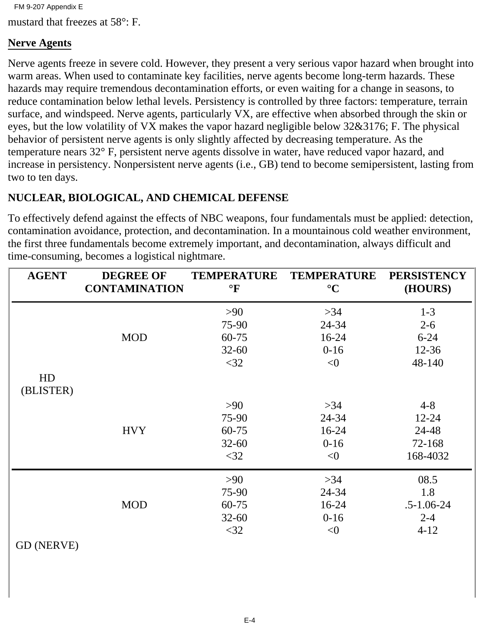mustard that freezes at 58°: F. FM 9-207 Appendix E

#### **Nerve Agents**

Nerve agents freeze in severe cold. However, they present a very serious vapor hazard when brought into warm areas. When used to contaminate key facilities, nerve agents become long-term hazards. These hazards may require tremendous decontamination efforts, or even waiting for a change in seasons, to reduce contamination below lethal levels. Persistency is controlled by three factors: temperature, terrain surface, and windspeed. Nerve agents, particularly VX, are effective when absorbed through the skin or eyes, but the low volatility of VX makes the vapor hazard negligible below 32&3176; F. The physical behavior of persistent nerve agents is only slightly affected by decreasing temperature. As the temperature nears 32° F, persistent nerve agents dissolve in water, have reduced vapor hazard, and increase in persistency. Nonpersistent nerve agents (i.e., GB) tend to become semipersistent, lasting from two to ten days.

#### **NUCLEAR, BIOLOGICAL, AND CHEMICAL DEFENSE**

To effectively defend against the effects of NBC weapons, four fundamentals must be applied: detection, contamination avoidance, protection, and decontamination. In a mountainous cold weather environment, the first three fundamentals become extremely important, and decontamination, always difficult and time-consuming, becomes a logistical nightmare.

| <b>AGENT</b>    | <b>DEGREE OF</b><br><b>CONTAMINATION</b> | <b>TEMPERATURE</b><br>$\mathrm{P}$ | <b>TEMPERATURE</b><br>$\rm ^{\circ}C$ | <b>PERSISTENCY</b><br>(HOURS) |
|-----------------|------------------------------------------|------------------------------------|---------------------------------------|-------------------------------|
|                 |                                          | $>90$                              | $>34$                                 | $1-3$                         |
|                 |                                          | 75-90                              | 24-34                                 | $2 - 6$                       |
|                 | <b>MOD</b>                               | 60-75                              | $16-24$                               | $6 - 24$                      |
|                 |                                          | $32 - 60$                          | $0 - 16$                              | $12 - 36$                     |
|                 |                                          | $<$ 32                             | < 0                                   | 48-140                        |
| HD<br>(BLISTER) |                                          |                                    |                                       |                               |
|                 |                                          | >90                                | $>34$                                 | $4 - 8$                       |
|                 |                                          | 75-90                              | 24-34                                 | $12 - 24$                     |
|                 | <b>HVY</b>                               | 60-75                              | $16-24$                               | 24-48                         |
|                 |                                          | $32 - 60$                          | $0-16$                                | 72-168                        |
|                 |                                          | $<$ 32                             | < 0                                   | 168-4032                      |
|                 |                                          | >90                                | $>34$                                 | 08.5                          |
|                 |                                          | 75-90                              | 24-34                                 | 1.8                           |
|                 | <b>MOD</b>                               | 60-75                              | $16-24$                               | $.5 - 1.06 - 24$              |
|                 |                                          | $32 - 60$                          | $0-16$                                | $2 - 4$                       |
|                 |                                          | $<$ 32                             | $<$ 0                                 | $4 - 12$                      |
|                 |                                          |                                    |                                       |                               |

GD (NERVE)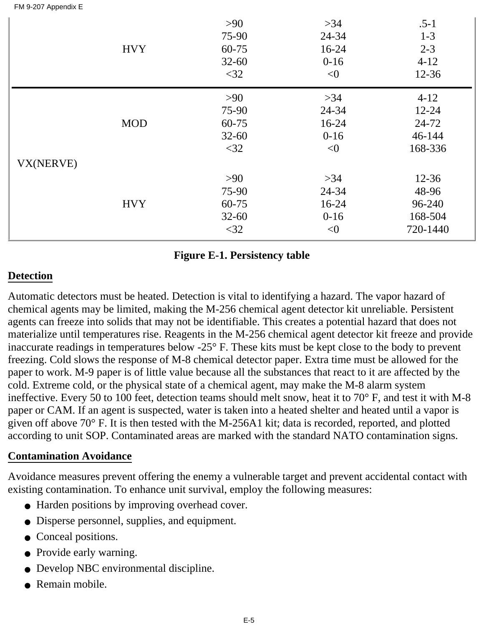|  | FM 9-207 Appendix E |  |
|--|---------------------|--|
|  |                     |  |

|           | <b>HVY</b> | $>90$<br>75-90<br>$60 - 75$<br>$32 - 60$<br>$<$ 32 | $>34$<br>24-34<br>$16 - 24$<br>$0-16$<br>< 0 | $.5 - 1$<br>$1 - 3$<br>$2 - 3$<br>$4 - 12$<br>$12 - 36$ |
|-----------|------------|----------------------------------------------------|----------------------------------------------|---------------------------------------------------------|
|           | <b>MOD</b> | $>90$<br>75-90<br>60-75<br>$32 - 60$<br>$<$ 32     | $>34$<br>24-34<br>$16 - 24$<br>$0-16$<br>< 0 | $4 - 12$<br>$12 - 24$<br>24-72<br>46-144<br>168-336     |
| VX(NERVE) | <b>HVY</b> | $>90$<br>75-90<br>60-75<br>$32 - 60$<br>$<$ 32     | $>34$<br>24-34<br>$16 - 24$<br>$0-16$<br>< 0 | $12 - 36$<br>48-96<br>96-240<br>168-504<br>720-1440     |

#### **Figure E-1. Persistency table**

#### **Detection**

Automatic detectors must be heated. Detection is vital to identifying a hazard. The vapor hazard of chemical agents may be limited, making the M-256 chemical agent detector kit unreliable. Persistent agents can freeze into solids that may not be identifiable. This creates a potential hazard that does not materialize until temperatures rise. Reagents in the M-256 chemical agent detector kit freeze and provide inaccurate readings in temperatures below -25° F. These kits must be kept close to the body to prevent freezing. Cold slows the response of M-8 chemical detector paper. Extra time must be allowed for the paper to work. M-9 paper is of little value because all the substances that react to it are affected by the cold. Extreme cold, or the physical state of a chemical agent, may make the M-8 alarm system ineffective. Every 50 to 100 feet, detection teams should melt snow, heat it to 70° F, and test it with M-8 paper or CAM. If an agent is suspected, water is taken into a heated shelter and heated until a vapor is given off above 70° F. It is then tested with the M-256A1 kit; data is recorded, reported, and plotted according to unit SOP. Contaminated areas are marked with the standard NATO contamination signs.

#### **Contamination Avoidance**

Avoidance measures prevent offering the enemy a vulnerable target and prevent accidental contact with existing contamination. To enhance unit survival, employ the following measures:

- Harden positions by improving overhead cover.
- Disperse personnel, supplies, and equipment.
- Conceal positions.
- Provide early warning.
- Develop NBC environmental discipline.
- Remain mobile.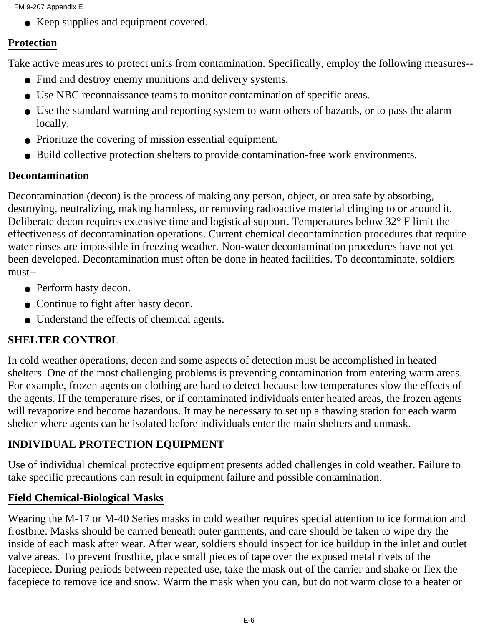FM 9-207 Appendix E

• Keep supplies and equipment covered.

#### **Protection**

Take active measures to protect units from contamination. Specifically, employ the following measures--

- Find and destroy enemy munitions and delivery systems.
- Use NBC reconnaissance teams to monitor contamination of specific areas.
- Use the standard warning and reporting system to warn others of hazards, or to pass the alarm locally.
- Prioritize the covering of mission essential equipment.
- Build collective protection shelters to provide contamination-free work environments.

#### **Decontamination**

Decontamination (decon) is the process of making any person, object, or area safe by absorbing, destroying, neutralizing, making harmless, or removing radioactive material clinging to or around it. Deliberate decon requires extensive time and logistical support. Temperatures below 32° F limit the effectiveness of decontamination operations. Current chemical decontamination procedures that require water rinses are impossible in freezing weather. Non-water decontamination procedures have not yet been developed. Decontamination must often be done in heated facilities. To decontaminate, soldiers must--

- Perform hasty decon.
- Continue to fight after hasty decon.
- Understand the effects of chemical agents.

### **SHELTER CONTROL**

In cold weather operations, decon and some aspects of detection must be accomplished in heated shelters. One of the most challenging problems is preventing contamination from entering warm areas. For example, frozen agents on clothing are hard to detect because low temperatures slow the effects of the agents. If the temperature rises, or if contaminated individuals enter heated areas, the frozen agents will revaporize and become hazardous. It may be necessary to set up a thawing station for each warm shelter where agents can be isolated before individuals enter the main shelters and unmask.

### **INDIVIDUAL PROTECTION EQUIPMENT**

Use of individual chemical protective equipment presents added challenges in cold weather. Failure to take specific precautions can result in equipment failure and possible contamination.

#### **Field Chemical-Biological Masks**

Wearing the M-17 or M-40 Series masks in cold weather requires special attention to ice formation and frostbite. Masks should be carried beneath outer garments, and care should be taken to wipe dry the inside of each mask after wear. After wear, soldiers should inspect for ice buildup in the inlet and outlet valve areas. To prevent frostbite, place small pieces of tape over the exposed metal rivets of the facepiece. During periods between repeated use, take the mask out of the carrier and shake or flex the facepiece to remove ice and snow. Warm the mask when you can, but do not warm close to a heater or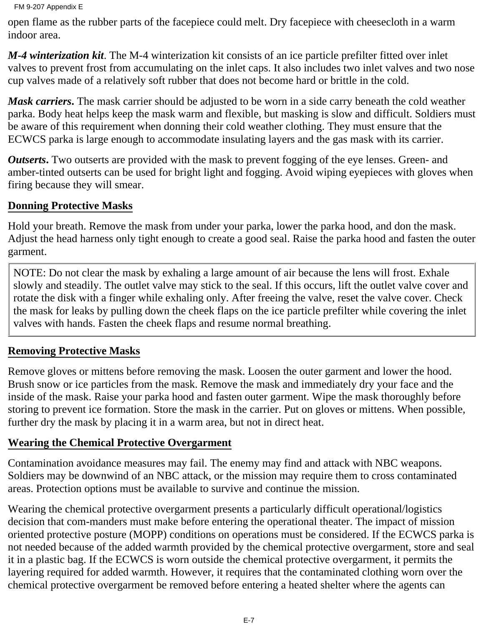```
FM 9-207 Appendix E
```
open flame as the rubber parts of the facepiece could melt. Dry facepiece with cheesecloth in a warm indoor area.

*M-4 winterization kit*. The M-4 winterization kit consists of an ice particle prefilter fitted over inlet valves to prevent frost from accumulating on the inlet caps. It also includes two inlet valves and two nose cup valves made of a relatively soft rubber that does not become hard or brittle in the cold.

*Mask carriers***.** The mask carrier should be adjusted to be worn in a side carry beneath the cold weather parka. Body heat helps keep the mask warm and flexible, but masking is slow and difficult. Soldiers must be aware of this requirement when donning their cold weather clothing. They must ensure that the ECWCS parka is large enough to accommodate insulating layers and the gas mask with its carrier.

*Outserts*. Two outserts are provided with the mask to prevent fogging of the eye lenses. Green- and amber-tinted outserts can be used for bright light and fogging. Avoid wiping eyepieces with gloves when firing because they will smear.

## **Donning Protective Masks**

Hold your breath. Remove the mask from under your parka, lower the parka hood, and don the mask. Adjust the head harness only tight enough to create a good seal. Raise the parka hood and fasten the outer garment.

NOTE: Do not clear the mask by exhaling a large amount of air because the lens will frost. Exhale slowly and steadily. The outlet valve may stick to the seal. If this occurs, lift the outlet valve cover and rotate the disk with a finger while exhaling only. After freeing the valve, reset the valve cover. Check the mask for leaks by pulling down the cheek flaps on the ice particle prefilter while covering the inlet valves with hands. Fasten the cheek flaps and resume normal breathing.

### **Removing Protective Masks**

Remove gloves or mittens before removing the mask. Loosen the outer garment and lower the hood. Brush snow or ice particles from the mask. Remove the mask and immediately dry your face and the inside of the mask. Raise your parka hood and fasten outer garment. Wipe the mask thoroughly before storing to prevent ice formation. Store the mask in the carrier. Put on gloves or mittens. When possible, further dry the mask by placing it in a warm area, but not in direct heat.

### **Wearing the Chemical Protective Overgarment**

Contamination avoidance measures may fail. The enemy may find and attack with NBC weapons. Soldiers may be downwind of an NBC attack, or the mission may require them to cross contaminated areas. Protection options must be available to survive and continue the mission.

Wearing the chemical protective overgarment presents a particularly difficult operational/logistics decision that com-manders must make before entering the operational theater. The impact of mission oriented protective posture (MOPP) conditions on operations must be considered. If the ECWCS parka is not needed because of the added warmth provided by the chemical protective overgarment, store and seal it in a plastic bag. If the ECWCS is worn outside the chemical protective overgarment, it permits the layering required for added warmth. However, it requires that the contaminated clothing worn over the chemical protective overgarment be removed before entering a heated shelter where the agents can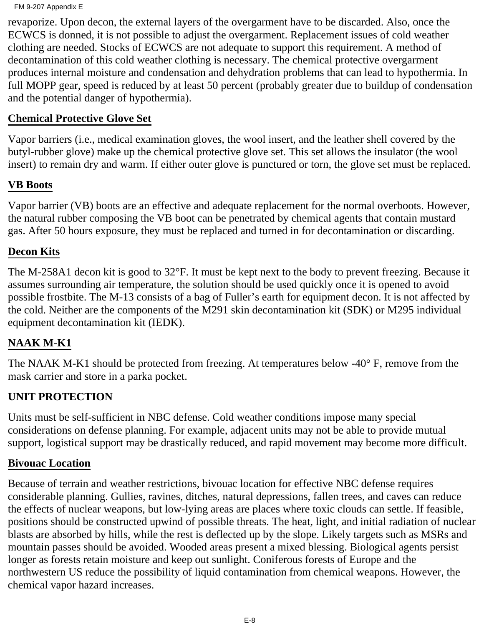```
FM 9-207 Appendix E
```
revaporize. Upon decon, the external layers of the overgarment have to be discarded. Also, once the ECWCS is donned, it is not possible to adjust the overgarment. Replacement issues of cold weather clothing are needed. Stocks of ECWCS are not adequate to support this requirement. A method of decontamination of this cold weather clothing is necessary. The chemical protective overgarment produces internal moisture and condensation and dehydration problems that can lead to hypothermia. In full MOPP gear, speed is reduced by at least 50 percent (probably greater due to buildup of condensation and the potential danger of hypothermia).

#### **Chemical Protective Glove Set**

Vapor barriers (i.e., medical examination gloves, the wool insert, and the leather shell covered by the butyl-rubber glove) make up the chemical protective glove set. This set allows the insulator (the wool insert) to remain dry and warm. If either outer glove is punctured or torn, the glove set must be replaced.

#### **VB Boots**

Vapor barrier (VB) boots are an effective and adequate replacement for the normal overboots. However, the natural rubber composing the VB boot can be penetrated by chemical agents that contain mustard gas. After 50 hours exposure, they must be replaced and turned in for decontamination or discarding.

#### **Decon Kits**

The M-258A1 decon kit is good to 32°F. It must be kept next to the body to prevent freezing. Because it assumes surrounding air temperature, the solution should be used quickly once it is opened to avoid possible frostbite. The M-13 consists of a bag of Fuller's earth for equipment decon. It is not affected by the cold. Neither are the components of the M291 skin decontamination kit (SDK) or M295 individual equipment decontamination kit (IEDK).

#### **NAAK M-K1**

The NAAK M-K1 should be protected from freezing. At temperatures below -40° F, remove from the mask carrier and store in a parka pocket.

### **UNIT PROTECTION**

Units must be self-sufficient in NBC defense. Cold weather conditions impose many special considerations on defense planning. For example, adjacent units may not be able to provide mutual support, logistical support may be drastically reduced, and rapid movement may become more difficult.

#### **Bivouac Location**

Because of terrain and weather restrictions, bivouac location for effective NBC defense requires considerable planning. Gullies, ravines, ditches, natural depressions, fallen trees, and caves can reduce the effects of nuclear weapons, but low-lying areas are places where toxic clouds can settle. If feasible, positions should be constructed upwind of possible threats. The heat, light, and initial radiation of nuclear blasts are absorbed by hills, while the rest is deflected up by the slope. Likely targets such as MSRs and mountain passes should be avoided. Wooded areas present a mixed blessing. Biological agents persist longer as forests retain moisture and keep out sunlight. Coniferous forests of Europe and the northwestern US reduce the possibility of liquid contamination from chemical weapons. However, the chemical vapor hazard increases.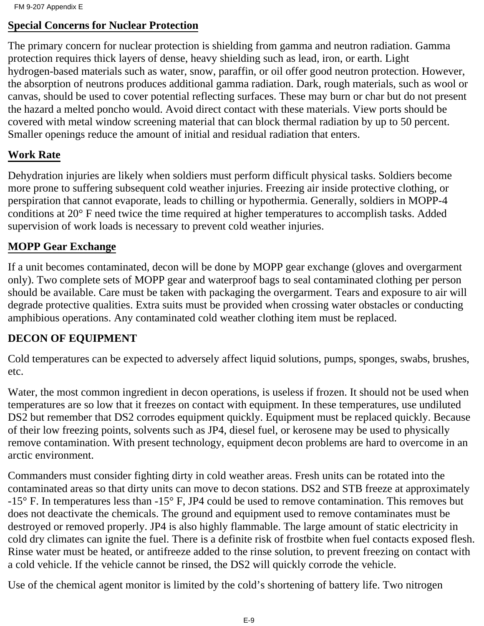FM 9-207 Appendix E

#### **Special Concerns for Nuclear Protection**

The primary concern for nuclear protection is shielding from gamma and neutron radiation. Gamma protection requires thick layers of dense, heavy shielding such as lead, iron, or earth. Light hydrogen-based materials such as water, snow, paraffin, or oil offer good neutron protection. However, the absorption of neutrons produces additional gamma radiation. Dark, rough materials, such as wool or canvas, should be used to cover potential reflecting surfaces. These may burn or char but do not present the hazard a melted poncho would. Avoid direct contact with these materials. View ports should be covered with metal window screening material that can block thermal radiation by up to 50 percent. Smaller openings reduce the amount of initial and residual radiation that enters.

#### **Work Rate**

Dehydration injuries are likely when soldiers must perform difficult physical tasks. Soldiers become more prone to suffering subsequent cold weather injuries. Freezing air inside protective clothing, or perspiration that cannot evaporate, leads to chilling or hypothermia. Generally, soldiers in MOPP-4 conditions at 20° F need twice the time required at higher temperatures to accomplish tasks. Added supervision of work loads is necessary to prevent cold weather injuries.

#### **MOPP Gear Exchange**

If a unit becomes contaminated, decon will be done by MOPP gear exchange (gloves and overgarment only). Two complete sets of MOPP gear and waterproof bags to seal contaminated clothing per person should be available. Care must be taken with packaging the overgarment. Tears and exposure to air will degrade protective qualities. Extra suits must be provided when crossing water obstacles or conducting amphibious operations. Any contaminated cold weather clothing item must be replaced.

#### **DECON OF EQUIPMENT**

Cold temperatures can be expected to adversely affect liquid solutions, pumps, sponges, swabs, brushes, etc.

Water, the most common ingredient in decon operations, is useless if frozen. It should not be used when temperatures are so low that it freezes on contact with equipment. In these temperatures, use undiluted DS2 but remember that DS2 corrodes equipment quickly. Equipment must be replaced quickly. Because of their low freezing points, solvents such as JP4, diesel fuel, or kerosene may be used to physically remove contamination. With present technology, equipment decon problems are hard to overcome in an arctic environment.

Commanders must consider fighting dirty in cold weather areas. Fresh units can be rotated into the contaminated areas so that dirty units can move to decon stations. DS2 and STB freeze at approximately -15° F. In temperatures less than -15° F, JP4 could be used to remove contamination. This removes but does not deactivate the chemicals. The ground and equipment used to remove contaminates must be destroyed or removed properly. JP4 is also highly flammable. The large amount of static electricity in cold dry climates can ignite the fuel. There is a definite risk of frostbite when fuel contacts exposed flesh. Rinse water must be heated, or antifreeze added to the rinse solution, to prevent freezing on contact with a cold vehicle. If the vehicle cannot be rinsed, the DS2 will quickly corrode the vehicle.

Use of the chemical agent monitor is limited by the cold's shortening of battery life. Two nitrogen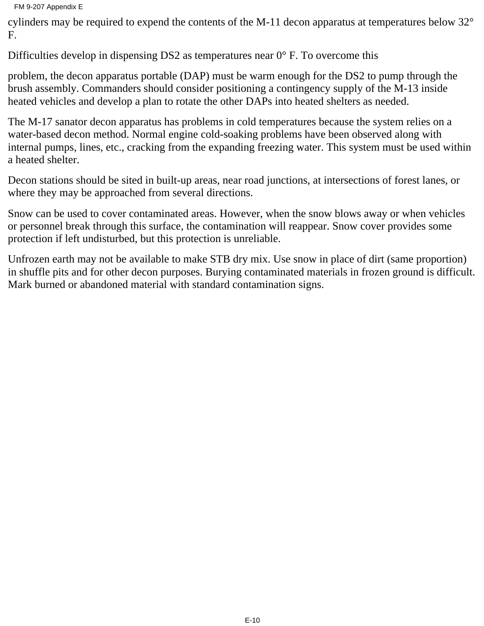FM 9-207 Appendix E

cylinders may be required to expend the contents of the M-11 decon apparatus at temperatures below 32° F.

Difficulties develop in dispensing DS2 as temperatures near  $0^{\circ}$  F. To overcome this

problem, the decon apparatus portable (DAP) must be warm enough for the DS2 to pump through the brush assembly. Commanders should consider positioning a contingency supply of the M-13 inside heated vehicles and develop a plan to rotate the other DAPs into heated shelters as needed.

The M-17 sanator decon apparatus has problems in cold temperatures because the system relies on a water-based decon method. Normal engine cold-soaking problems have been observed along with internal pumps, lines, etc., cracking from the expanding freezing water. This system must be used within a heated shelter.

Decon stations should be sited in built-up areas, near road junctions, at intersections of forest lanes, or where they may be approached from several directions.

Snow can be used to cover contaminated areas. However, when the snow blows away or when vehicles or personnel break through this surface, the contamination will reappear. Snow cover provides some protection if left undisturbed, but this protection is unreliable.

Unfrozen earth may not be available to make STB dry mix. Use snow in place of dirt (same proportion) in shuffle pits and for other decon purposes. Burying contaminated materials in frozen ground is difficult. Mark burned or abandoned material with standard contamination signs.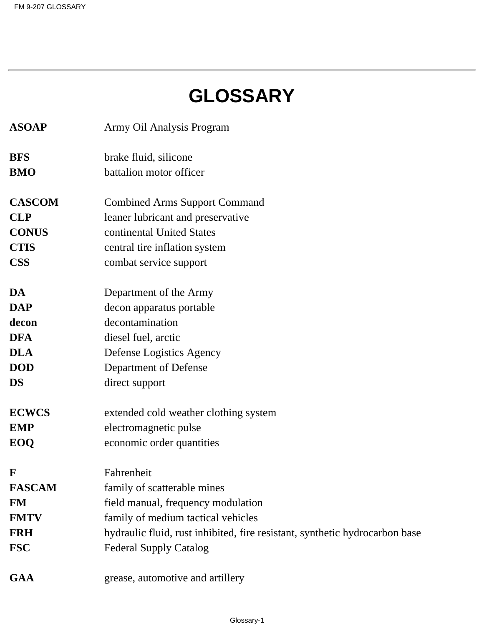# **GLOSSARY**

| <b>ASOAP</b>  | Army Oil Analysis Program                                                   |
|---------------|-----------------------------------------------------------------------------|
| <b>BFS</b>    | brake fluid, silicone                                                       |
| <b>BMO</b>    | battalion motor officer                                                     |
| <b>CASCOM</b> | <b>Combined Arms Support Command</b>                                        |
| <b>CLP</b>    | leaner lubricant and preservative                                           |
| <b>CONUS</b>  | continental United States                                                   |
| <b>CTIS</b>   | central tire inflation system                                               |
| <b>CSS</b>    | combat service support                                                      |
| DA            | Department of the Army                                                      |
| <b>DAP</b>    | decon apparatus portable                                                    |
| decon         | decontamination                                                             |
| <b>DFA</b>    | diesel fuel, arctic                                                         |
| <b>DLA</b>    | Defense Logistics Agency                                                    |
| <b>DOD</b>    | Department of Defense                                                       |
| <b>DS</b>     | direct support                                                              |
| <b>ECWCS</b>  | extended cold weather clothing system                                       |
| <b>EMP</b>    | electromagnetic pulse                                                       |
| EOQ           | economic order quantities                                                   |
| F             | Fahrenheit                                                                  |
| <b>FASCAM</b> | family of scatterable mines                                                 |
| <b>FM</b>     | field manual, frequency modulation                                          |
| <b>FMTV</b>   | family of medium tactical vehicles                                          |
| <b>FRH</b>    | hydraulic fluid, rust inhibited, fire resistant, synthetic hydrocarbon base |
| <b>FSC</b>    | <b>Federal Supply Catalog</b>                                               |
| <b>GAA</b>    | grease, automotive and artillery                                            |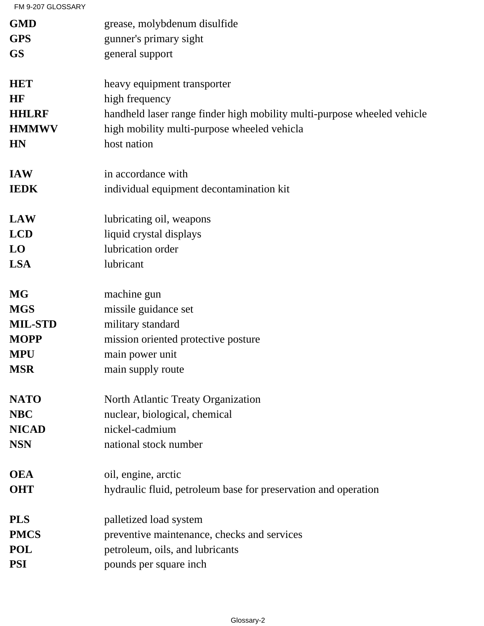FM 9-207 GLOSSARY

| <b>GMD</b>     | grease, molybdenum disulfide                                            |
|----------------|-------------------------------------------------------------------------|
| <b>GPS</b>     | gunner's primary sight                                                  |
| <b>GS</b>      | general support                                                         |
| <b>HET</b>     | heavy equipment transporter                                             |
| HF             | high frequency                                                          |
| <b>HHLRF</b>   | handheld laser range finder high mobility multi-purpose wheeled vehicle |
| <b>HMMWV</b>   | high mobility multi-purpose wheeled vehicla                             |
| <b>HN</b>      | host nation                                                             |
| <b>IAW</b>     | in accordance with                                                      |
| <b>IEDK</b>    | individual equipment decontamination kit                                |
| <b>LAW</b>     | lubricating oil, weapons                                                |
| <b>LCD</b>     | liquid crystal displays                                                 |
| LO             | lubrication order                                                       |
| <b>LSA</b>     | lubricant                                                               |
| <b>MG</b>      | machine gun                                                             |
| <b>MGS</b>     | missile guidance set                                                    |
| <b>MIL-STD</b> | military standard                                                       |
| <b>MOPP</b>    | mission oriented protective posture                                     |
| <b>MPU</b>     | main power unit                                                         |
| <b>MSR</b>     | main supply route                                                       |
| <b>NATO</b>    | North Atlantic Treaty Organization                                      |
| <b>NBC</b>     | nuclear, biological, chemical                                           |
| <b>NICAD</b>   | nickel-cadmium                                                          |
| <b>NSN</b>     | national stock number                                                   |
| <b>OEA</b>     | oil, engine, arctic                                                     |
| <b>OHT</b>     | hydraulic fluid, petroleum base for preservation and operation          |
| <b>PLS</b>     | palletized load system                                                  |
| <b>PMCS</b>    | preventive maintenance, checks and services                             |
| <b>POL</b>     | petroleum, oils, and lubricants                                         |
| <b>PSI</b>     | pounds per square inch                                                  |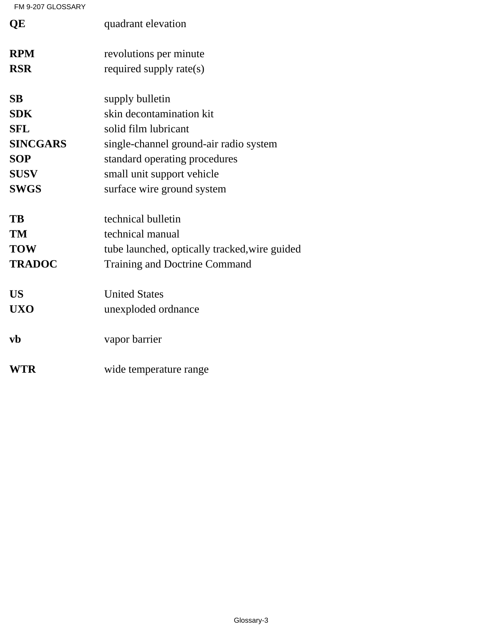FM 9-207 GLOSSARY

| QE              | quadrant elevation                            |
|-----------------|-----------------------------------------------|
| <b>RPM</b>      | revolutions per minute                        |
| <b>RSR</b>      | required supply rate(s)                       |
| <b>SB</b>       | supply bulletin                               |
| <b>SDK</b>      | skin decontamination kit                      |
| <b>SFL</b>      | solid film lubricant                          |
| <b>SINCGARS</b> | single-channel ground-air radio system        |
| <b>SOP</b>      | standard operating procedures                 |
| <b>SUSV</b>     | small unit support vehicle                    |
| <b>SWGS</b>     | surface wire ground system                    |
| TB              | technical bulletin                            |
| TM              | technical manual                              |
| <b>TOW</b>      | tube launched, optically tracked, wire guided |
| <b>TRADOC</b>   | <b>Training and Doctrine Command</b>          |
| <b>US</b>       | <b>United States</b>                          |
| <b>UXO</b>      | unexploded ordnance                           |
| $\bf{v}$        | vapor barrier                                 |
| WTR             | wide temperature range                        |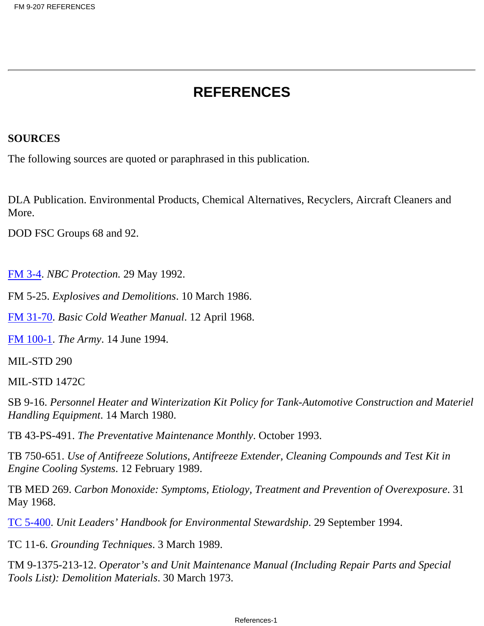# **REFERENCES**

#### **SOURCES**

The following sources are quoted or paraphrased in this publication.

DLA Publication. Environmental Products, Chemical Alternatives, Recyclers, Aircraft Cleaners and More.

DOD FSC Groups 68 and 92.

FM 3-4. *NBC Protection.* 29 May 1992.

FM 5-25. *Explosives and Demolitions*. 10 March 1986.

FM 31-70. *Basic Cold Weather Manual*. 12 April 1968.

FM 100-1. *The Army*. 14 June 1994.

MIL-STD 290

MIL-STD 1472C

SB 9-16. *Personnel Heater and Winterization Kit Policy for Tank-Automotive Construction and Materiel Handling Equipment*. 14 March 1980.

TB 43-PS-491. *The Preventative Maintenance Monthly*. October 1993.

TB 750-651. *Use of Antifreeze Solutions, Antifreeze Extender, Cleaning Compounds and Test Kit in Engine Cooling Systems*. 12 February 1989.

TB MED 269. *Carbon Monoxide: Symptoms, Etiology, Treatment and Prevention of Overexposure*. 31 May 1968.

TC 5-400. *Unit Leaders' Handbook for Environmental Stewardship*. 29 September 1994.

TC 11-6. *Grounding Techniques*. 3 March 1989.

TM 9-1375-213-12. *Operator's and Unit Maintenance Manual (Including Repair Parts and Special Tools List): Demolition Materials*. 30 March 1973.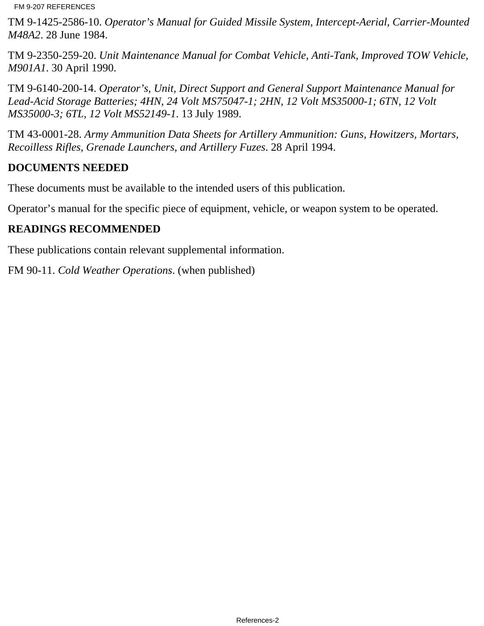FM 9-207 REFERENCES

TM 9-1425-2586-10. *Operator's Manual for Guided Missile System, Intercept-Aerial, Carrier-Mounted M48A2*. 28 June 1984.

TM 9-2350-259-20. *Unit Maintenance Manual for Combat Vehicle, Anti-Tank, Improved TOW Vehicle, M901A1*. 30 April 1990.

TM 9-6140-200-14. *Operator's, Unit, Direct Support and General Support Maintenance Manual for Lead-Acid Storage Batteries; 4HN, 24 Volt MS75047-1; 2HN, 12 Volt MS35000-1; 6TN, 12 Volt MS35000-3; 6TL, 12 Volt MS52149-1*. 13 July 1989.

TM 43-0001-28. *Army Ammunition Data Sheets for Artillery Ammunition: Guns, Howitzers, Mortars, Recoilless Rifles, Grenade Launchers, and Artillery Fuzes*. 28 April 1994.

### **DOCUMENTS NEEDED**

These documents must be available to the intended users of this publication.

Operator's manual for the specific piece of equipment, vehicle, or weapon system to be operated.

# **READINGS RECOMMENDED**

These publications contain relevant supplemental information.

FM 90-11. *Cold Weather Operations*. (when published)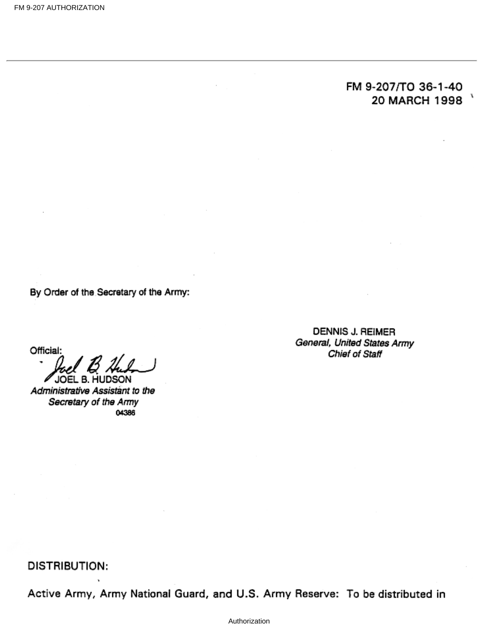# FM 9-207/TO 36-1-40 20 MARCH 1998

By Order of the Secretary of the Army:

Official:

JOEL B. HUDSON

Administrative Assistant to the Secretary of the Army 04386

DENNIS J. REIMER General, United States Army Chief of Staff

DISTRIBUTION:

Active Army, Army National Guard, and U.S. Army Reserve: To be distributed in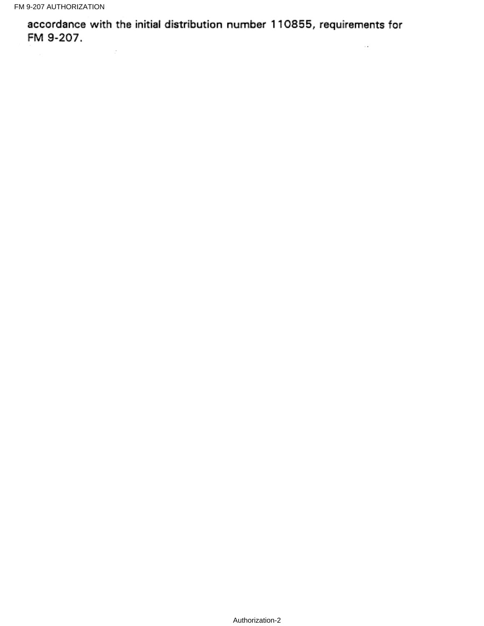$\sim$ 

accordance with the initial distribution number 110855, requirements for FM 9-207.  $\sim$